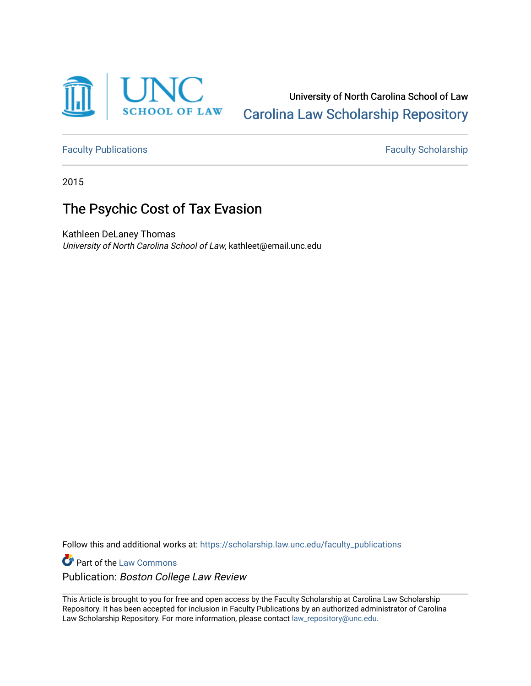

University of North Carolina School of Law [Carolina Law Scholarship Repository](https://scholarship.law.unc.edu/) 

[Faculty Publications](https://scholarship.law.unc.edu/faculty_publications) **Faculty Scholarship** 

2015

# The Psychic Cost of Tax Evasion

Kathleen DeLaney Thomas University of North Carolina School of Law, kathleet@email.unc.edu

Follow this and additional works at: [https://scholarship.law.unc.edu/faculty\\_publications](https://scholarship.law.unc.edu/faculty_publications?utm_source=scholarship.law.unc.edu%2Ffaculty_publications%2F296&utm_medium=PDF&utm_campaign=PDFCoverPages)

**Part of the [Law Commons](https://network.bepress.com/hgg/discipline/578?utm_source=scholarship.law.unc.edu%2Ffaculty_publications%2F296&utm_medium=PDF&utm_campaign=PDFCoverPages)** Publication: Boston College Law Review

This Article is brought to you for free and open access by the Faculty Scholarship at Carolina Law Scholarship Repository. It has been accepted for inclusion in Faculty Publications by an authorized administrator of Carolina Law Scholarship Repository. For more information, please contact [law\\_repository@unc.edu.](mailto:law_repository@unc.edu)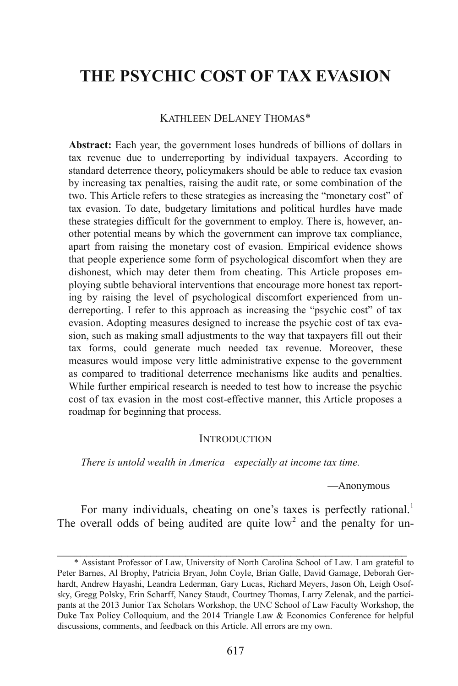# **THE PSYCHIC COST OF TAX EVASION**

## KATHLEEN DELANEY THOMAS\*

**Abstract:** Each year, the government loses hundreds of billions of dollars in tax revenue due to underreporting by individual taxpayers. According to standard deterrence theory, policymakers should be able to reduce tax evasion by increasing tax penalties, raising the audit rate, or some combination of the two. This Article refers to these strategies as increasing the "monetary cost" of tax evasion. To date, budgetary limitations and political hurdles have made these strategies difficult for the government to employ. There is, however, another potential means by which the government can improve tax compliance, apart from raising the monetary cost of evasion. Empirical evidence shows that people experience some form of psychological discomfort when they are dishonest, which may deter them from cheating. This Article proposes employing subtle behavioral interventions that encourage more honest tax reporting by raising the level of psychological discomfort experienced from underreporting. I refer to this approach as increasing the "psychic cost" of tax evasion. Adopting measures designed to increase the psychic cost of tax evasion, such as making small adjustments to the way that taxpayers fill out their tax forms, could generate much needed tax revenue. Moreover, these measures would impose very little administrative expense to the government as compared to traditional deterrence mechanisms like audits and penalties. While further empirical research is needed to test how to increase the psychic cost of tax evasion in the most cost-effective manner, this Article proposes a roadmap for beginning that process.

#### **INTRODUCTION**

<span id="page-1-1"></span>*There is untold wealth in America—especially at income tax time.*

<span id="page-1-3"></span><span id="page-1-2"></span>—Anonymous

For many individuals, cheating on one's taxes is perfectly rational.<sup>[1](#page-1-0)</sup> The overall odds of being audited are quite  $low<sup>2</sup>$  $low<sup>2</sup>$  $low<sup>2</sup>$  and the penalty for un-

\_\_\_\_\_\_\_\_\_\_\_\_\_\_\_\_\_\_\_\_\_\_\_\_\_\_\_\_\_\_\_\_\_\_\_\_\_\_\_\_\_\_\_\_\_\_\_\_\_\_\_\_\_\_\_\_\_\_\_\_

<span id="page-1-0"></span><sup>\*</sup> Assistant Professor of Law, University of North Carolina School of Law. I am grateful to Peter Barnes, Al Brophy, Patricia Bryan, John Coyle, Brian Galle, David Gamage, Deborah Gerhardt, Andrew Hayashi, Leandra Lederman, Gary Lucas, Richard Meyers, Jason Oh, Leigh Osofsky, Gregg Polsky, Erin Scharff, Nancy Staudt, Courtney Thomas, Larry Zelenak, and the participants at the 2013 Junior Tax Scholars Workshop, the UNC School of Law Faculty Workshop, the Duke Tax Policy Colloquium, and the 2014 Triangle Law & Economics Conference for helpful discussions, comments, and feedback on this Article. All errors are my own.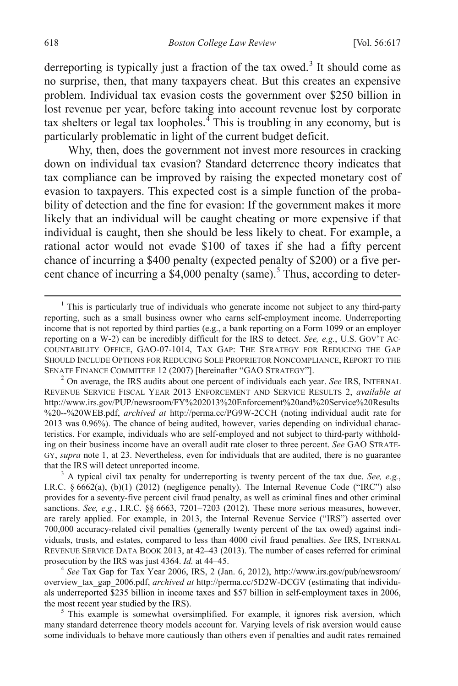<span id="page-2-3"></span>derreporting is typically just a fraction of the tax owed.<sup>[3](#page-2-0)</sup> It should come as no surprise, then, that many taxpayers cheat. But this creates an expensive problem. Individual tax evasion costs the government over \$250 billion in lost revenue per year, before taking into account revenue lost by corporate tax shelters or legal tax loopholes.<sup>[4](#page-2-1)</sup> This is troubling in any economy, but is particularly problematic in light of the current budget deficit.

<span id="page-2-5"></span>Why, then, does the government not invest more resources in cracking down on individual tax evasion? Standard deterrence theory indicates that tax compliance can be improved by raising the expected monetary cost of evasion to taxpayers. This expected cost is a simple function of the probability of detection and the fine for evasion: If the government makes it more likely that an individual will be caught cheating or more expensive if that individual is caught, then she should be less likely to cheat. For example, a rational actor would not evade \$100 of taxes if she had a fifty percent chance of incurring a \$400 penalty (expected penalty of \$200) or a five percent chance of incurring a  $$4,000$  penalty (same).<sup>[5](#page-2-2)</sup> Thus, according to deter-

<span id="page-2-1"></span>overview\_tax\_gap\_2006.pdf, *archived at* http://perma.cc/5D2W-DCGV (estimating that individuals underreported \$235 billion in income taxes and \$57 billion in self-employment taxes in 2006, the most recent year studied by the IRS).<br><sup>5</sup> This example is somewhat oversimplified. For example, it ignores risk aversion, which

<span id="page-2-2"></span>many standard deterrence theory models account for. Varying levels of risk aversion would cause some individuals to behave more cautiously than others even if penalties and audit rates remained

<span id="page-2-4"></span> $<sup>1</sup>$  This is particularly true of individuals who generate income not subject to any third-party</sup> reporting, such as a small business owner who earns self-employment income. Underreporting income that is not reported by third parties (e.g., a bank reporting on a Form 1099 or an employer reporting on a W-2) can be incredibly difficult for the IRS to detect. *See, e.g.*, U.S. GOV'T AC-COUNTABILITY OFFICE, GAO-07-1014, TAX GAP: THE STRATEGY FOR REDUCING THE GAP SHOULD INCLUDE OPTIONS FOR REDUCING SOLE PROPRIETOR NONCOMPLIANCE, REPORT TO THE SENATE FINANCE COMMITTEE <sup>12</sup> (2007) [hereinafter "GAO STRATEGY"]. <sup>2</sup> On average, the IRS audits about one percent of individuals each year. *See* IRS, INTERNAL

REVENUE SERVICE FISCAL YEAR 2013 ENFORCEMENT AND SERVICE RESULTS 2, *available at*  http://www.irs.gov/PUP/newsroom/FY%202013%20Enforcement%20and%20Service%20Results %20--%20WEB.pdf, *archived at* http://perma.cc/PG9W-2CCH (noting individual audit rate for 2013 was 0.96%). The chance of being audited, however, varies depending on individual characteristics. For example, individuals who are self-employed and not subject to third-party withholding on their business income have an overall audit rate closer to three percent. *See* GAO STRATE-GY, *supra* note [1,](#page-1-2) at 23. Nevertheless, even for individuals that are audited, there is no guarantee that the IRS will detect unreported income.<br><sup>3</sup> A typical civil tax penalty for underreporting is twenty percent of the tax due. *See, e.g.*,

<span id="page-2-0"></span>I.R.C.  $\S 6662(a)$ , (b)(1) (2012) (negligence penalty). The Internal Revenue Code ("IRC") also provides for a seventy-five percent civil fraud penalty, as well as criminal fines and other criminal sanctions. *See, e.g.*, I.R.C. §§ 6663, 7201–7203 (2012). These more serious measures, however, are rarely applied. For example, in 2013, the Internal Revenue Service ("IRS") asserted over 700,000 accuracy-related civil penalties (generally twenty percent of the tax owed) against individuals, trusts, and estates, compared to less than 4000 civil fraud penalties. *See* IRS, INTERNAL REVENUE SERVICE DATA BOOK 2013, at 42–43 (2013). The number of cases referred for criminal prosecution by the IRS was just 4364. *Id.* at 44–45.<br><sup>4</sup> *See* Tax Gap for Tax Year 2006, IRS, 2 (Jan. 6, 2012), http://www.irs.gov/pub/newsroom/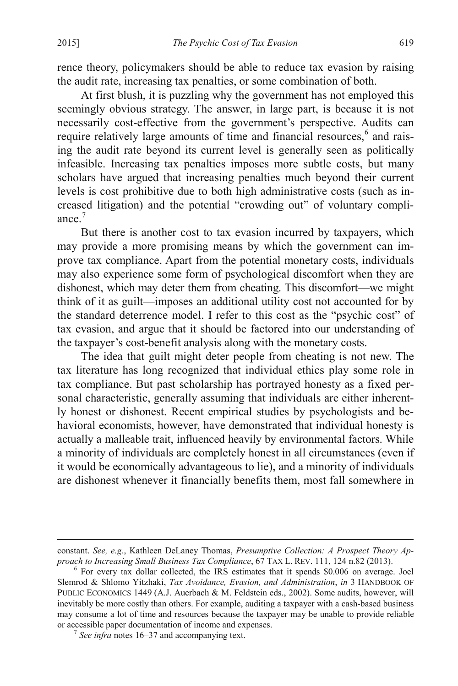rence theory, policymakers should be able to reduce tax evasion by raising the audit rate, increasing tax penalties, or some combination of both.

At first blush, it is puzzling why the government has not employed this seemingly obvious strategy. The answer, in large part, is because it is not necessarily cost-effective from the government's perspective. Audits can require relatively large amounts of time and financial resources,<sup>[6](#page-3-0)</sup> and raising the audit rate beyond its current level is generally seen as politically infeasible. Increasing tax penalties imposes more subtle costs, but many scholars have argued that increasing penalties much beyond their current levels is cost prohibitive due to both high administrative costs (such as increased litigation) and the potential "crowding out" of voluntary compliance $<sup>7</sup>$  $<sup>7</sup>$  $<sup>7</sup>$ </sup>

But there is another cost to tax evasion incurred by taxpayers, which may provide a more promising means by which the government can improve tax compliance. Apart from the potential monetary costs, individuals may also experience some form of psychological discomfort when they are dishonest, which may deter them from cheating. This discomfort—we might think of it as guilt—imposes an additional utility cost not accounted for by the standard deterrence model. I refer to this cost as the "psychic cost" of tax evasion, and argue that it should be factored into our understanding of the taxpayer's cost-benefit analysis along with the monetary costs.

The idea that guilt might deter people from cheating is not new. The tax literature has long recognized that individual ethics play some role in tax compliance. But past scholarship has portrayed honesty as a fixed personal characteristic, generally assuming that individuals are either inherently honest or dishonest. Recent empirical studies by psychologists and behavioral economists, however, have demonstrated that individual honesty is actually a malleable trait, influenced heavily by environmental factors. While a minority of individuals are completely honest in all circumstances (even if it would be economically advantageous to lie), and a minority of individuals are dishonest whenever it financially benefits them, most fall somewhere in

<span id="page-3-0"></span>constant. *See, e.g.*, Kathleen DeLaney Thomas, *Presumptive Collection: A Prospect Theory Approach to Increasing Small Business Tax Compliance*, 67 TAX L. REV. 111, 124 n.82 (2013).<br><sup>6</sup> For every tax dollar collected, the IRS estimates that it spends \$0.006 on average. Joel

Slemrod & Shlomo Yitzhaki, *Tax Avoidance, Evasion, and Administration*, *in* 3 HANDBOOK OF PUBLIC ECONOMICS 1449 (A.J. Auerbach & M. Feldstein eds., 2002). Some audits, however, will inevitably be more costly than others. For example, auditing a taxpayer with a cash-based business may consume a lot of time and resources because the taxpayer may be unable to provide reliable or accessible paper documentation of income and expenses. <sup>7</sup> *See infra* note[s 16](#page-6-0)[–37](#page-10-0) and accompanying text.

<span id="page-3-1"></span>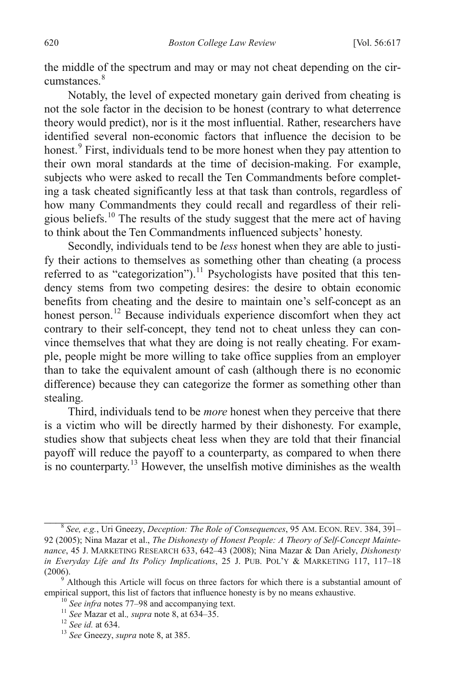<span id="page-4-0"></span>the middle of the spectrum and may or may not cheat depending on the cir-cumstances<sup>[8](#page-4-1)</sup>

Notably, the level of expected monetary gain derived from cheating is not the sole factor in the decision to be honest (contrary to what deterrence theory would predict), nor is it the most influential. Rather, researchers have identified several non-economic factors that influence the decision to be honest.<sup>[9](#page-4-2)</sup> First, individuals tend to be more honest when they pay attention to their own moral standards at the time of decision-making. For example, subjects who were asked to recall the Ten Commandments before completing a task cheated significantly less at that task than controls, regardless of how many Commandments they could recall and regardless of their religious beliefs.[10](#page-4-3) The results of the study suggest that the mere act of having to think about the Ten Commandments influenced subjects' honesty.

Secondly, individuals tend to be *less* honest when they are able to justify their actions to themselves as something other than cheating (a process referred to as "categorization").<sup>[11](#page-4-4)</sup> Psychologists have posited that this tendency stems from two competing desires: the desire to obtain economic benefits from cheating and the desire to maintain one's self-concept as an honest person.<sup>[12](#page-4-5)</sup> Because individuals experience discomfort when they act contrary to their self-concept, they tend not to cheat unless they can convince themselves that what they are doing is not really cheating. For example, people might be more willing to take office supplies from an employer than to take the equivalent amount of cash (although there is no economic difference) because they can categorize the former as something other than stealing.

Third, individuals tend to be *more* honest when they perceive that there is a victim who will be directly harmed by their dishonesty. For example, studies show that subjects cheat less when they are told that their financial payoff will reduce the payoff to a counterparty, as compared to when there is no counterparty.<sup>[13](#page-4-6)</sup> However, the unselfish motive diminishes as the wealth

<span id="page-4-1"></span>\_\_\_\_\_\_\_\_\_\_\_\_\_\_\_\_\_\_\_\_\_\_\_\_\_\_\_\_\_\_\_\_\_\_\_\_\_\_\_\_\_\_\_\_\_\_\_\_\_\_\_\_\_\_\_\_\_\_\_\_ <sup>8</sup> *See, e.g.*, Uri Gneezy, *Deception: The Role of Consequences*, 95 AM. ECON. REV. 384, 391– 92 (2005); Nina Mazar et al., *The Dishonesty of Honest People: A Theory of Self-Concept Maintenance*, 45 J. MARKETING RESEARCH 633, 642–43 (2008); Nina Mazar & Dan Ariely, *Dishonesty in Everyday Life and Its Policy Implications*, 25 J. PUB. POL'Y & MARKETING 117, 117–18  $(2006)$ .<br><sup>9</sup> Although this Article will focus on three factors for which there is a substantial amount of

<span id="page-4-5"></span><span id="page-4-4"></span><span id="page-4-3"></span><span id="page-4-2"></span>empirical support, this list of factors that influence honesty is by no means exhaustive.<br>
<sup>10</sup> See infra notes [77](#page-16-0)[–98](#page-19-0) and accompanying text.<br>
<sup>11</sup> See Mazar et al., *supra* not[e 8,](#page-4-0) at 634–35.<br>
<sup>12</sup> See id. at 634.<br>
<sup>13</sup> S

<span id="page-4-6"></span>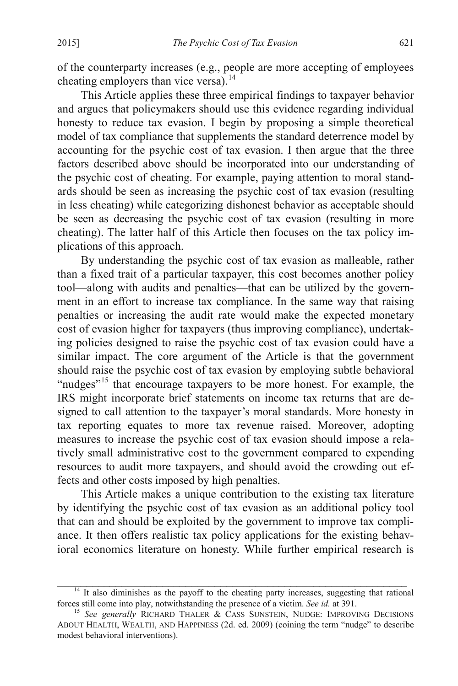<span id="page-5-2"></span>of the counterparty increases (e.g., people are more accepting of employees cheating employers than vice versa). $^{14}$  $^{14}$  $^{14}$ 

This Article applies these three empirical findings to taxpayer behavior and argues that policymakers should use this evidence regarding individual honesty to reduce tax evasion. I begin by proposing a simple theoretical model of tax compliance that supplements the standard deterrence model by accounting for the psychic cost of tax evasion. I then argue that the three factors described above should be incorporated into our understanding of the psychic cost of cheating. For example, paying attention to moral standards should be seen as increasing the psychic cost of tax evasion (resulting in less cheating) while categorizing dishonest behavior as acceptable should be seen as decreasing the psychic cost of tax evasion (resulting in more cheating). The latter half of this Article then focuses on the tax policy implications of this approach.

By understanding the psychic cost of tax evasion as malleable, rather than a fixed trait of a particular taxpayer, this cost becomes another policy tool—along with audits and penalties—that can be utilized by the government in an effort to increase tax compliance. In the same way that raising penalties or increasing the audit rate would make the expected monetary cost of evasion higher for taxpayers (thus improving compliance), undertaking policies designed to raise the psychic cost of tax evasion could have a similar impact. The core argument of the Article is that the government should raise the psychic cost of tax evasion by employing subtle behavioral "nudges"<sup>[15](#page-5-1)</sup> that encourage taxpayers to be more honest. For example, the IRS might incorporate brief statements on income tax returns that are designed to call attention to the taxpayer's moral standards. More honesty in tax reporting equates to more tax revenue raised. Moreover, adopting measures to increase the psychic cost of tax evasion should impose a relatively small administrative cost to the government compared to expending resources to audit more taxpayers, and should avoid the crowding out effects and other costs imposed by high penalties.

<span id="page-5-3"></span>This Article makes a unique contribution to the existing tax literature by identifying the psychic cost of tax evasion as an additional policy tool that can and should be exploited by the government to improve tax compliance. It then offers realistic tax policy applications for the existing behavioral economics literature on honesty. While further empirical research is

<span id="page-5-0"></span><sup>&</sup>lt;sup>14</sup> It also diminishes as the payoff to the cheating party increases, suggesting that rational forces still come into play, notwithstanding the presence of a victim. *See id.* at 391.

<span id="page-5-1"></span><sup>&</sup>lt;sup>15</sup> See generally RICHARD THALER & CASS SUNSTEIN, NUDGE: IMPROVING DECISIONS ABOUT HEALTH, WEALTH, AND HAPPINESS (2d. ed. 2009) (coining the term "nudge" to describe modest behavioral interventions).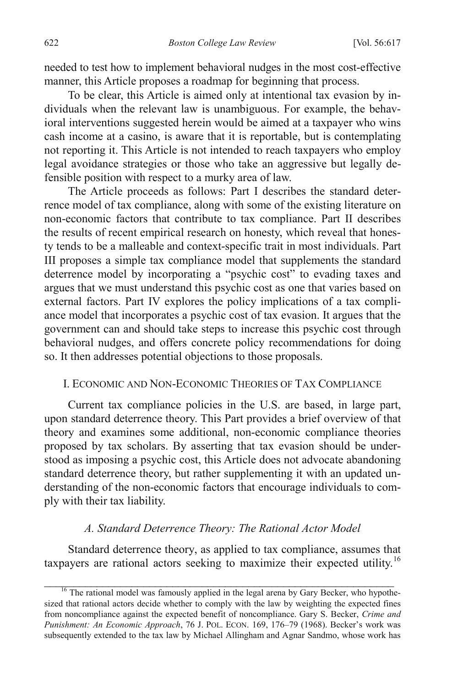needed to test how to implement behavioral nudges in the most cost-effective manner, this Article proposes a roadmap for beginning that process.

To be clear, this Article is aimed only at intentional tax evasion by individuals when the relevant law is unambiguous. For example, the behavioral interventions suggested herein would be aimed at a taxpayer who wins cash income at a casino, is aware that it is reportable, but is contemplating not reporting it. This Article is not intended to reach taxpayers who employ legal avoidance strategies or those who take an aggressive but legally defensible position with respect to a murky area of law.

The Article proceeds as follows: Part I describes the standard deterrence model of tax compliance, along with some of the existing literature on non-economic factors that contribute to tax compliance. Part II describes the results of recent empirical research on honesty, which reveal that honesty tends to be a malleable and context-specific trait in most individuals. Part III proposes a simple tax compliance model that supplements the standard deterrence model by incorporating a "psychic cost" to evading taxes and argues that we must understand this psychic cost as one that varies based on external factors. Part IV explores the policy implications of a tax compliance model that incorporates a psychic cost of tax evasion. It argues that the government can and should take steps to increase this psychic cost through behavioral nudges, and offers concrete policy recommendations for doing so. It then addresses potential objections to those proposals.

## I. ECONOMIC AND NON-ECONOMIC THEORIES OF TAX COMPLIANCE

Current tax compliance policies in the U.S. are based, in large part, upon standard deterrence theory. This Part provides a brief overview of that theory and examines some additional, non-economic compliance theories proposed by tax scholars. By asserting that tax evasion should be understood as imposing a psychic cost, this Article does not advocate abandoning standard deterrence theory, but rather supplementing it with an updated understanding of the non-economic factors that encourage individuals to comply with their tax liability.

# <span id="page-6-0"></span>*A. Standard Deterrence Theory: The Rational Actor Model*

Standard deterrence theory, as applied to tax compliance, assumes that taxpayers are rational actors seeking to maximize their expected utility.[16](#page-6-1)

<span id="page-6-1"></span><sup>&</sup>lt;sup>16</sup> The rational model was famously applied in the legal arena by Gary Becker, who hypothesized that rational actors decide whether to comply with the law by weighting the expected fines from noncompliance against the expected benefit of noncompliance. Gary S. Becker, *Crime and Punishment: An Economic Approach*, 76 J. POL. ECON. 169, 176–79 (1968). Becker's work was subsequently extended to the tax law by Michael Allingham and Agnar Sandmo, whose work has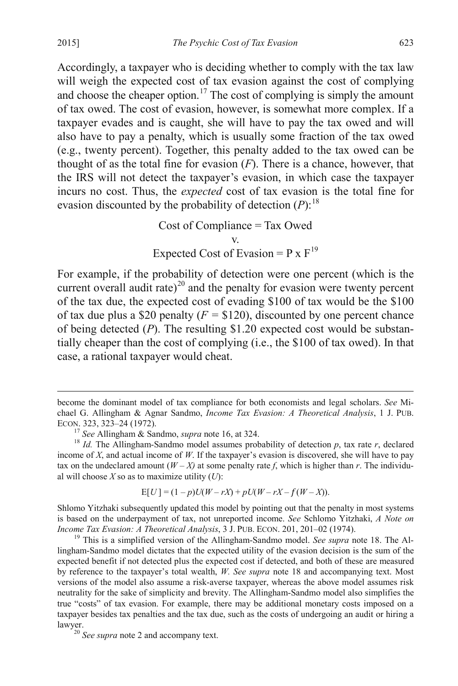Accordingly, a taxpayer who is deciding whether to comply with the tax law will weigh the expected cost of tax evasion against the cost of complying and choose the cheaper option.<sup>[17](#page-7-1)</sup> The cost of complying is simply the amount of tax owed. The cost of evasion, however, is somewhat more complex. If a taxpayer evades and is caught, she will have to pay the tax owed and will also have to pay a penalty, which is usually some fraction of the tax owed (e.g., twenty percent). Together, this penalty added to the tax owed can be thought of as the total fine for evasion (*F*). There is a chance, however, that the IRS will not detect the taxpayer's evasion, in which case the taxpayer incurs no cost. Thus, the *expected* cost of tax evasion is the total fine for evasion discounted by the probability of detection (*P*):<sup>[18](#page-7-2)</sup>

> <span id="page-7-5"></span><span id="page-7-0"></span>Cost of Compliance = Tax Owed v. Expected Cost of Evasion =  $P x F^{19}$  $P x F^{19}$  $P x F^{19}$

For example, if the probability of detection were one percent (which is the current overall audit rate)<sup>[20](#page-7-4)</sup> and the penalty for evasion were twenty percent of the tax due, the expected cost of evading \$100 of tax would be the \$100 of tax due plus a \$20 penalty  $(F = $120)$ , discounted by one percent chance of being detected (*P*). The resulting \$1.20 expected cost would be substantially cheaper than the cost of complying (i.e., the \$100 of tax owed). In that case, a rational taxpayer would cheat.

 $E[U] = (1-p)U(W - rX) + pU(W - rX - f(W - X)).$ 

Shlomo Yitzhaki subsequently updated this model by pointing out that the penalty in most systems is based on the underpayment of tax, not unreported income. *See* Schlomo Yitzhaki, *A Note on Income Tax Evasion: A Theoretical Analysis*, 3 J. PUB. ECON. 201, 201–02 (1974). <sup>19</sup> This is a simplified version of the Allingham-Sandmo model. *See supra* note 18. The Al-

<span id="page-7-3"></span>lingham-Sandmo model dictates that the expected utility of the evasion decision is the sum of the expected benefit if not detected plus the expected cost if detected, and both of these are measured by reference to the taxpayer's total wealth, *W. See supra* note [18](#page-7-0) and accompanying text. Most versions of the model also assume a risk-averse taxpayer, whereas the above model assumes risk neutrality for the sake of simplicity and brevity. The Allingham-Sandmo model also simplifies the true "costs" of tax evasion. For example, there may be additional monetary costs imposed on a taxpayer besides tax penalties and the tax due, such as the costs of undergoing an audit or hiring a lawyer. <sup>20</sup> *See supra* not[e 2](#page-1-3) and accompany text.

<span id="page-7-4"></span>

become the dominant model of tax compliance for both economists and legal scholars. *See* Michael G. Allingham & Agnar Sandmo, *Income Tax Evasion: A Theoretical Analysis*, 1 J. PUB. ECON. 323, 323–24 (1972).<br><sup>17</sup> *See* Allingham & Sandmo, *supra* note [16,](#page-6-0) at 324.<br><sup>18</sup> *Id.* The Allingham-Sandmo model assumes probability of detection *p*, tax rate *r*, declared

<span id="page-7-2"></span><span id="page-7-1"></span>income of  $X$ , and actual income of  $W$ . If the taxpayer's evasion is discovered, she will have to pay tax on the undeclared amount  $(W - X)$  at some penalty rate f, which is higher than r. The individual will choose  $X$  so as to maximize utility  $(U)$ :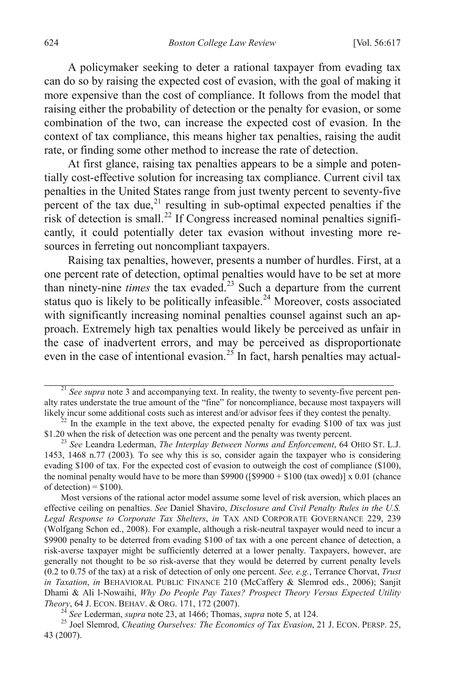A policymaker seeking to deter a rational taxpayer from evading tax can do so by raising the expected cost of evasion, with the goal of making it more expensive than the cost of compliance. It follows from the model that raising either the probability of detection or the penalty for evasion, or some combination of the two, can increase the expected cost of evasion. In the context of tax compliance, this means higher tax penalties, raising the audit rate, or finding some other method to increase the rate of detection.

At first glance, raising tax penalties appears to be a simple and potentially cost-effective solution for increasing tax compliance. Current civil tax penalties in the United States range from just twenty percent to seventy-five percent of the tax due, $^{21}$  $^{21}$  $^{21}$  resulting in sub-optimal expected penalties if the risk of detection is small.<sup>[22](#page-8-2)</sup> If Congress increased nominal penalties significantly, it could potentially deter tax evasion without investing more resources in ferreting out noncompliant taxpayers.

<span id="page-8-0"></span>Raising tax penalties, however, presents a number of hurdles. First, at a one percent rate of detection, optimal penalties would have to be set at more than ninety-nine *times* the tax evaded. [23](#page-8-3) Such a departure from the current status quo is likely to be politically infeasible.<sup>[24](#page-8-4)</sup> Moreover, costs associated with significantly increasing nominal penalties counsel against such an approach. Extremely high tax penalties would likely be perceived as unfair in the case of inadvertent errors, and may be perceived as disproportionate even in the case of intentional evasion.<sup>[25](#page-8-5)</sup> In fact, harsh penalties may actual-

<span id="page-8-6"></span><span id="page-8-1"></span><sup>&</sup>lt;sup>21</sup> See supra note [3](#page-2-3) and accompanying text. In reality, the twenty to seventy-five percent penalty rates understate the true amount of the "fine" for noncompliance, because most taxpayers will likely incur some additional costs such as interest and/or advisor fees if they contest the penalty.

<span id="page-8-2"></span> $\frac{22}{2}$  In the example in the text above, the expected penalty for evading \$100 of tax was just \$1.20 when the risk of detection was one percent and the penalty was twenty percent. <sup>23</sup> *See* Leandra Lederman, *The Interplay Between Norms and Enforcement*, 64 OHIO ST. L.J.

<span id="page-8-3"></span><sup>1453, 1468</sup> n.77 (2003)*.* To see why this is so, consider again the taxpayer who is considering evading \$100 of tax. For the expected cost of evasion to outweigh the cost of compliance (\$100), the nominal penalty would have to be more than  $$9900$  ( $$9900 + $100$  (tax owed)] x 0.01 (chance of detection) =  $$100$ ).

Most versions of the rational actor model assume some level of risk aversion, which places an effective ceiling on penalties. *See* Daniel Shaviro, *Disclosure and Civil Penalty Rules in the U.S. Legal Response to Corporate Tax Shelters*, *in* TAX AND CORPORATE GOVERNANCE 229, 239 (Wolfgang Schon ed., 2008). For example, although a risk-neutral taxpayer would need to incur a \$9900 penalty to be deterred from evading \$100 of tax with a one percent chance of detection, a risk-averse taxpayer might be sufficiently deterred at a lower penalty. Taxpayers, however, are generally not thought to be so risk-averse that they would be deterred by current penalty levels (0.2 to 0.75 of the tax) at a risk of detection of only one percent. *See, e.g.*, Terrance Chorvat, *Trust in Taxation*, *in* BEHAVIORAL PUBLIC FINANCE 210 (McCaffery & Slemrod eds., 2006); Sanjit Dhami & Ali l-Nowaihi, *Why Do People Pay Taxes? Prospect Theory Versus Expected Utility* 

<span id="page-8-5"></span><span id="page-8-4"></span><sup>&</sup>lt;sup>24</sup> See Lederman, *supra* not[e 23,](#page-8-0) at 1466; Thomas, *supra* not[e 5,](#page-2-4) at 124.<br><sup>25</sup> Joel Slemrod, *Cheating Ourselves: The Economics of Tax Evasion*, 21 J. ECON. PERSP. 25, 43 (2007).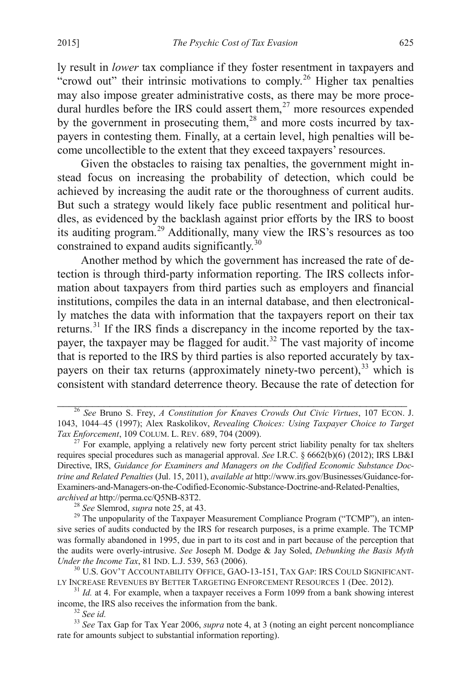<span id="page-9-8"></span>ly result in *lower* tax compliance if they foster resentment in taxpayers and "crowd out" their intrinsic motivations to comply.<sup>[26](#page-9-0)</sup> Higher tax penalties may also impose greater administrative costs, as there may be more procedural hurdles before the IRS could assert them, $27$  more resources expended by the government in prosecuting them,<sup>[28](#page-9-2)</sup> and more costs incurred by taxpayers in contesting them. Finally, at a certain level, high penalties will become uncollectible to the extent that they exceed taxpayers' resources.

<span id="page-9-9"></span>Given the obstacles to raising tax penalties, the government might instead focus on increasing the probability of detection, which could be achieved by increasing the audit rate or the thoroughness of current audits. But such a strategy would likely face public resentment and political hurdles, as evidenced by the backlash against prior efforts by the IRS to boost its auditing program.[29](#page-9-3) Additionally, many view the IRS's resources as too constrained to expand audits significantly.<sup>[30](#page-9-4)</sup>

Another method by which the government has increased the rate of detection is through third-party information reporting. The IRS collects information about taxpayers from third parties such as employers and financial institutions, compiles the data in an internal database, and then electronically matches the data with information that the taxpayers report on their tax returns.<sup>[31](#page-9-5)</sup> If the IRS finds a discrepancy in the income reported by the tax-payer, the taxpayer may be flagged for audit.<sup>[32](#page-9-6)</sup> The vast majority of income that is reported to the IRS by third parties is also reported accurately by taxpayers on their tax returns (approximately ninety-two percent),  $33$  which is consistent with standard deterrence theory. Because the rate of detection for

 $\mathcal{L}_\text{max}$  , and the contract of the contract of the contract of the contract of the contract of the contract of

<span id="page-9-3"></span><span id="page-9-2"></span>*archived at http://perma.cc/Q5NB-83T2.*<br><sup>28</sup> *See Slemrod, <i>supra* not[e 25,](#page-8-6) at 43.<br><sup>29</sup> The unpopularity of the Taxpayer Measurement Compliance Program ("TCMP"), an intensive series of audits conducted by the IRS for research purposes, is a prime example. The TCMP was formally abandoned in 1995, due in part to its cost and in part because of the perception that the audits were overly-intrusive. *See* Joseph M. Dodge & Jay Soled, *Debunking the Basis Myth* 

<span id="page-9-4"></span>*Under the Income Tax*, 81 IND. L.J. 539, 563 (2006).<br><sup>30</sup> U.S. GOV'T ACCOUNTABILITY OFFICE, GAO-13-151, TAX GAP: IRS COULD SIGNIFICANT-<br>LY INCREASE REVENUES BY BETTER TARGETING ENFORCEMENT RESOURCES 1 (Dec. 2012).

<span id="page-9-5"></span> $^{31}$  *Id.* at 4. For example, when a taxpayer receives a Form 1099 from a bank showing interest income, the IRS also receives the information from the bank.

<span id="page-9-7"></span><span id="page-9-6"></span><sup>32</sup> *See id.* 33 *See id.* 33 *See Tax Gap for Tax Year 2006, <i>supra* not[e 4,](#page-2-5) at 3 (noting an eight percent noncompliance 33 *See Tax Gap for Tax Year 2006, <i>supra* note 4, at 3 (noting an eight percent noncompliance rate for amounts subject to substantial information reporting).

<span id="page-9-0"></span><sup>26</sup> *See* Bruno S. Frey, *A Constitution for Knaves Crowds Out Civic Virtues*, 107 ECON. J. 1043, 1044–45 (1997); Alex Raskolikov, *Revealing Choices: Using Taxpayer Choice to Target Tax Enforcement*, 109 COLUM. L. REV. 689, 704 (2009).<br><sup>27</sup> For example, applying a relatively new forty percent strict liability penalty for tax shelters

<span id="page-9-1"></span>requires special procedures such as managerial approval. *See* I.R.C. § 6662(b)(6) (2012); IRS LB&I Directive, IRS, *Guidance for Examiners and Managers on the Codified Economic Substance Doctrine and Related Penalties* (Jul. 15, 2011), *available at* http://www.irs.gov/Businesses/Guidance-for-Examiners-and-Managers-on-the-Codified-Economic-Substance-Doctrine-and-Related-Penalties,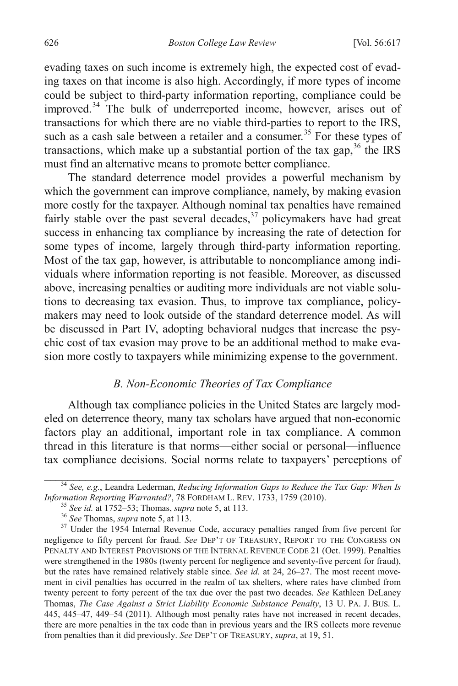evading taxes on such income is extremely high, the expected cost of evading taxes on that income is also high. Accordingly, if more types of income could be subject to third-party information reporting, compliance could be improved.<sup>[34](#page-10-1)</sup> The bulk of underreported income, however, arises out of transactions for which there are no viable third-parties to report to the IRS, such as a cash sale between a retailer and a consumer.<sup>[35](#page-10-2)</sup> For these types of transactions, which make up a substantial portion of the tax gap,  $36$  the IRS must find an alternative means to promote better compliance.

<span id="page-10-0"></span>The standard deterrence model provides a powerful mechanism by which the government can improve compliance, namely, by making evasion more costly for the taxpayer. Although nominal tax penalties have remained fairly stable over the past several decades,  $37$  policymakers have had great success in enhancing tax compliance by increasing the rate of detection for some types of income, largely through third-party information reporting. Most of the tax gap, however, is attributable to noncompliance among individuals where information reporting is not feasible. Moreover, as discussed above, increasing penalties or auditing more individuals are not viable solutions to decreasing tax evasion. Thus, to improve tax compliance, policymakers may need to look outside of the standard deterrence model. As will be discussed in Part IV, adopting behavioral nudges that increase the psychic cost of tax evasion may prove to be an additional method to make evasion more costly to taxpayers while minimizing expense to the government.

# *B. Non-Economic Theories of Tax Compliance*

Although tax compliance policies in the United States are largely modeled on deterrence theory, many tax scholars have argued that non-economic factors play an additional, important role in tax compliance. A common thread in this literature is that norms—either social or personal—influence tax compliance decisions. Social norms relate to taxpayers' perceptions of

<span id="page-10-1"></span><sup>&</sup>lt;sup>34</sup> See, e.g., Leandra Lederman, *Reducing Information Gaps to Reduce the Tax Gap: When Is Information Reporting Warranted?*, 78 FORDHAM L. REV. 1733, 1759 (2010).

<span id="page-10-4"></span><span id="page-10-3"></span><span id="page-10-2"></span><sup>&</sup>lt;sup>35</sup> See id. at 1752–53; Thomas, *supra* not[e 5,](#page-2-4) at 113.<br><sup>36</sup> See Thomas, *supra* note [5,](#page-2-4) at 113.<br><sup>37</sup> Under the 1954 Internal Revenue Code, accuracy penalties ranged from five percent for negligence to fifty percent for fraud. *See* DEP'T OF TREASURY, REPORT TO THE CONGRESS ON PENALTY AND INTEREST PROVISIONS OF THE INTERNAL REVENUE CODE 21 (Oct. 1999). Penalties were strengthened in the 1980s (twenty percent for negligence and seventy-five percent for fraud), but the rates have remained relatively stable since. *See id.* at 24, 26–27. The most recent movement in civil penalties has occurred in the realm of tax shelters, where rates have climbed from twenty percent to forty percent of the tax due over the past two decades. *See* Kathleen DeLaney Thomas, *The Case Against a Strict Liability Economic Substance Penalty*, 13 U. PA. J. BUS. L. 445, 445–47, 449–54 (2011). Although most penalty rates have not increased in recent decades, there are more penalties in the tax code than in previous years and the IRS collects more revenue from penalties than it did previously. *See* DEP'T OF TREASURY, *supra*, at 19, 51.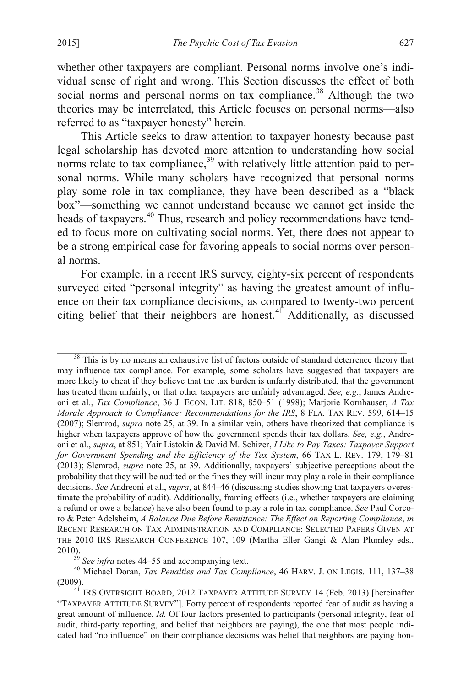whether other taxpayers are compliant. Personal norms involve one's individual sense of right and wrong. This Section discusses the effect of both social norms and personal norms on tax compliance.<sup>[38](#page-11-0)</sup> Although the two theories may be interrelated, this Article focuses on personal norms—also referred to as "taxpayer honesty" herein.

This Article seeks to draw attention to taxpayer honesty because past legal scholarship has devoted more attention to understanding how social norms relate to tax compliance,<sup>[39](#page-11-1)</sup> with relatively little attention paid to personal norms. While many scholars have recognized that personal norms play some role in tax compliance, they have been described as a "black box"—something we cannot understand because we cannot get inside the heads of taxpayers.<sup>[40](#page-11-2)</sup> Thus, research and policy recommendations have tended to focus more on cultivating social norms. Yet, there does not appear to be a strong empirical case for favoring appeals to social norms over personal norms.

<span id="page-11-5"></span><span id="page-11-4"></span>For example, in a recent IRS survey, eighty-six percent of respondents surveyed cited "personal integrity" as having the greatest amount of influence on their tax compliance decisions, as compared to twenty-two percent citing belief that their neighbors are honest. $4^{\circ}$  Additionally, as discussed

<span id="page-11-0"></span> $38$  This is by no means an exhaustive list of factors outside of standard deterrence theory that may influence tax compliance. For example, some scholars have suggested that taxpayers are more likely to cheat if they believe that the tax burden is unfairly distributed, that the government has treated them unfairly, or that other taxpayers are unfairly advantaged. *See, e.g.*, James Andreoni et al*.*, *Tax Compliance*, 36 J. ECON. LIT. 818, 850–51 (1998); Marjorie Kornhauser, *A Tax Morale Approach to Compliance: Recommendations for the IRS*, 8 FLA. TAX REV. 599, 614–15 (2007); Slemrod, *supra* note [25,](#page-8-6) at 39. In a similar vein, others have theorized that compliance is higher when taxpayers approve of how the government spends their tax dollars. *See, e.g.*, Andreoni et al., *supra*, at 851; Yair Listokin & David M. Schizer, *I Like to Pay Taxes: Taxpayer Support for Government Spending and the Efficiency of the Tax System*, 66 TAX L. REV. 179, 179–81 (2013); Slemrod, *supra* note [25,](#page-8-6) at 39. Additionally, taxpayers' subjective perceptions about the probability that they will be audited or the fines they will incur may play a role in their compliance decisions. *See* Andreoni et al., *supra*, at 844–46 (discussing studies showing that taxpayers overestimate the probability of audit). Additionally, framing effects (i.e., whether taxpayers are claiming a refund or owe a balance) have also been found to play a role in tax compliance. *See* Paul Corcoro & Peter Adelsheim, *A Balance Due Before Remittance: The Effect on Reporting Compliance*, *in* RECENT RESEARCH ON TAX ADMINISTRATION AND COMPLIANCE: SELECTED PAPERS GIVEN AT THE 2010 IRS RESEARCH CONFERENCE 107, 109 (Martha Eller Gangi & Alan Plumley eds., 2010). <sup>39</sup> *See infra* note[s 44–](#page-12-0)[55](#page-13-0) and accompanying text. <sup>40</sup> Michael Doran, *Tax Penalties and Tax Compliance*, 46 HARV. J. ON LEGIS. 111, 137–38

<span id="page-11-2"></span><span id="page-11-1"></span>

<span id="page-11-3"></span><sup>(2009).</sup> <sup>41</sup> IRS OVERSIGHT BOARD, 2012 TAXPAYER ATTITUDE SURVEY <sup>14</sup> (Feb. 2013) [hereinafter "TAXPAYER ATTITUDE SURVEY"]. Forty percent of respondents reported fear of audit as having a great amount of influence. *Id.* Of four factors presented to participants (personal integrity, fear of audit, third-party reporting, and belief that neighbors are paying), the one that most people indicated had "no influence" on their compliance decisions was belief that neighbors are paying hon-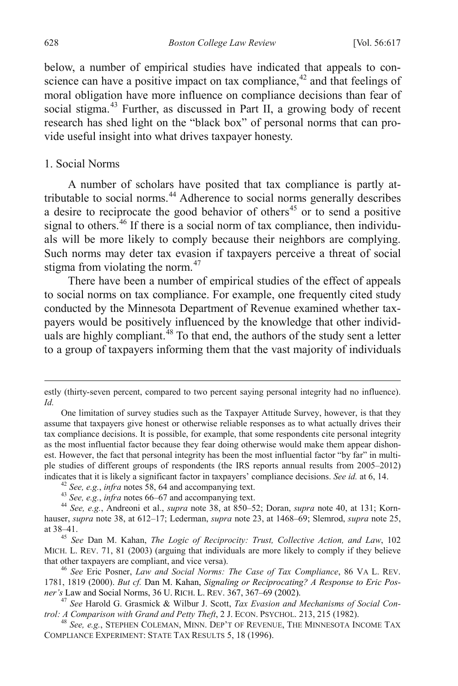below, a number of empirical studies have indicated that appeals to conscience can have a positive impact on tax compliance, $42$  and that feelings of moral obligation have more influence on compliance decisions than fear of social stigma.<sup>[43](#page-12-2)</sup> Further, as discussed in Part II, a growing body of recent research has shed light on the "black box" of personal norms that can provide useful insight into what drives taxpayer honesty.

## 1. Social Norms

<span id="page-12-8"></span><span id="page-12-0"></span>A number of scholars have posited that tax compliance is partly attributable to social norms.[44](#page-12-3) Adherence to social norms generally describes a desire to reciprocate the good behavior of others<sup>[45](#page-12-4)</sup> or to send a positive signal to others.<sup>[46](#page-12-5)</sup> If there is a social norm of tax compliance, then individuals will be more likely to comply because their neighbors are complying. Such norms may deter tax evasion if taxpayers perceive a threat of social stigma from violating the norm.<sup>[47](#page-12-6)</sup>

<span id="page-12-9"></span>There have been a number of empirical studies of the effect of appeals to social norms on tax compliance. For example, one frequently cited study conducted by the Minnesota Department of Revenue examined whether taxpayers would be positively influenced by the knowledge that other individuals are highly compliant.<sup> $48$ </sup> To that end, the authors of the study sent a letter to a group of taxpayers informing them that the vast majority of individuals

estly (thirty-seven percent, compared to two percent saying personal integrity had no influence). *Id.*

One limitation of survey studies such as the Taxpayer Attitude Survey, however, is that they assume that taxpayers give honest or otherwise reliable responses as to what actually drives their tax compliance decisions. It is possible, for example, that some respondents cite personal integrity as the most influential factor because they fear doing otherwise would make them appear dishonest. However, the fact that personal integrity has been the most influential factor "by far" in multiple studies of different groups of respondents (the IRS reports annual results from 2005–2012) indicates that it is likely a significant factor in taxpayers' compliance decisions. *See id.* at 6, 14.

<span id="page-12-3"></span><span id="page-12-2"></span><span id="page-12-1"></span><sup>&</sup>lt;sup>42</sup> See, e.g., infra note[s 58,](#page-14-0) [64](#page-14-1) and accompanying text.<br><sup>43</sup> See, e.g., infra note[s 66](#page-15-0)[–67](#page-15-1) and accompanying text.<br><sup>44</sup> See, e.g., Andreoni et al., *supra* note 38, at 850–52; Doran, *supra* note 40, at 131; Kornhauser, *supra* note 38, at 612–17; Lederman, *supra* note [23,](#page-8-0) at 1468–69; Slemrod, *supra* note [25,](#page-8-6)

<span id="page-12-4"></span>at 38–41. <sup>45</sup> *See* Dan M. Kahan, *The Logic of Reciprocity: Trust, Collective Action, and Law*, 102 MICH. L. REV. 71, 81 (2003) (arguing that individuals are more likely to comply if they believe that other taxpayers are compliant, and vice versa). <sup>46</sup> *See* Eric Posner, *Law and Social Norms: The Case of Tax Compliance*, 86 VA L. REV.

<span id="page-12-5"></span><sup>1781, 1819</sup> (2000). *But cf.* Dan M. Kahan, *Signaling or Reciprocating? A Response to Eric Pos-*

<span id="page-12-6"></span>*ner's* Law and Social Norms, 36 U. RICH. L. REV. 367, 367–69 (2002).<br><sup>47</sup> *See* Harold G. Grasmick & Wilbur J. Scott, *Tax Evasion and Mechanisms of Social Control: A Comparison with Grand and Petty Theft, 2 J. ECON. PSYC* 

<span id="page-12-7"></span><sup>&</sup>lt;sup>48</sup> See, e.g., STEPHEN COLEMAN, MINN. DEP'T OF REVENUE, THE MINNESOTA INCOME TAX COMPLIANCE EXPERIMENT: STATE TAX RESULTS 5, 18 (1996).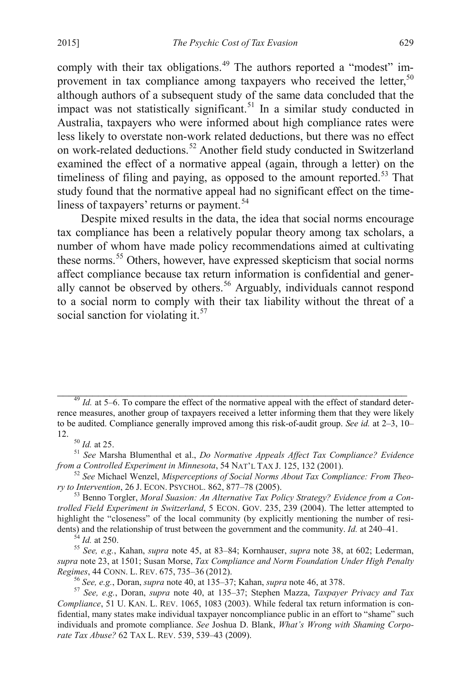comply with their tax obligations.<sup>[49](#page-13-1)</sup> The authors reported a "modest" im-provement in tax compliance among taxpayers who received the letter,<sup>[50](#page-13-2)</sup> although authors of a subsequent study of the same data concluded that the impact was not statistically significant.<sup>[51](#page-13-3)</sup> In a similar study conducted in Australia, taxpayers who were informed about high compliance rates were less likely to overstate non-work related deductions, but there was no effect on work-related deductions.<sup>[52](#page-13-4)</sup> Another field study conducted in Switzerland examined the effect of a normative appeal (again, through a letter) on the timeliness of filing and paying, as opposed to the amount reported.<sup>[53](#page-13-5)</sup> That study found that the normative appeal had no significant effect on the time-liness of taxpayers' returns or payment.<sup>[54](#page-13-6)</sup>

<span id="page-13-0"></span>Despite mixed results in the data, the idea that social norms encourage tax compliance has been a relatively popular theory among tax scholars, a number of whom have made policy recommendations aimed at cultivating these norms.<sup>[55](#page-13-7)</sup> Others, however, have expressed skepticism that social norms affect compliance because tax return information is confidential and gener-ally cannot be observed by others.<sup>[56](#page-13-8)</sup> Arguably, individuals cannot respond to a social norm to comply with their tax liability without the threat of a social sanction for violating it.  $57$ 

<span id="page-13-3"></span><span id="page-13-2"></span>

<span id="page-13-4"></span>*from a Controlled Experiment in Minnesota*, 54 NAT'L TAX J. 125, 132 (2001).<br><sup>52</sup> *See* Michael Wenzel, *Misperceptions of Social Norms About Tax Compliance: From Theo-*<br>*ry to Intervention*, 26 J. ECON. PSYCHOL. 862, 877

<span id="page-13-5"></span><sup>53</sup> Benno Torgler, *Moral Suasion: An Alternative Tax Policy Strategy? Evidence from a Controlled Field Experiment in Switzerland*, 5 ECON. GOV. 235, 239 (2004). The letter attempted to highlight the "closeness" of the local community (by explicitly mentioning the number of resi-<br>dents) and the relationship of trust between the government and the community.  $Id$  at 240–41.

<span id="page-13-7"></span><span id="page-13-6"></span><sup>54</sup> *Id.* at 250.<br><sup>55</sup> *See, e.g.*, Kahan, *supra* note [45,](#page-12-8) at 83–84; Kornhauser, *supra* note 38, at 602; Lederman, *supra* not[e 23,](#page-8-0) at 1501; Susan Morse, *Tax Compliance and Norm Foundation Under High Penalty* 

<span id="page-13-9"></span><span id="page-13-8"></span><sup>56</sup> See, e.g., Doran, *supra* note [40,](#page-11-4) at 135–37; Kahan, *supra* note 46, at 378.<br><sup>57</sup> See, e.g., Doran, *supra* note 40, at 135–37; Stephen Mazza, *Taxpayer Privacy and Tax Compliance*, 51 U. KAN. L. REV. 1065, 1083 (2003). While federal tax return information is confidential, many states make individual taxpayer noncompliance public in an effort to "shame" such individuals and promote compliance. *See* Joshua D. Blank, *What's Wrong with Shaming Corporate Tax Abuse?* 62 TAX L. REV. 539, 539–43 (2009).

<span id="page-13-1"></span> $^{49}$  *Id.* at 5–6. To compare the effect of the normative appeal with the effect of standard deterrence measures, another group of taxpayers received a letter informing them that they were likely to be audited. Compliance generally improved among this risk-of-audit group. *See id.* at 2–3, 10– 12. <sup>50</sup> *Id.* at 25. <sup>51</sup> *See* Marsha Blumenthal et al., *Do Normative Appeals Affect Tax Compliance? Evidence*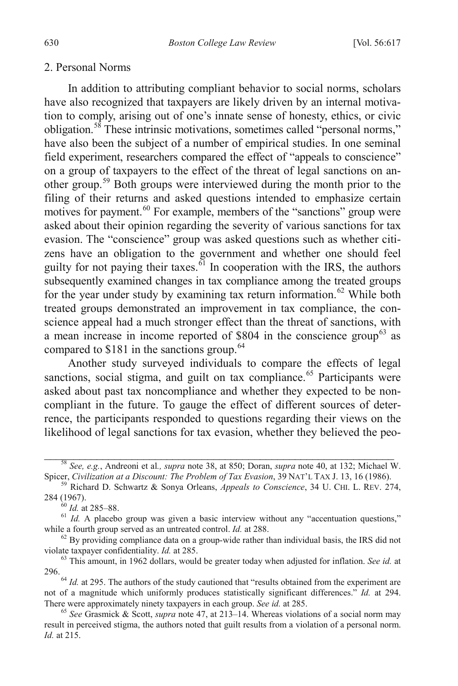# 2. Personal Norms

<span id="page-14-10"></span><span id="page-14-0"></span>In addition to attributing compliant behavior to social norms, scholars have also recognized that taxpayers are likely driven by an internal motivation to comply, arising out of one's innate sense of honesty, ethics, or civic obligation.[58](#page-14-2) These intrinsic motivations, sometimes called "personal norms," have also been the subject of a number of empirical studies. In one seminal field experiment, researchers compared the effect of "appeals to conscience" on a group of taxpayers to the effect of the threat of legal sanctions on another group.[59](#page-14-3) Both groups were interviewed during the month prior to the filing of their returns and asked questions intended to emphasize certain motives for payment.<sup>[60](#page-14-4)</sup> For example, members of the "sanctions" group were asked about their opinion regarding the severity of various sanctions for tax evasion. The "conscience" group was asked questions such as whether citizens have an obligation to the government and whether one should feel guilty for not paying their taxes.<sup> $\delta$ 1</sup> In cooperation with the IRS, the authors subsequently examined changes in tax compliance among the treated groups for the year under study by examining tax return information.<sup>[62](#page-14-6)</sup> While both treated groups demonstrated an improvement in tax compliance, the conscience appeal had a much stronger effect than the threat of sanctions, with a mean increase in income reported of  $$804$  in the conscience group<sup>[63](#page-14-7)</sup> as compared to \$181 in the sanctions group.<sup>[64](#page-14-8)</sup>

<span id="page-14-1"></span>Another study surveyed individuals to compare the effects of legal sanctions, social stigma, and guilt on tax compliance.<sup>[65](#page-14-9)</sup> Participants were asked about past tax noncompliance and whether they expected to be noncompliant in the future. To gauge the effect of different sources of deterrence, the participants responded to questions regarding their views on the likelihood of legal sanctions for tax evasion, whether they believed the peo-

<span id="page-14-2"></span>\_\_\_\_\_\_\_\_\_\_\_\_\_\_\_\_\_\_\_\_\_\_\_\_\_\_\_\_\_\_\_\_\_\_\_\_\_\_\_\_\_\_\_\_\_\_\_\_\_\_\_\_\_\_\_\_\_\_\_\_ <sup>58</sup> *See, e.g.*, Andreoni et al*., supra* note 38, at 850; Doran, *supra* note 40, at 132; Michael W.

<span id="page-14-3"></span><sup>&</sup>lt;sup>59</sup> Richard D. Schwartz & Sonya Orleans, *Appeals to Conscience*, 34 U. CHI. L. REV. 274,

<span id="page-14-5"></span><span id="page-14-4"></span><sup>284 (1967).&</sup>lt;br><sup>60</sup> *Id.* at 285–88.<br><sup>61</sup> *Id.* A placebo group was given a basic interview without any "accentuation questions,"<br>while a fourth group served as an untreated control. *Id.* at 288.

<span id="page-14-6"></span><sup>&</sup>lt;sup>62</sup> By providing compliance data on a group-wide rather than individual basis, the IRS did not violate taxpayer confidentiality. *Id.* at 285.<br><sup>63</sup> This amount, in 1962 dollars, would be greater today when adjusted for inflation. *See id.* at

<span id="page-14-7"></span>

<span id="page-14-8"></span><sup>&</sup>lt;sup>64</sup> *Id.* at 295. The authors of the study cautioned that "results obtained from the experiment are 294. not of a magnitude which uniformly produces statistically significant differences." *Id.* at 294.<br>There were approximately ninety taxpayers in each group. *See id.* at 285.

<span id="page-14-9"></span><sup>&</sup>lt;sup>65</sup> See Grasmick & Scott, *supra* note [47,](#page-12-9) at 213–14. Whereas violations of a social norm may result in perceived stigma, the authors noted that guilt results from a violation of a personal norm. *Id.* at 215.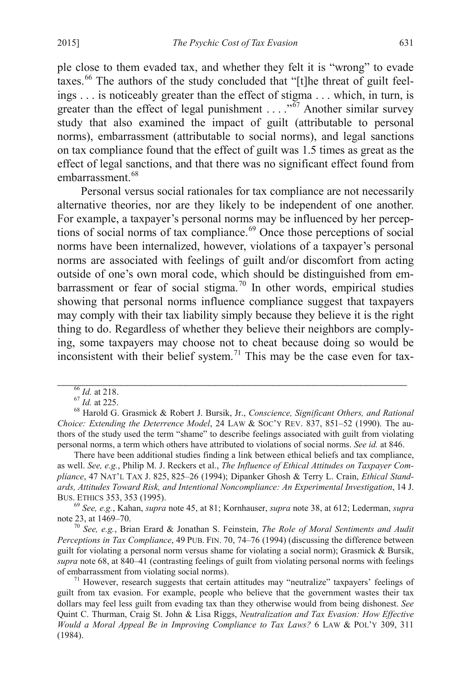<span id="page-15-1"></span><span id="page-15-0"></span>ple close to them evaded tax, and whether they felt it is "wrong" to evade taxes.[66](#page-15-2) The authors of the study concluded that "[t]he threat of guilt feelings . . . is noticeably greater than the effect of stigma . . . which, in turn, is greater than the effect of legal punishment ...  $\cdot$ <sup>[67](#page-15-3)</sup> Another similar survey study that also examined the impact of guilt (attributable to personal norms), embarrassment (attributable to social norms), and legal sanctions on tax compliance found that the effect of guilt was 1.5 times as great as the effect of legal sanctions, and that there was no significant effect found from embarrassment.<sup>[68](#page-15-4)</sup>

<span id="page-15-9"></span>Personal versus social rationales for tax compliance are not necessarily alternative theories, nor are they likely to be independent of one another. For example, a taxpayer's personal norms may be influenced by her percep-tions of social norms of tax compliance.<sup>[69](#page-15-5)</sup> Once those perceptions of social norms have been internalized, however, violations of a taxpayer's personal norms are associated with feelings of guilt and/or discomfort from acting outside of one's own moral code, which should be distinguished from em-barrassment or fear of social stigma.<sup>[70](#page-15-6)</sup> In other words, empirical studies showing that personal norms influence compliance suggest that taxpayers may comply with their tax liability simply because they believe it is the right thing to do. Regardless of whether they believe their neighbors are complying, some taxpayers may choose not to cheat because doing so would be inconsistent with their belief system.<sup>[71](#page-15-7)</sup> This may be the case even for tax-

There have been additional studies finding a link between ethical beliefs and tax compliance, as well. *See, e.g.*, Philip M. J. Reckers et al., *The Influence of Ethical Attitudes on Taxpayer Compliance*, 47 NAT'L TAX J. 825, 825–26 (1994); Dipanker Ghosh & Terry L. Crain, *Ethical Standards, Attitudes Toward Risk, and Intentional Noncompliance: An Experimental Investigation*, 14 J.

<span id="page-15-5"></span>BUS. ETHICS 353, 353 (1995). <sup>69</sup> *See, e.g.*, Kahan, *supra* note [45,](#page-12-8) at 81; Kornhauser, *supra* note 38, at 612; Lederman, *supra* 

<span id="page-15-6"></span><sup>70</sup> See, e.g., Brian Erard & Jonathan S. Feinstein, *The Role of Moral Sentiments and Audit Perceptions in Tax Compliance*, 49 PUB. FIN. 70, 74–76 (1994) (discussing the difference between guilt for violating a personal norm versus shame for violating a social norm); Grasmick & Bursik, *supra* note 68, at 840–41 (contrasting feelings of guilt from violating personal norms with feelings of embarrassment from violating social norms).<br><sup>71</sup> However, research suggests that certain attitudes may "neutralize" taxpayers' feelings of

<span id="page-15-7"></span>guilt from tax evasion. For example, people who believe that the government wastes their tax dollars may feel less guilt from evading tax than they otherwise would from being dishonest. *See*  Quint C. Thurman, Craig St. John & Lisa Riggs, *Neutralization and Tax Evasion: How Effective Would a Moral Appeal Be in Improving Compliance to Tax Laws?* 6 LAW & POL'Y 309, 311 (1984).

<span id="page-15-8"></span>

<span id="page-15-4"></span><span id="page-15-3"></span><span id="page-15-2"></span>\_\_\_\_\_\_\_\_\_\_\_\_\_\_\_\_\_\_\_\_\_\_\_\_\_\_\_\_\_\_\_\_\_\_\_\_\_\_\_\_\_\_\_\_\_\_\_\_\_\_\_\_\_\_\_\_\_\_\_\_ <sup>66</sup> *Id.* at 218. <sup>67</sup> *Id.* at 225. <sup>68</sup> Harold G. Grasmick & Robert J. Bursik, Jr., *Conscience, Significant Others, and Rational Choice: Extending the Deterrence Model*, 24 LAW & SOC'Y REV. 837, 851–52 (1990). The authors of the study used the term "shame" to describe feelings associated with guilt from violating personal norms, a term which others have attributed to violations of social norms. *See id.* at 846.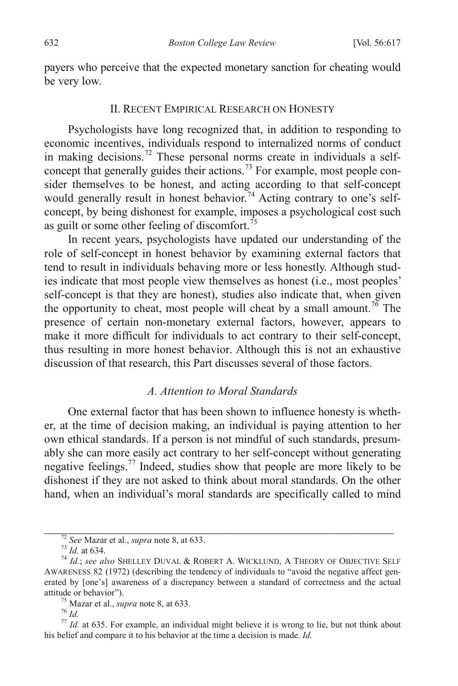payers who perceive that the expected monetary sanction for cheating would be very low.

### II. RECENT EMPIRICAL RESEARCH ON HONESTY

Psychologists have long recognized that, in addition to responding to economic incentives, individuals respond to internalized norms of conduct in making decisions.<sup>[72](#page-16-1)</sup> These personal norms create in individuals a self-concept that generally guides their actions.<sup>[73](#page-16-2)</sup> For example, most people consider themselves to be honest, and acting according to that self-concept would generally result in honest behavior.<sup>[74](#page-16-3)</sup> Acting contrary to one's selfconcept, by being dishonest for example, imposes a psychological cost such as guilt or some other feeling of discomfort.  $\bar{7}$ :

In recent years, psychologists have updated our understanding of the role of self-concept in honest behavior by examining external factors that tend to result in individuals behaving more or less honestly. Although studies indicate that most people view themselves as honest (i.e., most peoples' self-concept is that they are honest), studies also indicate that, when given the opportunity to cheat, most people will cheat by a small amount.<sup>[76](#page-16-5)</sup> The presence of certain non-monetary external factors, however, appears to make it more difficult for individuals to act contrary to their self-concept, thus resulting in more honest behavior. Although this is not an exhaustive discussion of that research, this Part discusses several of those factors.

## <span id="page-16-0"></span>*A. Attention to Moral Standards*

One external factor that has been shown to influence honesty is whether, at the time of decision making, an individual is paying attention to her own ethical standards. If a person is not mindful of such standards, presumably she can more easily act contrary to her self-concept without generating negative feelings.[77](#page-16-6) Indeed, studies show that people are more likely to be dishonest if they are not asked to think about moral standards. On the other hand, when an individual's moral standards are specifically called to mind

\_\_\_\_\_\_\_\_\_\_\_\_\_\_\_\_\_\_\_\_\_\_\_\_\_\_\_\_\_\_\_\_\_\_\_\_\_\_\_\_\_\_\_\_\_\_\_\_\_\_\_\_\_\_\_\_\_\_\_\_

<span id="page-16-3"></span><span id="page-16-2"></span><span id="page-16-1"></span><sup>&</sup>lt;sup>72</sup> *See* Mazar et al., *supra* not[e 8,](#page-4-0) at 633.<br><sup>73</sup> *Id.* at 634.<br><sup>74</sup> *Id.*; *see also* SHELLEY DUVAL & ROBERT A. WICKLUND, A THEORY OF OBJECTIVE SELF AWARENESS 82 (1972) (describing the tendency of individuals to "avoid the negative affect generated by [one's] awareness of a discrepancy between a standard of correctness and the actual attitude or behavior").<br>
<sup>75</sup> Mazar et al., *supra* not[e 8,](#page-4-0) at 633.<br>
<sup>76</sup> *Id.* <sup>77</sup> *Id.* at 635. For example, an individual might believe it is wrong to lie, but not think about <br>
<sup>77</sup> *Id.* at 635. For example, an indiv

<span id="page-16-6"></span><span id="page-16-5"></span><span id="page-16-4"></span>his belief and compare it to his behavior at the time a decision is made. *Id.*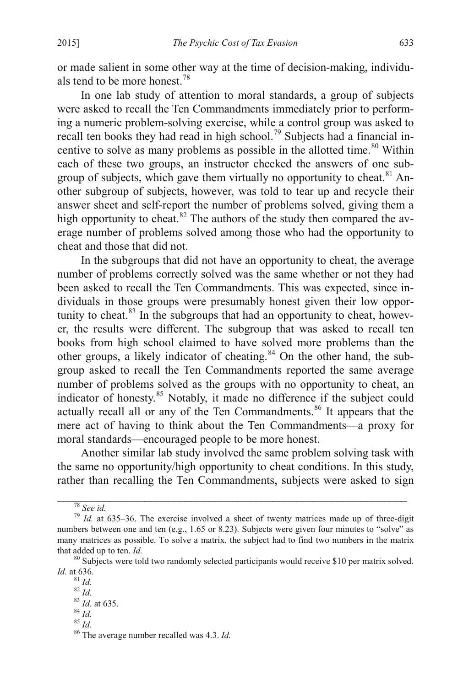or made salient in some other way at the time of decision-making, individuals tend to be more honest.[78](#page-17-0)

<span id="page-17-9"></span>In one lab study of attention to moral standards, a group of subjects were asked to recall the Ten Commandments immediately prior to performing a numeric problem-solving exercise, while a control group was asked to recall ten books they had read in high school.<sup>[79](#page-17-1)</sup> Subjects had a financial in-centive to solve as many problems as possible in the allotted time.<sup>[80](#page-17-2)</sup> Within each of these two groups, an instructor checked the answers of one subgroup of subjects, which gave them virtually no opportunity to cheat. $81$  Another subgroup of subjects, however, was told to tear up and recycle their answer sheet and self-report the number of problems solved, giving them a high opportunity to cheat.<sup>[82](#page-17-4)</sup> The authors of the study then compared the average number of problems solved among those who had the opportunity to cheat and those that did not.

In the subgroups that did not have an opportunity to cheat, the average number of problems correctly solved was the same whether or not they had been asked to recall the Ten Commandments. This was expected, since individuals in those groups were presumably honest given their low opportunity to cheat. $83$  In the subgroups that had an opportunity to cheat, however, the results were different. The subgroup that was asked to recall ten books from high school claimed to have solved more problems than the other groups, a likely indicator of cheating. $84$  On the other hand, the subgroup asked to recall the Ten Commandments reported the same average number of problems solved as the groups with no opportunity to cheat, an indicator of honesty.[85](#page-17-7) Notably, it made no difference if the subject could actually recall all or any of the Ten Commandments.<sup>[86](#page-17-8)</sup> It appears that the mere act of having to think about the Ten Commandments—a proxy for moral standards—encouraged people to be more honest.

Another similar lab study involved the same problem solving task with the same no opportunity/high opportunity to cheat conditions. In this study, rather than recalling the Ten Commandments, subjects were asked to sign

 $\mathcal{L}_\text{max}$  , and the contract of the contract of the contract of the contract of the contract of the contract of

- <span id="page-17-7"></span><span id="page-17-6"></span>
- <span id="page-17-8"></span>

<span id="page-17-10"></span>

<span id="page-17-1"></span><span id="page-17-0"></span><sup>&</sup>lt;sup>78</sup> *See id.* <sup>79</sup> *Id.* at 635–36. The exercise involved a sheet of twenty matrices made up of three-digit numbers between one and ten (e.g., 1.65 or 8.23). Subjects were given four minutes to "solve" as many matrices as possible. To solve a matrix, the subject had to find two numbers in the matrix that added up to ten. *Id.* 80 Subjects were told two randomly selected participants would receive \$10 per matrix solved.

<span id="page-17-5"></span><span id="page-17-4"></span><span id="page-17-3"></span><span id="page-17-2"></span>*Id.* at 636.

<sup>82</sup>  $\overline{1d}$ .<br>
83 *Id.* at 635.<br>
84 *Id.*<br>
85 *Id.* 86 The average number recalled was 4.3. *Id.*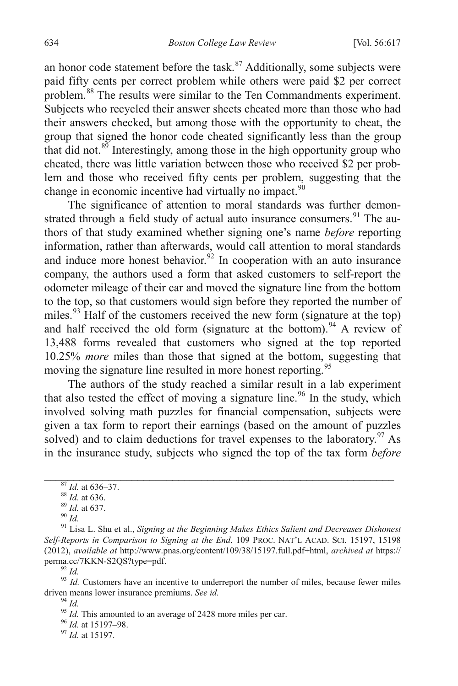an honor code statement before the task. $87$  Additionally, some subjects were paid fifty cents per correct problem while others were paid \$2 per correct problem.<sup>[88](#page-18-1)</sup> The results were similar to the Ten Commandments experiment. Subjects who recycled their answer sheets cheated more than those who had their answers checked, but among those with the opportunity to cheat, the group that signed the honor code cheated significantly less than the group that did not. $8\overline{9}$  Interestingly, among those in the high opportunity group who cheated, there was little variation between those who received \$2 per problem and those who received fifty cents per problem, suggesting that the change in economic incentive had virtually no impact.  $90$ 

The significance of attention to moral standards was further demon-strated through a field study of actual auto insurance consumers.<sup>[91](#page-18-4)</sup> The authors of that study examined whether signing one's name *before* reporting information, rather than afterwards, would call attention to moral standards and induce more honest behavior.<sup>[92](#page-18-5)</sup> In cooperation with an auto insurance company, the authors used a form that asked customers to self-report the odometer mileage of their car and moved the signature line from the bottom to the top, so that customers would sign before they reported the number of miles.<sup>[93](#page-18-6)</sup> Half of the customers received the new form (signature at the top) and half received the old form (signature at the bottom).<sup>[94](#page-18-7)</sup> A review of 13,488 forms revealed that customers who signed at the top reported 10.25% *more* miles than those that signed at the bottom, suggesting that moving the signature line resulted in more honest reporting.<sup>[95](#page-18-8)</sup>

<span id="page-18-11"></span>The authors of the study reached a similar result in a lab experiment that also tested the effect of moving a signature line.<sup>[96](#page-18-9)</sup> In the study, which involved solving math puzzles for financial compensation, subjects were given a tax form to report their earnings (based on the amount of puzzles solved) and to claim deductions for travel expenses to the laboratory.<sup>[97](#page-18-10)</sup> As in the insurance study, subjects who signed the top of the tax form *before*

<span id="page-18-9"></span><span id="page-18-8"></span><span id="page-18-7"></span><span id="page-18-6"></span><span id="page-18-5"></span>driven means lower insurance premiums. *See id.* <sup>95</sup> *Id.* This amounted to an average of 2428 more miles per car. <sup>96</sup> *Id.* at 15197–98. <sup>97</sup> *Id.* at 15197.

<span id="page-18-10"></span>

<span id="page-18-4"></span><span id="page-18-3"></span><span id="page-18-2"></span><span id="page-18-1"></span><span id="page-18-0"></span><sup>&</sup>lt;sup>87</sup> *Id.* at 636–37.<br><sup>88</sup> *Id.* at 636.<br><sup>89</sup> *Id.* at 637.<br><sup>90</sup> *Id.*<br><sup>91</sup> Lisa L. Shu et al., *Signing at the Beginning Makes Ethics Salient and Decreases Dishonest Self-Reports in Comparison to Signing at the End*, 109 PROC. NAT'L ACAD. SCI. 15197, 15198 (2012), *available at* http://www.pnas.org/content/109/38/15197.full.pdf+html, *archived at* https:// perma.cc/7KKN-S2QS?type=pdf.<br><sup>92</sup> *Id.* <sup>93</sup> *Id.* Customers have an incentive to underreport the number of miles, because fewer miles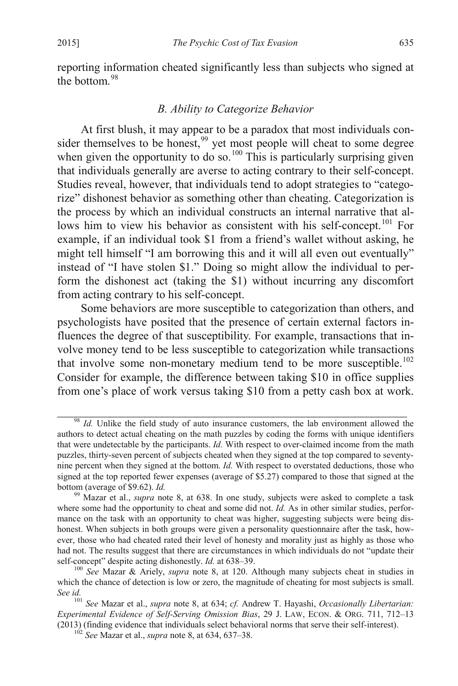<span id="page-19-0"></span>reporting information cheated significantly less than subjects who signed at the bottom <sup>[98](#page-19-1)</sup>

#### *B. Ability to Categorize Behavior*

At first blush, it may appear to be a paradox that most individuals con-sider themselves to be honest,<sup>[99](#page-19-2)</sup> yet most people will cheat to some degree when given the opportunity to do so.<sup>[100](#page-19-3)</sup> This is particularly surprising given that individuals generally are averse to acting contrary to their self-concept. Studies reveal, however, that individuals tend to adopt strategies to "categorize" dishonest behavior as something other than cheating. Categorization is the process by which an individual constructs an internal narrative that al-lows him to view his behavior as consistent with his self-concept.<sup>[101](#page-19-4)</sup> For example, if an individual took \$1 from a friend's wallet without asking, he might tell himself "I am borrowing this and it will all even out eventually" instead of "I have stolen \$1." Doing so might allow the individual to perform the dishonest act (taking the \$1) without incurring any discomfort from acting contrary to his self-concept.

Some behaviors are more susceptible to categorization than others, and psychologists have posited that the presence of certain external factors influences the degree of that susceptibility. For example, transactions that involve money tend to be less susceptible to categorization while transactions that involve some non-monetary medium tend to be more susceptible. $102$ Consider for example, the difference between taking \$10 in office supplies from one's place of work versus taking \$10 from a petty cash box at work.

<span id="page-19-1"></span><sup>&</sup>lt;sup>98</sup> Id. Unlike the field study of auto insurance customers, the lab environment allowed the authors to detect actual cheating on the math puzzles by coding the forms with unique identifiers that were undetectable by the participants. *Id.* With respect to over-claimed income from the math puzzles, thirty-seven percent of subjects cheated when they signed at the top compared to seventynine percent when they signed at the bottom. *Id.* With respect to overstated deductions, those who signed at the top reported fewer expenses (average of \$5.27) compared to those that signed at the bottom (average of \$9.62). *Id.* <sup>99</sup> Mazar et al., *supra* note [8,](#page-4-0) at 638. In one study, subjects were asked to complete a task

<span id="page-19-2"></span>where some had the opportunity to cheat and some did not. *Id.* As in other similar studies, performance on the task with an opportunity to cheat was higher, suggesting subjects were being dishonest. When subjects in both groups were given a personality questionnaire after the task, however, those who had cheated rated their level of honesty and morality just as highly as those who had not. The results suggest that there are circumstances in which individuals do not "update their self-concept" despite acting dishonestly. *Id.* at 638–39.<br><sup>100</sup> *See* Mazar & Ariely, *supra* note 8, at 120. Although many subjects cheat in studies in

<span id="page-19-3"></span>which the chance of detection is low or zero, the magnitude of cheating for most subjects is small. *See id.* <sup>101</sup> *See* Mazar et al., *supra* note [8,](#page-4-0) at 634; *cf.* Andrew T. Hayashi, *Occasionally Libertarian:* 

<span id="page-19-5"></span><span id="page-19-4"></span>*Experimental Evidence of Self-Serving Omission Bias*, 29 J. LAW, ECON. & ORG. 711, 712–13 (2013) (finding evidence that individuals select behavioral norms that serve their self-interest). <sup>102</sup> *See* Mazar et al., *supra* not[e 8,](#page-4-0) at 634, 637–38.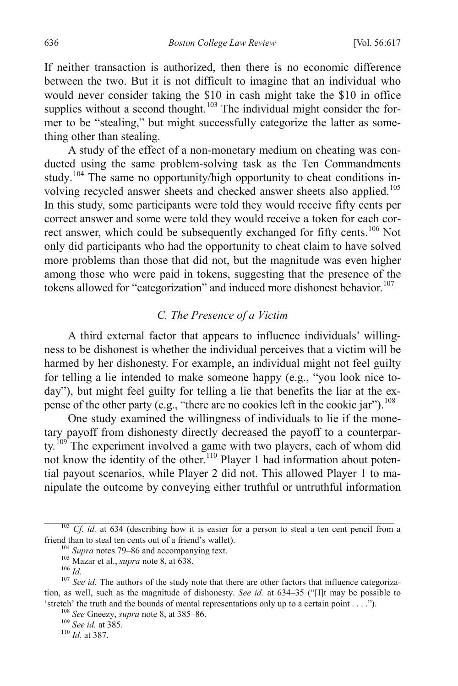If neither transaction is authorized, then there is no economic difference between the two. But it is not difficult to imagine that an individual who would never consider taking the \$10 in cash might take the \$10 in office supplies without a second thought.<sup>[103](#page-20-0)</sup> The individual might consider the former to be "stealing," but might successfully categorize the latter as something other than stealing.

<span id="page-20-8"></span>A study of the effect of a non-monetary medium on cheating was conducted using the same problem-solving task as the Ten Commandments study.<sup>[104](#page-20-1)</sup> The same no opportunity/high opportunity to cheat conditions in-volving recycled answer sheets and checked answer sheets also applied.<sup>[105](#page-20-2)</sup> In this study, some participants were told they would receive fifty cents per correct answer and some were told they would receive a token for each cor-rect answer, which could be subsequently exchanged for fifty cents.<sup>[106](#page-20-3)</sup> Not only did participants who had the opportunity to cheat claim to have solved more problems than those that did not, but the magnitude was even higher among those who were paid in tokens, suggesting that the presence of the tokens allowed for "categorization" and induced more dishonest behavior.<sup>[107](#page-20-4)</sup>

# <span id="page-20-9"></span>*C. The Presence of a Victim*

A third external factor that appears to influence individuals' willingness to be dishonest is whether the individual perceives that a victim will be harmed by her dishonesty. For example, an individual might not feel guilty for telling a lie intended to make someone happy (e.g., "you look nice today"), but might feel guilty for telling a lie that benefits the liar at the ex-pense of the other party (e.g., "there are no cookies left in the cookie jar").<sup>[108](#page-20-5)</sup>

<span id="page-20-10"></span>One study examined the willingness of individuals to lie if the monetary payoff from dishonesty directly decreased the payoff to a counterpar-ty.<sup>[109](#page-20-6)</sup> The experiment involved a game with two players, each of whom did not know the identity of the other.<sup>[110](#page-20-7)</sup> Player 1 had information about potential payout scenarios, while Player 2 did not. This allowed Player 1 to manipulate the outcome by conveying either truthful or untruthful information

<span id="page-20-0"></span> $\frac{103}{103}$  Cf. *id.* at 634 (describing how it is easier for a person to steal a ten cent pencil from a friend than to steal ten cents out of a friend's wallet).

<span id="page-20-4"></span><span id="page-20-3"></span><span id="page-20-2"></span><span id="page-20-1"></span><sup>&</sup>lt;sup>104</sup> Supra note[s 79](#page-17-9)[–86](#page-17-10) and accompanying text.<br><sup>105</sup> Mazar et al., *supra* note [8,](#page-4-0) at 638.<br><sup>106</sup> Id.<br><sup>107</sup> See id. The authors of the study note that there are other factors that influence categorization, as well, such as the magnitude of dishonesty. *See id.* at 634–35 ("[I]t may be possible to 'stretch' the truth and the bounds of mental representations only up to a certain point . . . ."). <sup>108</sup> *See* Gneezy, *supra* not[e 8,](#page-4-0) at 385–86. <sup>109</sup> *See id.* at 385. <sup>110</sup> *Id.* at 387.

<span id="page-20-6"></span><span id="page-20-5"></span>

<span id="page-20-7"></span>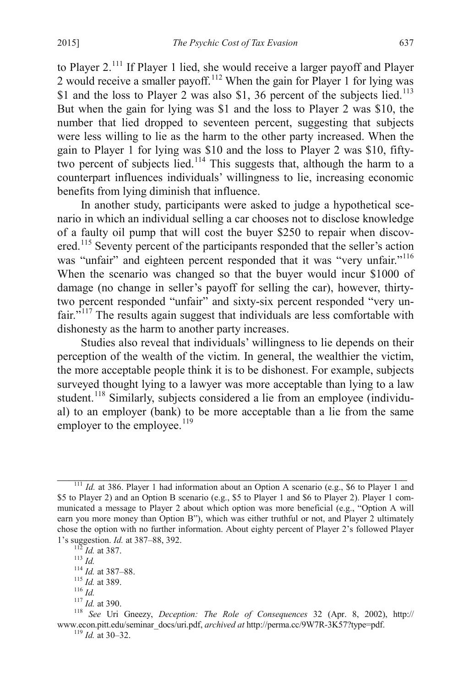to Player 2.<sup>[111](#page-21-0)</sup> If Player 1 lied, she would receive a larger payoff and Player 2 would receive a smaller payoff.<sup>[112](#page-21-1)</sup> When the gain for Player 1 for lying was \$1 and the loss to Player  $2$  was also \$1, 36 percent of the subjects lied.<sup>[113](#page-21-2)</sup> But when the gain for lying was \$1 and the loss to Player 2 was \$10, the number that lied dropped to seventeen percent, suggesting that subjects were less willing to lie as the harm to the other party increased. When the gain to Player 1 for lying was \$10 and the loss to Player 2 was \$10, fifty-two percent of subjects lied.<sup>[114](#page-21-3)</sup> This suggests that, although the harm to a counterpart influences individuals' willingness to lie, increasing economic benefits from lying diminish that influence.

In another study, participants were asked to judge a hypothetical scenario in which an individual selling a car chooses not to disclose knowledge of a faulty oil pump that will cost the buyer \$250 to repair when discov-ered.<sup>[115](#page-21-4)</sup> Seventy percent of the participants responded that the seller's action was "unfair" and eighteen percent responded that it was "very unfair."<sup>[116](#page-21-5)</sup> When the scenario was changed so that the buyer would incur \$1000 of damage (no change in seller's payoff for selling the car), however, thirtytwo percent responded "unfair" and sixty-six percent responded "very unfair."[117](#page-21-6) The results again suggest that individuals are less comfortable with dishonesty as the harm to another party increases.

<span id="page-21-9"></span>Studies also reveal that individuals' willingness to lie depends on their perception of the wealth of the victim. In general, the wealthier the victim, the more acceptable people think it is to be dishonest. For example, subjects surveyed thought lying to a lawyer was more acceptable than lying to a law student.<sup>[118](#page-21-7)</sup> Similarly, subjects considered a lie from an employee (individual) to an employer (bank) to be more acceptable than a lie from the same employer to the employee. $119$ 

<span id="page-21-0"></span> $\frac{111}{11}$  *Id.* at 386. Player 1 had information about an Option A scenario (e.g., \$6 to Player 1 and \$5 to Player 2) and an Option B scenario (e.g., \$5 to Player 1 and \$6 to Player 2). Player 1 communicated a message to Player 2 about which option was more beneficial (e.g., "Option A will earn you more money than Option B"), which was either truthful or not, and Player 2 ultimately chose the option with no further information. About eighty percent of Player 2's followed Player

<span id="page-21-6"></span><span id="page-21-5"></span>

<span id="page-21-7"></span>

<span id="page-21-4"></span><span id="page-21-3"></span><span id="page-21-2"></span><span id="page-21-1"></span><sup>1&#</sup>x27;s suggestion. *Id.* at 387–88, 392.<br>
<sup>112</sup> *Id.* at 387.<br>
<sup>113</sup> *Id.*<br>
<sup>114</sup> *Id.* at 387–88.<br>
<sup>115</sup> *Id.* at 389.<br>
<sup>116</sup> *Id.*<br>
<sup>117</sup> *Id.* at 390.<br>
<sup>118</sup> *See* Uri Gneezy, *Deception: The Role of Consequences* 32 (Apr www.econ.pitt.edu/seminar\_docs/uri.pdf, *archived at* http://perma.cc/9W7R-3K57?type=pdf. <sup>119</sup> *Id.* at 30–32.

<span id="page-21-8"></span>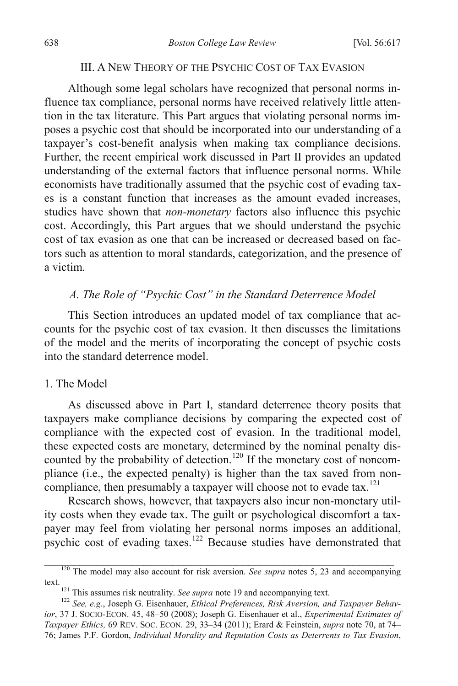## III. A NEW THEORY OF THE PSYCHIC COST OF TAX EVASION

Although some legal scholars have recognized that personal norms influence tax compliance, personal norms have received relatively little attention in the tax literature. This Part argues that violating personal norms imposes a psychic cost that should be incorporated into our understanding of a taxpayer's cost-benefit analysis when making tax compliance decisions. Further, the recent empirical work discussed in Part II provides an updated understanding of the external factors that influence personal norms. While economists have traditionally assumed that the psychic cost of evading taxes is a constant function that increases as the amount evaded increases, studies have shown that *non-monetary* factors also influence this psychic cost. Accordingly, this Part argues that we should understand the psychic cost of tax evasion as one that can be increased or decreased based on factors such as attention to moral standards, categorization, and the presence of a victim.

## *A. The Role of "Psychic Cost" in the Standard Deterrence Model*

This Section introduces an updated model of tax compliance that accounts for the psychic cost of tax evasion. It then discusses the limitations of the model and the merits of incorporating the concept of psychic costs into the standard deterrence model.

## 1. The Model

As discussed above in Part I, standard deterrence theory posits that taxpayers make compliance decisions by comparing the expected cost of compliance with the expected cost of evasion. In the traditional model, these expected costs are monetary, determined by the nominal penalty dis-counted by the probability of detection.<sup>[120](#page-22-0)</sup> If the monetary cost of noncompliance (i.e., the expected penalty) is higher than the tax saved from non-compliance, then presumably a taxpayer will choose not to evade tax.<sup>[121](#page-22-1)</sup>

Research shows, however, that taxpayers also incur non-monetary utility costs when they evade tax. The guilt or psychological discomfort a taxpayer may feel from violating her personal norms imposes an additional, psychic cost of evading taxes.<sup>[122](#page-22-2)</sup> Because studies have demonstrated that

<span id="page-22-0"></span>\_\_\_\_\_\_\_\_\_\_\_\_\_\_\_\_\_\_\_\_\_\_\_\_\_\_\_\_\_\_\_\_\_\_\_\_\_\_\_\_\_\_\_\_\_\_\_\_\_\_\_\_\_\_\_\_\_\_\_\_ <sup>120</sup> The model may also account for risk aversion. *See supra* notes [5,](#page-2-4) [23](#page-8-0) and accompanying text.

<span id="page-22-3"></span>

<span id="page-22-2"></span><span id="page-22-1"></span><sup>&</sup>lt;sup>121</sup> This assumes risk neutrality. *See supra* not[e 19](#page-7-5) and accompanying text.<br><sup>122</sup> *See, e.g.*, Joseph G. Eisenhauer, *Ethical Preferences, Risk Aversion, and Taxpayer Behavior*, 37 J. SOCIO-ECON. 45, 48–50 (2008); Joseph G. Eisenhauer et al., *Experimental Estimates of Taxpayer Ethics,* 69 REV. SOC. ECON. 29, 33–34 (2011); Erard & Feinstein, *supra* not[e 70,](#page-15-8) at 74– 76; James P.F. Gordon, *Individual Morality and Reputation Costs as Deterrents to Tax Evasion*,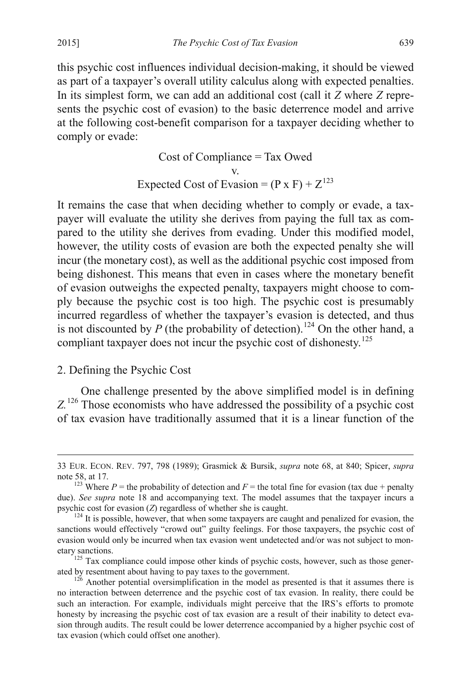this psychic cost influences individual decision-making, it should be viewed as part of a taxpayer's overall utility calculus along with expected penalties. In its simplest form, we can add an additional cost (call it *Z* where *Z* represents the psychic cost of evasion) to the basic deterrence model and arrive at the following cost-benefit comparison for a taxpayer deciding whether to comply or evade:

Cost of Compliance = Tax Owed  
v.  
Expected Cost of Evasion = 
$$
(P \times F) + Z^{123}
$$

It remains the case that when deciding whether to comply or evade, a taxpayer will evaluate the utility she derives from paying the full tax as compared to the utility she derives from evading. Under this modified model, however, the utility costs of evasion are both the expected penalty she will incur (the monetary cost), as well as the additional psychic cost imposed from being dishonest. This means that even in cases where the monetary benefit of evasion outweighs the expected penalty, taxpayers might choose to comply because the psychic cost is too high. The psychic cost is presumably incurred regardless of whether the taxpayer's evasion is detected, and thus is not discounted by  $P$  (the probability of detection).<sup>[124](#page-23-1)</sup> On the other hand, a compliant taxpayer does not incur the psychic cost of dishonesty.<sup>[125](#page-23-2)</sup>

## 2. Defining the Psychic Cost

One challenge presented by the above simplified model is in defining *Z.*[126](#page-23-3) Those economists who have addressed the possibility of a psychic cost of tax evasion have traditionally assumed that it is a linear function of the

 <sup>33</sup> EUR. ECON. REV. 797, 798 (1989); Grasmick & Bursik, *supra* note [68,](#page-15-9) at 840; Spicer, *supra*  note [58,](#page-14-0) at 17. <sup>123</sup> Where *P* = the probability of detection and *F* = the total fine for evasion (tax due + penalty

<span id="page-23-0"></span>due). *See supra* note [18](#page-7-0) and accompanying text. The model assumes that the taxpayer incurs a psychic cost for evasion (*Z*) regardless of whether she is caught.<br><sup>124</sup> It is possible, however, that when some taxpayers are caught and penalized for evasion, the

<span id="page-23-1"></span>sanctions would effectively "crowd out" guilty feelings. For those taxpayers, the psychic cost of evasion would only be incurred when tax evasion went undetected and/or was not subject to mon-

<span id="page-23-2"></span>etary sanctions.<br><sup>125</sup> Tax compliance could impose other kinds of psychic costs, however, such as those gener-<br>ated by resentment about having to pay taxes to the government.

<span id="page-23-3"></span> $126$  Another potential oversimplification in the model as presented is that it assumes there is no interaction between deterrence and the psychic cost of tax evasion. In reality, there could be such an interaction. For example, individuals might perceive that the IRS's efforts to promote honesty by increasing the psychic cost of tax evasion are a result of their inability to detect evasion through audits. The result could be lower deterrence accompanied by a higher psychic cost of tax evasion (which could offset one another).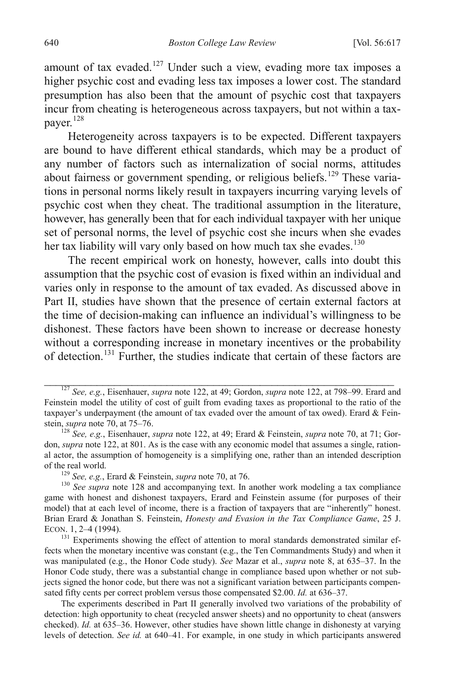amount of tax evaded.<sup>[127](#page-24-1)</sup> Under such a view, evading more tax imposes a higher psychic cost and evading less tax imposes a lower cost. The standard presumption has also been that the amount of psychic cost that taxpayers incur from cheating is heterogeneous across taxpayers, but not within a tax-payer.<sup>[128](#page-24-2)</sup>

<span id="page-24-0"></span>Heterogeneity across taxpayers is to be expected. Different taxpayers are bound to have different ethical standards, which may be a product of any number of factors such as internalization of social norms, attitudes about fairness or government spending, or religious beliefs.<sup>[129](#page-24-3)</sup> These variations in personal norms likely result in taxpayers incurring varying levels of psychic cost when they cheat. The traditional assumption in the literature, however, has generally been that for each individual taxpayer with her unique set of personal norms, the level of psychic cost she incurs when she evades her tax liability will vary only based on how much tax she evades.<sup>[130](#page-24-4)</sup>

The recent empirical work on honesty, however, calls into doubt this assumption that the psychic cost of evasion is fixed within an individual and varies only in response to the amount of tax evaded. As discussed above in Part II, studies have shown that the presence of certain external factors at the time of decision-making can influence an individual's willingness to be dishonest. These factors have been shown to increase or decrease honesty without a corresponding increase in monetary incentives or the probability of detection.[131](#page-24-5) Further, the studies indicate that certain of these factors are

The experiments described in Part II generally involved two variations of the probability of detection: high opportunity to cheat (recycled answer sheets) and no opportunity to cheat (answers checked). *Id.* at 635–36. However, other studies have shown little change in dishonesty at varying levels of detection. *See id.* at 640–41. For example, in one study in which participants answered

<span id="page-24-1"></span><sup>&</sup>lt;sup>127</sup> See, e.g., Eisenhauer, *supra* not[e 122,](#page-22-3) at 49; Gordon, *supra* note [122,](#page-22-3) at 798–99. Erard and Feinstein model the utility of cost of guilt from evading taxes as proportional to the ratio of the taxpayer's underpayment (the amount of tax evaded over the amount of tax owed). Erard & Feinstein, *supra* not[e 70,](#page-15-8) at 75–76. <sup>128</sup> *See, e.g.*, Eisenhauer, *supra* not[e 122,](#page-22-3) at 49; Erard & Feinstein, *supra* note [70,](#page-15-8) at 71; Gor-

<span id="page-24-2"></span>don, *supra* note [122,](#page-22-3) at 801. As is the case with any economic model that assumes a single, rational actor, the assumption of homogeneity is a simplifying one, rather than an intended description of the real world. <sup>129</sup> *See, e.g.*, Erard & Feinstein, *supra* note [70,](#page-15-8) at 76. <sup>130</sup> *See supra* note [128](#page-24-0) and accompanying text. In another work modeling a tax compliance

<span id="page-24-4"></span><span id="page-24-3"></span>game with honest and dishonest taxpayers, Erard and Feinstein assume (for purposes of their model) that at each level of income, there is a fraction of taxpayers that are "inherently" honest. Brian Erard & Jonathan S. Feinstein, *Honesty and Evasion in the Tax Compliance Game*, 25 J. ECON. 1,  $2-4$  (1994).<br><sup>131</sup> Experiments showing the effect of attention to moral standards demonstrated similar ef-

<span id="page-24-5"></span>fects when the monetary incentive was constant (e.g., the Ten Commandments Study) and when it was manipulated (e.g., the Honor Code study). *See* Mazar et al., *supra* note [8,](#page-4-0) at 635–37. In the Honor Code study, there was a substantial change in compliance based upon whether or not subjects signed the honor code, but there was not a significant variation between participants compensated fifty cents per correct problem versus those compensated \$2.00. *Id.* at 636–37.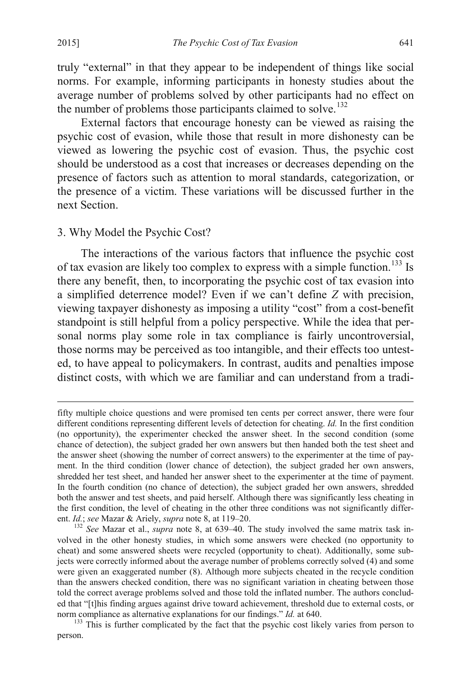truly "external" in that they appear to be independent of things like social norms. For example, informing participants in honesty studies about the average number of problems solved by other participants had no effect on the number of problems those participants claimed to solve.<sup>[132](#page-25-0)</sup>

External factors that encourage honesty can be viewed as raising the psychic cost of evasion, while those that result in more dishonesty can be viewed as lowering the psychic cost of evasion. Thus, the psychic cost should be understood as a cost that increases or decreases depending on the presence of factors such as attention to moral standards, categorization, or the presence of a victim. These variations will be discussed further in the next Section.

## 3. Why Model the Psychic Cost?

The interactions of the various factors that influence the psychic cost of tax evasion are likely too complex to express with a simple function.<sup>[133](#page-25-1)</sup> Is there any benefit, then, to incorporating the psychic cost of tax evasion into a simplified deterrence model? Even if we can't define *Z* with precision, viewing taxpayer dishonesty as imposing a utility "cost" from a cost-benefit standpoint is still helpful from a policy perspective. While the idea that personal norms play some role in tax compliance is fairly uncontroversial, those norms may be perceived as too intangible, and their effects too untested, to have appeal to policymakers. In contrast, audits and penalties impose distinct costs, with which we are familiar and can understand from a tradi-

fifty multiple choice questions and were promised ten cents per correct answer, there were four different conditions representing different levels of detection for cheating. *Id.* In the first condition (no opportunity), the experimenter checked the answer sheet. In the second condition (some chance of detection), the subject graded her own answers but then handed both the test sheet and the answer sheet (showing the number of correct answers) to the experimenter at the time of payment. In the third condition (lower chance of detection), the subject graded her own answers, shredded her test sheet, and handed her answer sheet to the experimenter at the time of payment. In the fourth condition (no chance of detection), the subject graded her own answers, shredded both the answer and test sheets, and paid herself. Although there was significantly less cheating in the first condition, the level of cheating in the other three conditions was not significantly different. *Id.*; *see* Mazar & Ariely, *supra* note [8,](#page-4-0) at 119–20.<br><sup>132</sup> *See* Mazar et al., *supra* note 8, at 639–40. The study involved the same matrix task in-

<span id="page-25-0"></span>volved in the other honesty studies, in which some answers were checked (no opportunity to cheat) and some answered sheets were recycled (opportunity to cheat). Additionally, some subjects were correctly informed about the average number of problems correctly solved (4) and some were given an exaggerated number (8). Although more subjects cheated in the recycle condition than the answers checked condition, there was no significant variation in cheating between those told the correct average problems solved and those told the inflated number. The authors concluded that "[t]his finding argues against drive toward achievement, threshold due to external costs, or

<span id="page-25-1"></span>norm compliance as alternative explanations for our findings." *Id.* at 640.<br><sup>133</sup> This is further complicated by the fact that the psychic cost likely varies from person to person.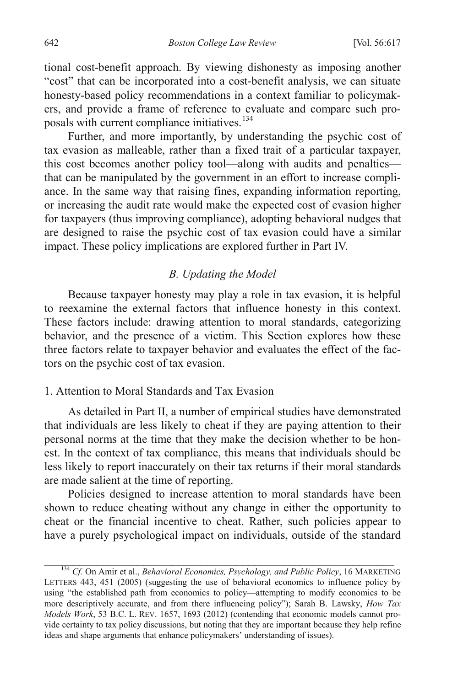tional cost-benefit approach. By viewing dishonesty as imposing another "cost" that can be incorporated into a cost-benefit analysis, we can situate honesty-based policy recommendations in a context familiar to policymakers, and provide a frame of reference to evaluate and compare such pro-posals with current compliance initiatives.<sup>[134](#page-26-0)</sup>

Further, and more importantly, by understanding the psychic cost of tax evasion as malleable, rather than a fixed trait of a particular taxpayer, this cost becomes another policy tool—along with audits and penalties that can be manipulated by the government in an effort to increase compliance. In the same way that raising fines, expanding information reporting, or increasing the audit rate would make the expected cost of evasion higher for taxpayers (thus improving compliance), adopting behavioral nudges that are designed to raise the psychic cost of tax evasion could have a similar impact. These policy implications are explored further in Part IV.

# *B. Updating the Model*

Because taxpayer honesty may play a role in tax evasion, it is helpful to reexamine the external factors that influence honesty in this context. These factors include: drawing attention to moral standards, categorizing behavior, and the presence of a victim. This Section explores how these three factors relate to taxpayer behavior and evaluates the effect of the factors on the psychic cost of tax evasion.

# 1. Attention to Moral Standards and Tax Evasion

As detailed in Part II, a number of empirical studies have demonstrated that individuals are less likely to cheat if they are paying attention to their personal norms at the time that they make the decision whether to be honest. In the context of tax compliance, this means that individuals should be less likely to report inaccurately on their tax returns if their moral standards are made salient at the time of reporting.

Policies designed to increase attention to moral standards have been shown to reduce cheating without any change in either the opportunity to cheat or the financial incentive to cheat. Rather, such policies appear to have a purely psychological impact on individuals, outside of the standard

<span id="page-26-0"></span><sup>&</sup>lt;sup>134</sup> Cf. On Amir et al., *Behavioral Economics, Psychology, and Public Policy*, 16 MARKETING LETTERS 443, 451 (2005) (suggesting the use of behavioral economics to influence policy by using "the established path from economics to policy—attempting to modify economics to be more descriptively accurate, and from there influencing policy"); Sarah B. Lawsky, *How Tax Models Work*, 53 B.C. L. REV. 1657, 1693 (2012) (contending that economic models cannot provide certainty to tax policy discussions, but noting that they are important because they help refine ideas and shape arguments that enhance policymakers' understanding of issues).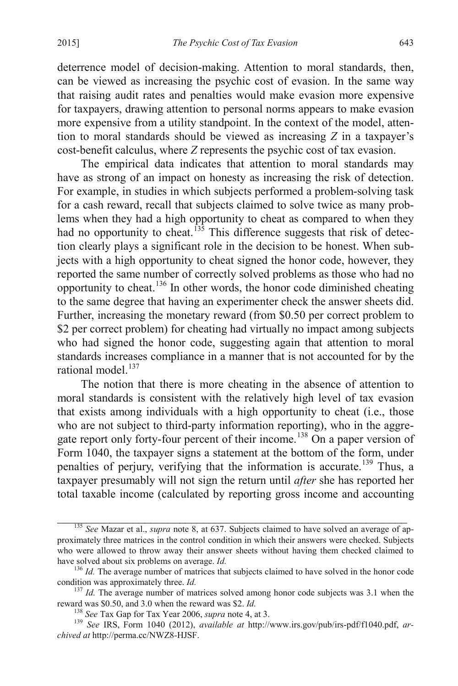deterrence model of decision-making. Attention to moral standards, then, can be viewed as increasing the psychic cost of evasion. In the same way that raising audit rates and penalties would make evasion more expensive for taxpayers, drawing attention to personal norms appears to make evasion more expensive from a utility standpoint. In the context of the model, attention to moral standards should be viewed as increasing *Z* in a taxpayer's cost-benefit calculus, where *Z* represents the psychic cost of tax evasion.

<span id="page-27-5"></span>The empirical data indicates that attention to moral standards may have as strong of an impact on honesty as increasing the risk of detection. For example, in studies in which subjects performed a problem-solving task for a cash reward, recall that subjects claimed to solve twice as many problems when they had a high opportunity to cheat as compared to when they had no opportunity to cheat.<sup>[135](#page-27-0)</sup> This difference suggests that risk of detection clearly plays a significant role in the decision to be honest. When subjects with a high opportunity to cheat signed the honor code, however, they reported the same number of correctly solved problems as those who had no opportunity to cheat.<sup>[136](#page-27-1)</sup> In other words, the honor code diminished cheating to the same degree that having an experimenter check the answer sheets did. Further, increasing the monetary reward (from \$0.50 per correct problem to \$2 per correct problem) for cheating had virtually no impact among subjects who had signed the honor code, suggesting again that attention to moral standards increases compliance in a manner that is not accounted for by the rational model $137$ 

<span id="page-27-8"></span><span id="page-27-7"></span><span id="page-27-6"></span>The notion that there is more cheating in the absence of attention to moral standards is consistent with the relatively high level of tax evasion that exists among individuals with a high opportunity to cheat (i.e., those who are not subject to third-party information reporting), who in the aggre-gate report only forty-four percent of their income.<sup>[138](#page-27-3)</sup> On a paper version of Form 1040, the taxpayer signs a statement at the bottom of the form, under penalties of perjury, verifying that the information is accurate.<sup>[139](#page-27-4)</sup> Thus, a taxpayer presumably will not sign the return until *after* she has reported her total taxable income (calculated by reporting gross income and accounting

<span id="page-27-0"></span><sup>&</sup>lt;sup>135</sup> See Mazar et al., *supra* not[e 8,](#page-4-0) at 637. Subjects claimed to have solved an average of approximately three matrices in the control condition in which their answers were checked. Subjects who were allowed to throw away their answer sheets without having them checked claimed to

<span id="page-27-1"></span>have solved about six problems on average. *Id.* <sup>136</sup> *Id.* The average number of matrices that subjects claimed to have solved in the honor code condition was approximately three. *Id.* 

<span id="page-27-2"></span><sup>&</sup>lt;sup>137</sup> *Id.* The average number of matrices solved among honor code subjects was 3.1 when the reward was \$0.50, and 3.0 when the reward was \$2. *Id.*<br><sup>138</sup> See Tax Gap for Tax Year 2006, *supra* not[e 4,](#page-2-5) at 3.<br><sup>139</sup> See IRS, Form 1040 (2012), *available at http://www.irs.gov/pub/irs-pdf/f1040.pdf, ar-*

<span id="page-27-4"></span><span id="page-27-3"></span>*chived at* http://perma.cc/NWZ8-HJSF.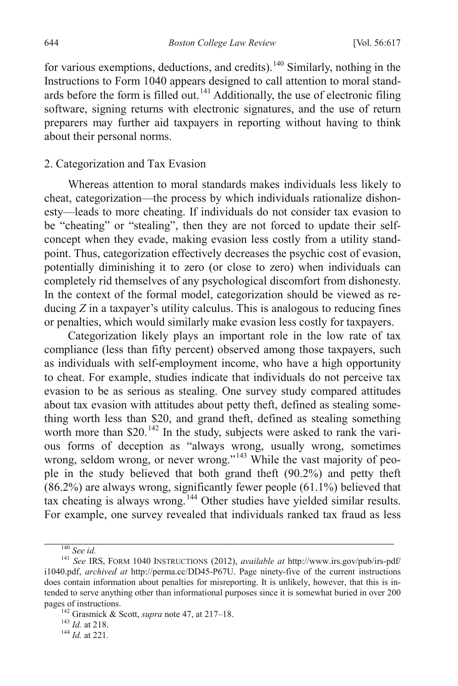<span id="page-28-5"></span>for various exemptions, deductions, and credits).<sup>[140](#page-28-0)</sup> Similarly, nothing in the Instructions to Form 1040 appears designed to call attention to moral stand-ards before the form is filled out.<sup>[141](#page-28-1)</sup> Additionally, the use of electronic filing software, signing returns with electronic signatures, and the use of return preparers may further aid taxpayers in reporting without having to think about their personal norms.

## 2. Categorization and Tax Evasion

Whereas attention to moral standards makes individuals less likely to cheat, categorization—the process by which individuals rationalize dishonesty—leads to more cheating. If individuals do not consider tax evasion to be "cheating" or "stealing", then they are not forced to update their selfconcept when they evade, making evasion less costly from a utility standpoint. Thus, categorization effectively decreases the psychic cost of evasion, potentially diminishing it to zero (or close to zero) when individuals can completely rid themselves of any psychological discomfort from dishonesty. In the context of the formal model, categorization should be viewed as reducing *Z* in a taxpayer's utility calculus. This is analogous to reducing fines or penalties, which would similarly make evasion less costly for taxpayers.

Categorization likely plays an important role in the low rate of tax compliance (less than fifty percent) observed among those taxpayers, such as individuals with self-employment income, who have a high opportunity to cheat. For example, studies indicate that individuals do not perceive tax evasion to be as serious as stealing. One survey study compared attitudes about tax evasion with attitudes about petty theft, defined as stealing something worth less than \$20, and grand theft, defined as stealing something worth more than  $$20$ .<sup>[142](#page-28-2)</sup> In the study, subjects were asked to rank the various forms of deception as "always wrong, usually wrong, sometimes wrong, seldom wrong, or never wrong."<sup>[143](#page-28-3)</sup> While the vast majority of people in the study believed that both grand theft (90.2%) and petty theft (86.2%) are always wrong, significantly fewer people (61.1%) believed that tax cheating is always wrong.[144](#page-28-4) Other studies have yielded similar results. For example, one survey revealed that individuals ranked tax fraud as less

<span id="page-28-1"></span><span id="page-28-0"></span>\_\_\_\_\_\_\_\_\_\_\_\_\_\_\_\_\_\_\_\_\_\_\_\_\_\_\_\_\_\_\_\_\_\_\_\_\_\_\_\_\_\_\_\_\_\_\_\_\_\_\_\_\_\_\_\_\_\_\_\_ <sup>140</sup> *See id.* <sup>141</sup> *See* IRS, FORM 1040 INSTRUCTIONS (2012), *available at* http://www.irs.gov/pub/irs-pdf/ i1040.pdf, *archived at* http://perma.cc/DD45-P67U. Page ninety-five of the current instructions does contain information about penalties for misreporting. It is unlikely, however, that this is intended to serve anything other than informational purposes since it is somewhat buried in over 200

<span id="page-28-4"></span><span id="page-28-3"></span><span id="page-28-2"></span>pages of instructions. <sup>142</sup> Grasmick & Scott, *supra* note [47,](#page-12-9) at 217–18. <sup>143</sup> *Id.* at 218. <sup>144</sup> *Id.* at 221.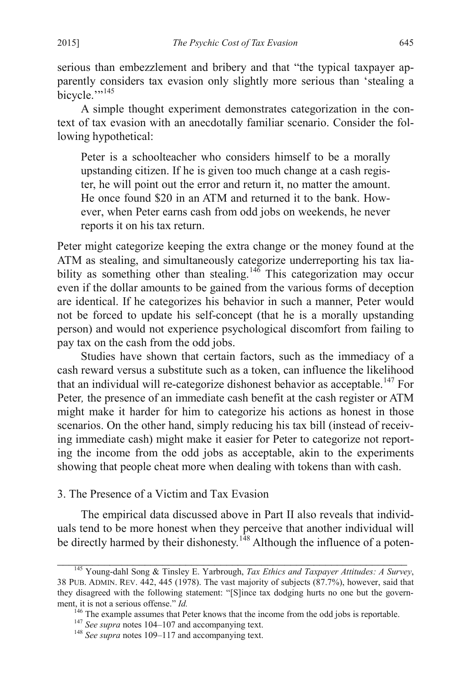serious than embezzlement and bribery and that "the typical taxpayer apparently considers tax evasion only slightly more serious than 'stealing a bicycle.""<sup>[145](#page-29-0)</sup>

A simple thought experiment demonstrates categorization in the context of tax evasion with an anecdotally familiar scenario. Consider the following hypothetical:

Peter is a schoolteacher who considers himself to be a morally upstanding citizen. If he is given too much change at a cash register, he will point out the error and return it, no matter the amount. He once found \$20 in an ATM and returned it to the bank. However, when Peter earns cash from odd jobs on weekends, he never reports it on his tax return.

Peter might categorize keeping the extra change or the money found at the ATM as stealing, and simultaneously categorize underreporting his tax lia-bility as something other than stealing.<sup>[146](#page-29-1)</sup> This categorization may occur even if the dollar amounts to be gained from the various forms of deception are identical. If he categorizes his behavior in such a manner, Peter would not be forced to update his self-concept (that he is a morally upstanding person) and would not experience psychological discomfort from failing to pay tax on the cash from the odd jobs.

Studies have shown that certain factors, such as the immediacy of a cash reward versus a substitute such as a token, can influence the likelihood that an individual will re-categorize dishonest behavior as acceptable.<sup>[147](#page-29-2)</sup> For Peter*,* the presence of an immediate cash benefit at the cash register or ATM might make it harder for him to categorize his actions as honest in those scenarios. On the other hand, simply reducing his tax bill (instead of receiving immediate cash) might make it easier for Peter to categorize not reporting the income from the odd jobs as acceptable, akin to the experiments showing that people cheat more when dealing with tokens than with cash.

# 3. The Presence of a Victim and Tax Evasion

The empirical data discussed above in Part II also reveals that individuals tend to be more honest when they perceive that another individual will be directly harmed by their dishonesty.<sup>[148](#page-29-3)</sup> Although the influence of a poten-

 $\mathcal{L}_\text{max}$  , and the contract of the contract of the contract of the contract of the contract of the contract of

<span id="page-29-1"></span><span id="page-29-0"></span><sup>145</sup> Young-dahl Song & Tinsley E. Yarbrough, *Tax Ethics and Taxpayer Attitudes: A Survey*, 38 PUB. ADMIN. REV. 442, 445 (1978). The vast majority of subjects (87.7%), however, said that they disagreed with the following statement: "[S]ince tax dodging hurts no one but the govern-<br>ment, it is not a serious offense."  $Id$ .

<span id="page-29-2"></span><sup>&</sup>lt;sup>146</sup> The example assumes that Peter knows that the income from the odd jobs is reportable.<br><sup>147</sup> See supra note[s 104](#page-20-8)[–107](#page-20-9) and accompanying text.<br><sup>148</sup> See supra note[s 109](#page-20-10)[–117](#page-21-9) and accompanying text.

<span id="page-29-3"></span>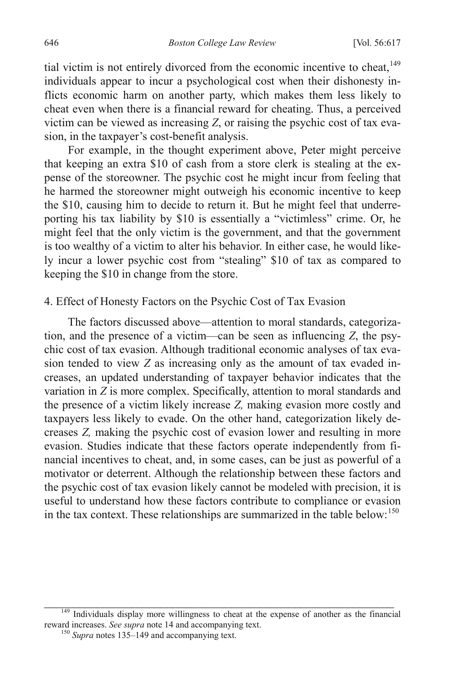<span id="page-30-0"></span>tial victim is not entirely divorced from the economic incentive to cheat,  $149$ individuals appear to incur a psychological cost when their dishonesty inflicts economic harm on another party, which makes them less likely to cheat even when there is a financial reward for cheating. Thus, a perceived victim can be viewed as increasing *Z*, or raising the psychic cost of tax evasion, in the taxpayer's cost-benefit analysis.

For example, in the thought experiment above, Peter might perceive that keeping an extra \$10 of cash from a store clerk is stealing at the expense of the storeowner. The psychic cost he might incur from feeling that he harmed the storeowner might outweigh his economic incentive to keep the \$10, causing him to decide to return it. But he might feel that underreporting his tax liability by \$10 is essentially a "victimless" crime. Or, he might feel that the only victim is the government, and that the government is too wealthy of a victim to alter his behavior. In either case, he would likely incur a lower psychic cost from "stealing" \$10 of tax as compared to keeping the \$10 in change from the store.

## 4. Effect of Honesty Factors on the Psychic Cost of Tax Evasion

The factors discussed above—attention to moral standards, categorization, and the presence of a victim—can be seen as influencing *Z*, the psychic cost of tax evasion. Although traditional economic analyses of tax evasion tended to view *Z* as increasing only as the amount of tax evaded increases, an updated understanding of taxpayer behavior indicates that the variation in *Z* is more complex. Specifically, attention to moral standards and the presence of a victim likely increase *Z,* making evasion more costly and taxpayers less likely to evade. On the other hand, categorization likely decreases *Z,* making the psychic cost of evasion lower and resulting in more evasion. Studies indicate that these factors operate independently from financial incentives to cheat, and, in some cases, can be just as powerful of a motivator or deterrent. Although the relationship between these factors and the psychic cost of tax evasion likely cannot be modeled with precision, it is useful to understand how these factors contribute to compliance or evasion in the tax context. These relationships are summarized in the table below:<sup>[150](#page-30-2)</sup>

<span id="page-30-2"></span><span id="page-30-1"></span><sup>&</sup>lt;sup>149</sup> Individuals display more willingness to cheat at the expense of another as the financial reward increases. *See supra* note 14 and accompanying text.

<sup>&</sup>lt;sup>150</sup> Supra note[s 135](#page-27-5)[–149](#page-30-0) and accompanying text.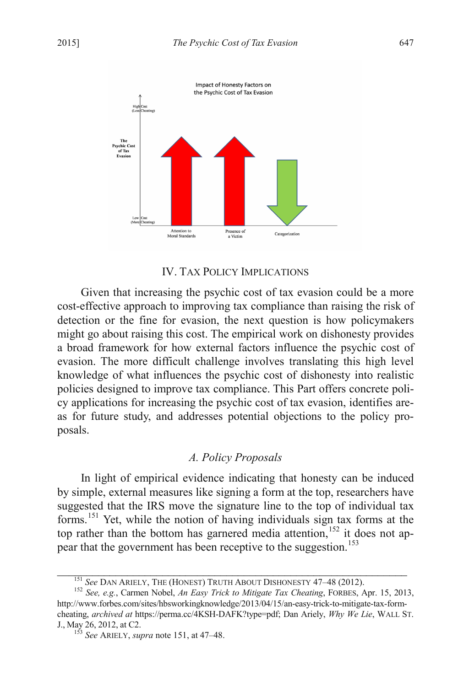

IV. TAX POLICY IMPLICATIONS

Given that increasing the psychic cost of tax evasion could be a more cost-effective approach to improving tax compliance than raising the risk of detection or the fine for evasion, the next question is how policymakers might go about raising this cost. The empirical work on dishonesty provides a broad framework for how external factors influence the psychic cost of evasion. The more difficult challenge involves translating this high level knowledge of what influences the psychic cost of dishonesty into realistic policies designed to improve tax compliance. This Part offers concrete policy applications for increasing the psychic cost of tax evasion, identifies areas for future study, and addresses potential objections to the policy proposals.

## *A. Policy Proposals*

<span id="page-31-0"></span>In light of empirical evidence indicating that honesty can be induced by simple, external measures like signing a form at the top, researchers have suggested that the IRS move the signature line to the top of individual tax forms.[151](#page-31-1) Yet, while the notion of having individuals sign tax forms at the top rather than the bottom has garnered media attention,<sup>[152](#page-31-2)</sup> it does not ap-pear that the government has been receptive to the suggestion.<sup>[153](#page-31-3)</sup>

<span id="page-31-2"></span><span id="page-31-1"></span><sup>&</sup>lt;sup>151</sup> See DAN ARIELY, THE (HONEST) TRUTH ABOUT DISHONESTY 47–48 (2012).<br><sup>152</sup> See, e.g., Carmen Nobel, An Easy Trick to Mitigate Tax Cheating, FORBES, Apr. 15, 2013, http://www.forbes.com/sites/hbsworkingknowledge/2013/04/15/an-easy-trick-to-mitigate-tax-formcheating, *archived at* https://perma.cc/4KSH-DAFK?type=pdf; Dan Ariely, *Why We Lie*, WALL ST.

<span id="page-31-3"></span>J., May 26, 2012, at C2. <sup>153</sup> *See* ARIELY, *supra* not[e 151,](#page-31-0) at 47–48.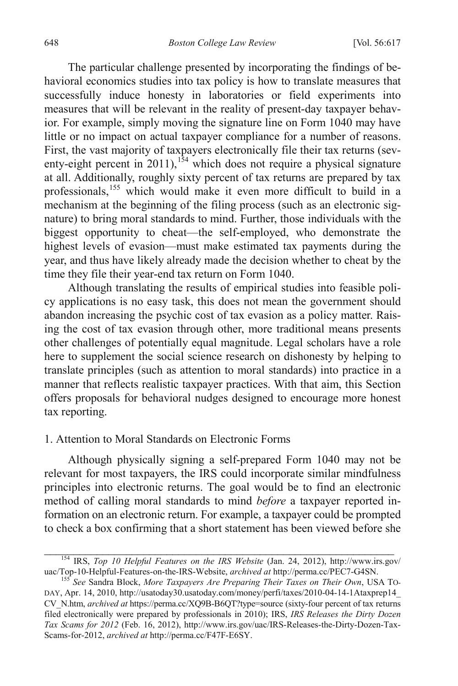The particular challenge presented by incorporating the findings of behavioral economics studies into tax policy is how to translate measures that successfully induce honesty in laboratories or field experiments into measures that will be relevant in the reality of present-day taxpayer behavior. For example, simply moving the signature line on Form 1040 may have little or no impact on actual taxpayer compliance for a number of reasons. First, the vast majority of taxpayers electronically file their tax returns (sev-enty-eight percent in 2011),<sup>[154](#page-32-0)</sup> which does not require a physical signature at all. Additionally, roughly sixty percent of tax returns are prepared by tax professionals,<sup>[155](#page-32-1)</sup> which would make it even more difficult to build in a mechanism at the beginning of the filing process (such as an electronic signature) to bring moral standards to mind. Further, those individuals with the biggest opportunity to cheat—the self-employed, who demonstrate the highest levels of evasion—must make estimated tax payments during the year, and thus have likely already made the decision whether to cheat by the time they file their year-end tax return on Form 1040.

<span id="page-32-2"></span>Although translating the results of empirical studies into feasible policy applications is no easy task, this does not mean the government should abandon increasing the psychic cost of tax evasion as a policy matter. Raising the cost of tax evasion through other, more traditional means presents other challenges of potentially equal magnitude. Legal scholars have a role here to supplement the social science research on dishonesty by helping to translate principles (such as attention to moral standards) into practice in a manner that reflects realistic taxpayer practices. With that aim, this Section offers proposals for behavioral nudges designed to encourage more honest tax reporting.

## 1. Attention to Moral Standards on Electronic Forms

Although physically signing a self-prepared Form 1040 may not be relevant for most taxpayers, the IRS could incorporate similar mindfulness principles into electronic returns. The goal would be to find an electronic method of calling moral standards to mind *before* a taxpayer reported information on an electronic return. For example, a taxpayer could be prompted to check a box confirming that a short statement has been viewed before she

<span id="page-32-0"></span><sup>&</sup>lt;sup>154</sup> IRS, *Top 10 Helpful Features on the IRS Website* (Jan. 24, 2012), http://www.irs.gov/<br>uac/Top-10-Helpful-Features-on-the-IRS-Website, *archived at* http://perma.cc/PEC7-G4SN.

<span id="page-32-1"></span><sup>&</sup>lt;sup>155</sup> See Sandra Block, *More Taxpayers Are Preparing Their Taxes on Their Own*, USA TO-DAY, Apr. 14, 2010, http://usatoday30.usatoday.com/money/perfi/taxes/2010-04-14-1Ataxprep14\_ CV\_N.htm, *archived at* https://perma.cc/XQ9B-B6QT?type=source (sixty-four percent of tax returns filed electronically were prepared by professionals in 2010); IRS, *IRS Releases the Dirty Dozen Tax Scams for 2012* (Feb. 16, 2012), http://www.irs.gov/uac/IRS-Releases-the-Dirty-Dozen-Tax-Scams-for-2012, *archived at* http://perma.cc/F47F-E6SY.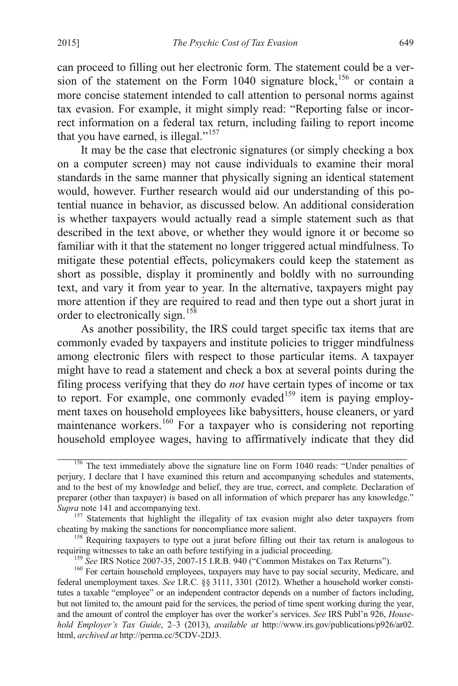can proceed to filling out her electronic form. The statement could be a ver-sion of the statement on the Form 1040 signature block,<sup>[156](#page-33-0)</sup> or contain a more concise statement intended to call attention to personal norms against tax evasion. For example, it might simply read: "Reporting false or incorrect information on a federal tax return, including failing to report income that you have earned, is illegal."<sup>[157](#page-33-1)</sup>

<span id="page-33-5"></span>It may be the case that electronic signatures (or simply checking a box on a computer screen) may not cause individuals to examine their moral standards in the same manner that physically signing an identical statement would, however. Further research would aid our understanding of this potential nuance in behavior, as discussed below. An additional consideration is whether taxpayers would actually read a simple statement such as that described in the text above, or whether they would ignore it or become so familiar with it that the statement no longer triggered actual mindfulness. To mitigate these potential effects, policymakers could keep the statement as short as possible, display it prominently and boldly with no surrounding text, and vary it from year to year. In the alternative, taxpayers might pay more attention if they are required to read and then type out a short jurat in order to electronically sign.[158](#page-33-2)

As another possibility, the IRS could target specific tax items that are commonly evaded by taxpayers and institute policies to trigger mindfulness among electronic filers with respect to those particular items. A taxpayer might have to read a statement and check a box at several points during the filing process verifying that they do *not* have certain types of income or tax to report. For example, one commonly evaded<sup>[159](#page-33-3)</sup> item is paying employment taxes on household employees like babysitters, house cleaners, or yard maintenance workers.<sup>[160](#page-33-4)</sup> For a taxpayer who is considering not reporting household employee wages, having to affirmatively indicate that they did

<span id="page-33-2"></span> $158$  Requiring taxpayers to type out a jurat before filling out their tax return is analogous to requiring witnesses to take an oath before testifying in a judicial proceeding.<br><sup>159</sup> See IRS Notice 2007-35, 2007-15 I.R.B. 940 ("Common Mistakes on Tax Returns").<br><sup>160</sup> For certain household employees, taxpayers may have

<span id="page-33-0"></span> $^{156}$  The text immediately above the signature line on Form 1040 reads: "Under penalties of perjury, I declare that I have examined this return and accompanying schedules and statements, and to the best of my knowledge and belief, they are true, correct, and complete. Declaration of preparer (other than taxpayer) is based on all information of which preparer has any knowledge."

<span id="page-33-1"></span>*Supra* not[e 141](#page-28-5) and accompanying text.<br><sup>157</sup> Statements that highlight the illegality of tax evasion might also deter taxpayers from cheating by making the sanctions for noncompliance more salient.

<span id="page-33-4"></span><span id="page-33-3"></span>federal unemployment taxes. *See* I.R.C. §§ 3111, 3301 (2012). Whether a household worker constitutes a taxable "employee" or an independent contractor depends on a number of factors including, but not limited to, the amount paid for the services, the period of time spent working during the year, and the amount of control the employer has over the worker's services. *See* IRS Publ'n 926, *Household Employer's Tax Guide*, 2–3 (2013), *available at* http://www.irs.gov/publications/p926/ar02. html, *archived at* http://perma.cc/5CDV-2DJ3.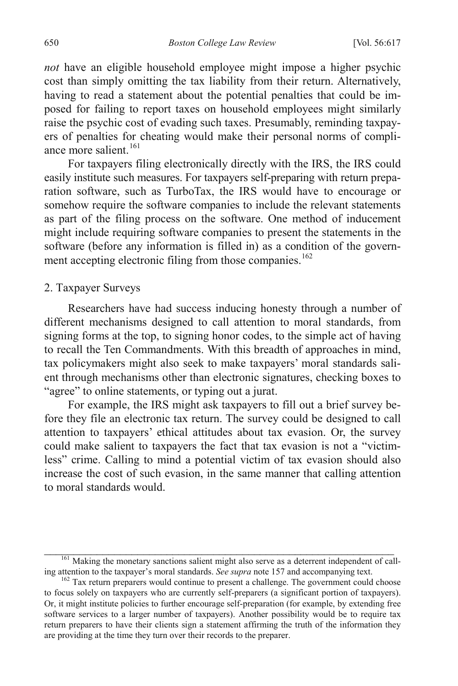*not* have an eligible household employee might impose a higher psychic cost than simply omitting the tax liability from their return. Alternatively, having to read a statement about the potential penalties that could be imposed for failing to report taxes on household employees might similarly raise the psychic cost of evading such taxes. Presumably, reminding taxpayers of penalties for cheating would make their personal norms of compli-ance more salient.<sup>[161](#page-34-0)</sup>

For taxpayers filing electronically directly with the IRS, the IRS could easily institute such measures. For taxpayers self-preparing with return preparation software, such as TurboTax, the IRS would have to encourage or somehow require the software companies to include the relevant statements as part of the filing process on the software. One method of inducement might include requiring software companies to present the statements in the software (before any information is filled in) as a condition of the govern-ment accepting electronic filing from those companies.<sup>[162](#page-34-1)</sup>

#### 2. Taxpayer Surveys

Researchers have had success inducing honesty through a number of different mechanisms designed to call attention to moral standards, from signing forms at the top, to signing honor codes, to the simple act of having to recall the Ten Commandments. With this breadth of approaches in mind, tax policymakers might also seek to make taxpayers' moral standards salient through mechanisms other than electronic signatures, checking boxes to "agree" to online statements, or typing out a jurat.

For example, the IRS might ask taxpayers to fill out a brief survey before they file an electronic tax return. The survey could be designed to call attention to taxpayers' ethical attitudes about tax evasion. Or, the survey could make salient to taxpayers the fact that tax evasion is not a "victimless" crime. Calling to mind a potential victim of tax evasion should also increase the cost of such evasion, in the same manner that calling attention to moral standards would.

<span id="page-34-0"></span><sup>&</sup>lt;sup>161</sup> Making the monetary sanctions salient might also serve as a deterrent independent of calling attention to the taxpayer's moral standards. *See supra* note 157 and accompanying text.

<span id="page-34-1"></span><sup>&</sup>lt;sup>162</sup> Tax return preparers would continue to present a challenge. The government could choose to focus solely on taxpayers who are currently self-preparers (a significant portion of taxpayers). Or, it might institute policies to further encourage self-preparation (for example, by extending free software services to a larger number of taxpayers). Another possibility would be to require tax return preparers to have their clients sign a statement affirming the truth of the information they are providing at the time they turn over their records to the preparer.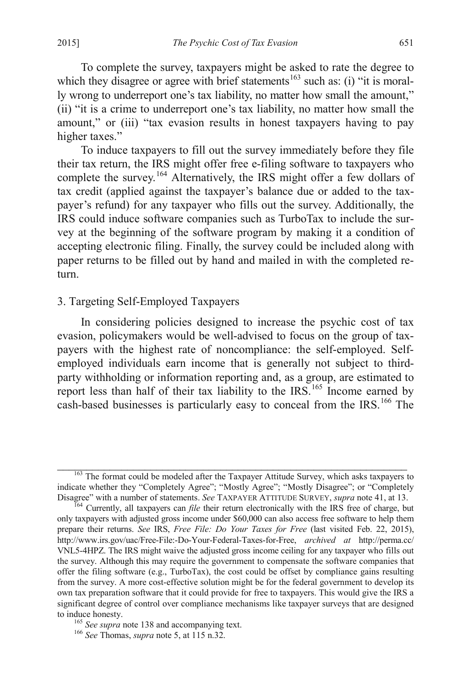To complete the survey, taxpayers might be asked to rate the degree to which they disagree or agree with brief statements<sup>[163](#page-35-0)</sup> such as: (i) "it is morally wrong to underreport one's tax liability, no matter how small the amount," (ii) "it is a crime to underreport one's tax liability, no matter how small the amount," or (iii) "tax evasion results in honest taxpayers having to pay higher taxes."

To induce taxpayers to fill out the survey immediately before they file their tax return, the IRS might offer free e-filing software to taxpayers who complete the survey.[164](#page-35-1) Alternatively, the IRS might offer a few dollars of tax credit (applied against the taxpayer's balance due or added to the taxpayer's refund) for any taxpayer who fills out the survey. Additionally, the IRS could induce software companies such as TurboTax to include the survey at the beginning of the software program by making it a condition of accepting electronic filing. Finally, the survey could be included along with paper returns to be filled out by hand and mailed in with the completed return.

## 3. Targeting Self-Employed Taxpayers

In considering policies designed to increase the psychic cost of tax evasion, policymakers would be well-advised to focus on the group of taxpayers with the highest rate of noncompliance: the self-employed. Selfemployed individuals earn income that is generally not subject to thirdparty withholding or information reporting and, as a group, are estimated to report less than half of their tax liability to the IRS.<sup>[165](#page-35-2)</sup> Income earned by cash-based businesses is particularly easy to conceal from the IRS.<sup>[166](#page-35-3)</sup> The

 $\mathcal{L}_\text{max}$  , and the contract of the contract of the contract of the contract of the contract of the contract of

<span id="page-35-0"></span><sup>&</sup>lt;sup>163</sup> The format could be modeled after the Taxpayer Attitude Survey, which asks taxpayers to indicate whether they "Completely Agree"; "Mostly Agree"; "Mostly Disagree"; or "Completely Disagree" with a number of statements. See TAXPAYER ATTITUDE SURVEY, *supra* note 41, at 13.

<span id="page-35-1"></span><sup>&</sup>lt;sup>164</sup> Currently, all taxpayers can *file* their return electronically with the IRS free of charge, but only taxpayers with adjusted gross income under \$60,000 can also access free software to help them prepare their returns. *See* IRS, *Free File: Do Your Taxes for Free* (last visited Feb. 22, 2015), http://www.irs.gov/uac/Free-File:-Do-Your-Federal-Taxes-for-Free, *archived at* http://perma.cc/ VNL5-4HPZ. The IRS might waive the adjusted gross income ceiling for any taxpayer who fills out the survey. Although this may require the government to compensate the software companies that offer the filing software (e.g., TurboTax), the cost could be offset by compliance gains resulting from the survey. A more cost-effective solution might be for the federal government to develop its own tax preparation software that it could provide for free to taxpayers. This would give the IRS a significant degree of control over compliance mechanisms like taxpayer surveys that are designed to induce honesty. <sup>165</sup> *See supra* not[e 138](#page-27-6) and accompanying text. <sup>166</sup> *See* Thomas, *supra* note [5,](#page-2-4) at 115 n.32.

<span id="page-35-3"></span><span id="page-35-2"></span>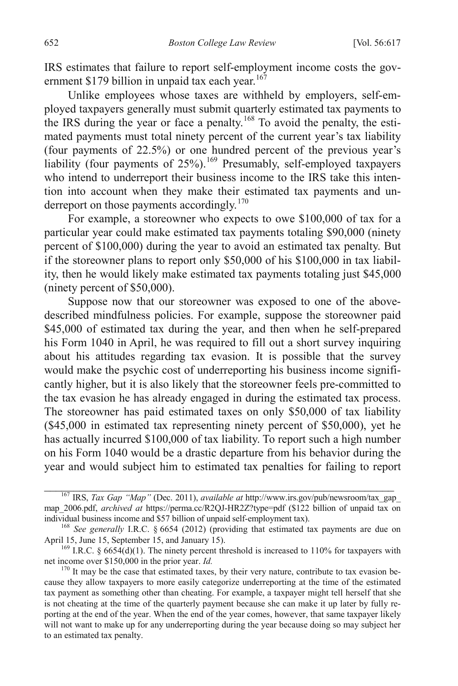IRS estimates that failure to report self-employment income costs the gov-ernment \$179 billion in unpaid tax each year.<sup>[167](#page-36-0)</sup>

Unlike employees whose taxes are withheld by employers, self-employed taxpayers generally must submit quarterly estimated tax payments to the IRS during the year or face a penalty.[168](#page-36-1) To avoid the penalty, the estimated payments must total ninety percent of the current year's tax liability (four payments of 22.5%) or one hundred percent of the previous year's liability (four payments of 25%).<sup>[169](#page-36-2)</sup> Presumably, self-employed taxpayers who intend to underreport their business income to the IRS take this intention into account when they make their estimated tax payments and un-derreport on those payments accordingly.<sup>[170](#page-36-3)</sup>

For example, a storeowner who expects to owe \$100,000 of tax for a particular year could make estimated tax payments totaling \$90,000 (ninety percent of \$100,000) during the year to avoid an estimated tax penalty. But if the storeowner plans to report only \$50,000 of his \$100,000 in tax liability, then he would likely make estimated tax payments totaling just \$45,000 (ninety percent of \$50,000).

Suppose now that our storeowner was exposed to one of the abovedescribed mindfulness policies. For example, suppose the storeowner paid \$45,000 of estimated tax during the year, and then when he self-prepared his Form 1040 in April, he was required to fill out a short survey inquiring about his attitudes regarding tax evasion. It is possible that the survey would make the psychic cost of underreporting his business income significantly higher, but it is also likely that the storeowner feels pre-committed to the tax evasion he has already engaged in during the estimated tax process. The storeowner has paid estimated taxes on only \$50,000 of tax liability (\$45,000 in estimated tax representing ninety percent of \$50,000), yet he has actually incurred \$100,000 of tax liability. To report such a high number on his Form 1040 would be a drastic departure from his behavior during the year and would subject him to estimated tax penalties for failing to report

<span id="page-36-0"></span><sup>&</sup>lt;sup>167</sup> IRS, *Tax Gap "Map"* (Dec. 2011), *available at* http://www.irs.gov/pub/newsroom/tax\_gap map\_2006.pdf, *archived at* https://perma.cc/R2QJ-HR2Z?type=pdf (\$122 billion of unpaid tax on

<span id="page-36-1"></span>individual business income and \$57 billion of unpaid self-employment tax).<br><sup>168</sup> *See generally* I.R.C. § 6654 (2012) (providing that estimated tax payments are due on April 15, June 15, September 15, and January 15).

<span id="page-36-2"></span><sup>&</sup>lt;sup>169</sup> I.R.C. § 6654(d)(1). The ninety percent threshold is increased to 110% for taxpayers with net income over \$150,000 in the prior year. *Id.* 170 It may be the case that estimated taxes, by their very nature, contribute to tax evasion be-

<span id="page-36-3"></span>cause they allow taxpayers to more easily categorize underreporting at the time of the estimated tax payment as something other than cheating. For example, a taxpayer might tell herself that she is not cheating at the time of the quarterly payment because she can make it up later by fully reporting at the end of the year. When the end of the year comes, however, that same taxpayer likely will not want to make up for any underreporting during the year because doing so may subject her to an estimated tax penalty.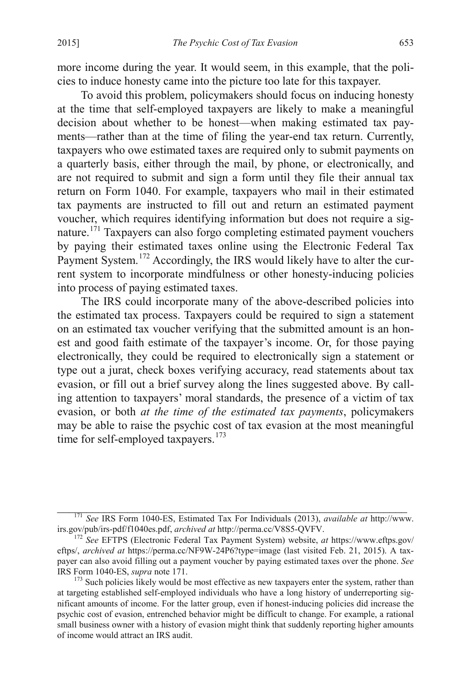more income during the year. It would seem, in this example, that the policies to induce honesty came into the picture too late for this taxpayer.

To avoid this problem, policymakers should focus on inducing honesty at the time that self-employed taxpayers are likely to make a meaningful decision about whether to be honest—when making estimated tax payments—rather than at the time of filing the year-end tax return. Currently, taxpayers who owe estimated taxes are required only to submit payments on a quarterly basis, either through the mail, by phone, or electronically, and are not required to submit and sign a form until they file their annual tax return on Form 1040. For example, taxpayers who mail in their estimated tax payments are instructed to fill out and return an estimated payment voucher, which requires identifying information but does not require a sig-nature.<sup>[171](#page-37-1)</sup> Taxpayers can also forgo completing estimated payment vouchers by paying their estimated taxes online using the Electronic Federal Tax Payment System.<sup>[172](#page-37-2)</sup> Accordingly, the IRS would likely have to alter the current system to incorporate mindfulness or other honesty-inducing policies into process of paying estimated taxes.

<span id="page-37-0"></span>The IRS could incorporate many of the above-described policies into the estimated tax process. Taxpayers could be required to sign a statement on an estimated tax voucher verifying that the submitted amount is an honest and good faith estimate of the taxpayer's income. Or, for those paying electronically, they could be required to electronically sign a statement or type out a jurat, check boxes verifying accuracy, read statements about tax evasion, or fill out a brief survey along the lines suggested above. By calling attention to taxpayers' moral standards, the presence of a victim of tax evasion, or both *at the time of the estimated tax payments*, policymakers may be able to raise the psychic cost of tax evasion at the most meaningful time for self-employed taxpayers.<sup>[173](#page-37-3)</sup>

<span id="page-37-1"></span><sup>&</sup>lt;sup>171</sup> See IRS Form 1040-ES, Estimated Tax For Individuals (2013), *available at* http://www.<br>irs.gov/pub/irs-pdf/f1040es.pdf, *archived at* http://perma.cc/V8S5-QVFV.

<span id="page-37-2"></span><sup>&</sup>lt;sup>172</sup> See EFTPS (Electronic Federal Tax Payment System) website, *at* https://www.eftps.gov/ eftps/, *archived at* https://perma.cc/NF9W-24P6?type=image (last visited Feb. 21, 2015). A taxpayer can also avoid filling out a payment voucher by paying estimated taxes over the phone. *See* 

<span id="page-37-3"></span><sup>&</sup>lt;sup>173</sup> Such policies likely would be most effective as new taxpayers enter the system, rather than at targeting established self-employed individuals who have a long history of underreporting significant amounts of income. For the latter group, even if honest-inducing policies did increase the psychic cost of evasion, entrenched behavior might be difficult to change. For example, a rational small business owner with a history of evasion might think that suddenly reporting higher amounts of income would attract an IRS audit.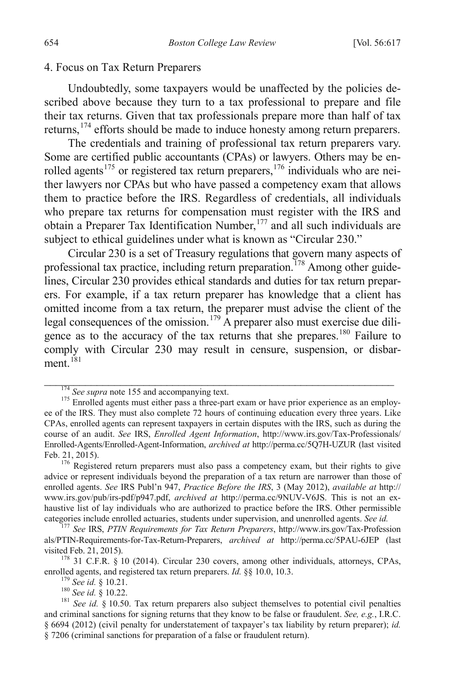## 4. Focus on Tax Return Preparers

Undoubtedly, some taxpayers would be unaffected by the policies described above because they turn to a tax professional to prepare and file their tax returns. Given that tax professionals prepare more than half of tax returns,<sup>[174](#page-38-0)</sup> efforts should be made to induce honesty among return preparers.

The credentials and training of professional tax return preparers vary. Some are certified public accountants (CPAs) or lawyers. Others may be en-rolled agents<sup>[175](#page-38-1)</sup> or registered tax return preparers,<sup>[176](#page-38-2)</sup> individuals who are neither lawyers nor CPAs but who have passed a competency exam that allows them to practice before the IRS. Regardless of credentials, all individuals who prepare tax returns for compensation must register with the IRS and obtain a Preparer Tax Identification Number,  $177$  and all such individuals are subject to ethical guidelines under what is known as "Circular 230."

Circular 230 is a set of Treasury regulations that govern many aspects of professional tax practice, including return preparation.<sup>[178](#page-38-4)</sup> Among other guidelines, Circular 230 provides ethical standards and duties for tax return preparers. For example, if a tax return preparer has knowledge that a client has omitted income from a tax return, the preparer must advise the client of the legal consequences of the omission.<sup>[179](#page-38-5)</sup> A preparer also must exercise due dili-gence as to the accuracy of the tax returns that she prepares.<sup>[180](#page-38-6)</sup> Failure to comply with Circular 230 may result in censure, suspension, or disbar-ment<sup>[181](#page-38-7)</sup>

<span id="page-38-1"></span><span id="page-38-0"></span><sup>&</sup>lt;sup>174</sup> *See supra* not[e 155](#page-32-2) and accompanying text. <sup>175</sup> Enrolled agents must either pass a three-part exam or have prior experience as an employee of the IRS. They must also complete 72 hours of continuing education every three years. Like CPAs, enrolled agents can represent taxpayers in certain disputes with the IRS, such as during the course of an audit. *See* IRS, *Enrolled Agent Information*, http://www.irs.gov/Tax-Professionals/ Enrolled-Agents/Enrolled-Agent-Information, *archived at* http://perma.cc/5Q7H-UZUR (last visited Feb. 21, 2015).<br><sup>176</sup> Registered return preparers must also pass a competency exam, but their rights to give

<span id="page-38-2"></span>advice or represent individuals beyond the preparation of a tax return are narrower than those of enrolled agents. *See* IRS Publ'n 947, *Practice Before the IRS*, 3 (May 2012), *available at* http:// www.irs.gov/pub/irs-pdf/p947.pdf, *archived at* http://perma.cc/9NUV-V6JS. This is not an exhaustive list of lay individuals who are authorized to practice before the IRS. Other permissible categories include enrolled actuaries, students under supervision, and unenrolled agents. *See id.* <sup>177</sup> *See* IRS, *PTIN Requirements for Tax Return Preparers*, http://www.irs.gov/Tax-Profession

<span id="page-38-3"></span>als/PTIN-Requirements-for-Tax-Return-Preparers, *archived at* http://perma.cc/5PAU-6JEP (last

<span id="page-38-4"></span>visited Feb. 21, 2015). 178 31 C.F.R. § 10 (2014). Circular 230 covers, among other individuals, attorneys, CPAs, enrolled agents, and registered tax return preparers. *Id.* §§ 10.0, 10.3.

<span id="page-38-7"></span><span id="page-38-6"></span><span id="page-38-5"></span><sup>&</sup>lt;sup>179</sup> See id. § 10.21.<br><sup>180</sup> See id. § 10.22.<br><sup>181</sup> See id. § 10.50. Tax return preparers also subject themselves to potential civil penalties and criminal sanctions for signing returns that they know to be false or fraudulent. *See, e.g.*, I.R.C. § 6694 (2012) (civil penalty for understatement of taxpayer's tax liability by return preparer); *id.* § 7206 (criminal sanctions for preparation of a false or fraudulent return).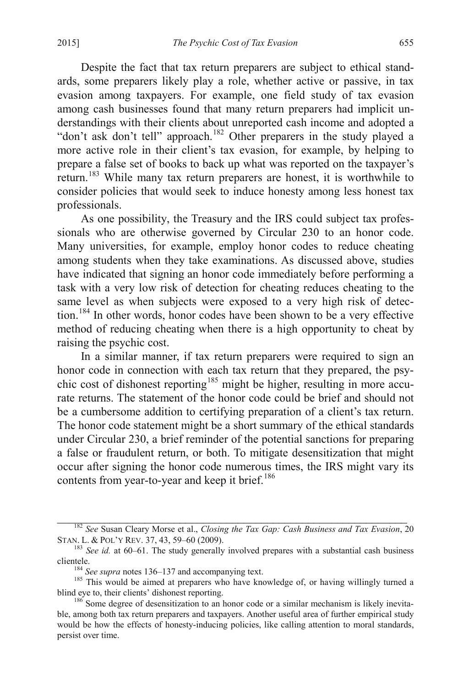Despite the fact that tax return preparers are subject to ethical standards, some preparers likely play a role, whether active or passive, in tax evasion among taxpayers. For example, one field study of tax evasion among cash businesses found that many return preparers had implicit understandings with their clients about unreported cash income and adopted a "don't ask don't tell" approach.<sup>[182](#page-39-0)</sup> Other preparers in the study played a more active role in their client's tax evasion, for example, by helping to prepare a false set of books to back up what was reported on the taxpayer's return.[183](#page-39-1) While many tax return preparers are honest, it is worthwhile to consider policies that would seek to induce honesty among less honest tax professionals.

As one possibility, the Treasury and the IRS could subject tax professionals who are otherwise governed by Circular 230 to an honor code. Many universities, for example, employ honor codes to reduce cheating among students when they take examinations. As discussed above, studies have indicated that signing an honor code immediately before performing a task with a very low risk of detection for cheating reduces cheating to the same level as when subjects were exposed to a very high risk of detection.[184](#page-39-2) In other words, honor codes have been shown to be a very effective method of reducing cheating when there is a high opportunity to cheat by raising the psychic cost.

In a similar manner, if tax return preparers were required to sign an honor code in connection with each tax return that they prepared, the psy-chic cost of dishonest reporting<sup>[185](#page-39-3)</sup> might be higher, resulting in more accurate returns. The statement of the honor code could be brief and should not be a cumbersome addition to certifying preparation of a client's tax return. The honor code statement might be a short summary of the ethical standards under Circular 230, a brief reminder of the potential sanctions for preparing a false or fraudulent return, or both. To mitigate desensitization that might occur after signing the honor code numerous times, the IRS might vary its contents from year-to-year and keep it brief. $186$ 

<span id="page-39-0"></span><sup>&</sup>lt;sup>182</sup> See Susan Cleary Morse et al., *Closing the Tax Gap: Cash Business and Tax Evasion*, 20 STAN. L. & POL'Y REV. 37, 43, 59–60 (2009).

<span id="page-39-1"></span><sup>&</sup>lt;sup>183</sup> See id. at 60–61. The study generally involved prepares with a substantial cash business clientele.<br><sup>184</sup> *See supra* note[s 136](#page-27-7)[–137](#page-27-8) and accompanying text.<br><sup>185</sup> This would be aimed at preparers who have knowledge of, or having willingly turned a

<span id="page-39-3"></span><span id="page-39-2"></span>blind eye to, their clients' dishonest reporting.<br><sup>186</sup> Some degree of desensitization to an honor code or a similar mechanism is likely inevita-

<span id="page-39-4"></span>ble, among both tax return preparers and taxpayers. Another useful area of further empirical study would be how the effects of honesty-inducing policies, like calling attention to moral standards, persist over time.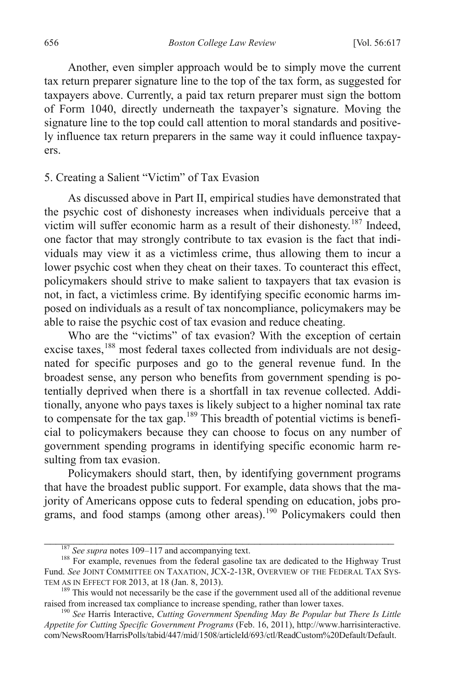Another, even simpler approach would be to simply move the current tax return preparer signature line to the top of the tax form, as suggested for taxpayers above. Currently, a paid tax return preparer must sign the bottom of Form 1040, directly underneath the taxpayer's signature. Moving the signature line to the top could call attention to moral standards and positively influence tax return preparers in the same way it could influence taxpayers.

# 5. Creating a Salient "Victim" of Tax Evasion

As discussed above in Part II, empirical studies have demonstrated that the psychic cost of dishonesty increases when individuals perceive that a victim will suffer economic harm as a result of their dishonesty.[187](#page-40-0) Indeed, one factor that may strongly contribute to tax evasion is the fact that individuals may view it as a victimless crime, thus allowing them to incur a lower psychic cost when they cheat on their taxes. To counteract this effect, policymakers should strive to make salient to taxpayers that tax evasion is not, in fact, a victimless crime. By identifying specific economic harms imposed on individuals as a result of tax noncompliance, policymakers may be able to raise the psychic cost of tax evasion and reduce cheating.

Who are the "victims" of tax evasion? With the exception of certain excise taxes,<sup>[188](#page-40-1)</sup> most federal taxes collected from individuals are not designated for specific purposes and go to the general revenue fund. In the broadest sense, any person who benefits from government spending is potentially deprived when there is a shortfall in tax revenue collected. Additionally, anyone who pays taxes is likely subject to a higher nominal tax rate to compensate for the tax gap.<sup>[189](#page-40-2)</sup> This breadth of potential victims is beneficial to policymakers because they can choose to focus on any number of government spending programs in identifying specific economic harm resulting from tax evasion.

<span id="page-40-5"></span>Policymakers should start, then, by identifying government programs that have the broadest public support. For example, data shows that the majority of Americans oppose cuts to federal spending on education, jobs pro-grams, and food stamps (among other areas).<sup>[190](#page-40-3)</sup> Policymakers could then

<span id="page-40-4"></span>

<span id="page-40-1"></span><span id="page-40-0"></span><sup>&</sup>lt;sup>187</sup> See supra note[s 109](#page-20-10)[–117](#page-21-9) and accompanying text. <sup>188</sup> For example, revenues from the federal gasoline tax are dedicated to the Highway Trust Fund. *See JOINT COMMITTEE ON TAXATION, JCX-2-13R, OVERVIEW OF THE FEDERAL TAX SYSTEM AS IN EFFECT FOR 2013, at 18 (Jan. 8, 2013).* 

<span id="page-40-2"></span><sup>&</sup>lt;sup>189</sup> This would not necessarily be the case if the government used all of the additional revenue raised from increased tax compliance to increase spending, rather than lower taxes.

<span id="page-40-3"></span><sup>&</sup>lt;sup>190</sup> See Harris Interactive, *Cutting Government Spending May Be Popular but There Is Little Appetite for Cutting Specific Government Programs* (Feb. 16, 2011), http://www.harrisinteractive. com/NewsRoom/HarrisPolls/tabid/447/mid/1508/articleId/693/ctl/ReadCustom%20Default/Default.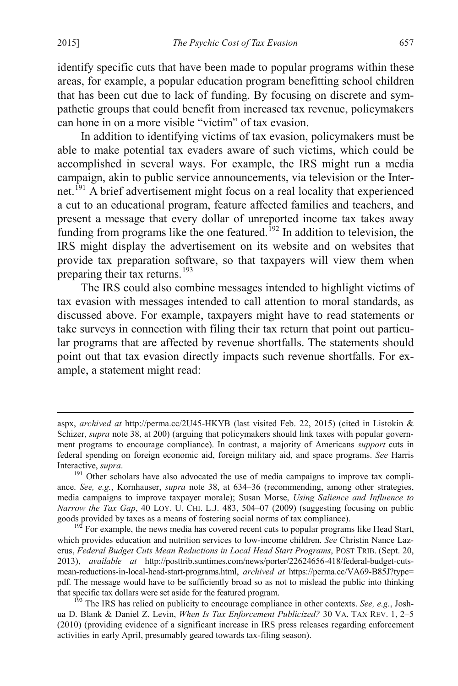identify specific cuts that have been made to popular programs within these areas, for example, a popular education program benefitting school children that has been cut due to lack of funding. By focusing on discrete and sympathetic groups that could benefit from increased tax revenue, policymakers can hone in on a more visible "victim" of tax evasion.

In addition to identifying victims of tax evasion, policymakers must be able to make potential tax evaders aware of such victims, which could be accomplished in several ways. For example, the IRS might run a media campaign, akin to public service announcements, via television or the Inter-net.<sup>[191](#page-41-0)</sup> A brief advertisement might focus on a real locality that experienced a cut to an educational program, feature affected families and teachers, and present a message that every dollar of unreported income tax takes away funding from programs like the one featured.<sup>[192](#page-41-1)</sup> In addition to television, the IRS might display the advertisement on its website and on websites that provide tax preparation software, so that taxpayers will view them when preparing their tax returns.<sup>[193](#page-41-2)</sup>

The IRS could also combine messages intended to highlight victims of tax evasion with messages intended to call attention to moral standards, as discussed above. For example, taxpayers might have to read statements or take surveys in connection with filing their tax return that point out particular programs that are affected by revenue shortfalls. The statements should point out that tax evasion directly impacts such revenue shortfalls. For example, a statement might read:

aspx, *archived at* http://perma.cc/2U45-HKYB (last visited Feb. 22, 2015) (cited in Listokin & Schizer, *supra* note 38, at 200) (arguing that policymakers should link taxes with popular government programs to encourage compliance). In contrast, a majority of Americans *support* cuts in federal spending on foreign economic aid, foreign military aid, and space programs. *See* Harris Interactive, *supra*.<br><sup>191</sup> Other scholars have also advocated the use of media campaigns to improve tax compli-

<span id="page-41-0"></span>ance. *See, e.g.*, Kornhauser, *supra* note 38, at 634–36 (recommending, among other strategies, media campaigns to improve taxpayer morale); Susan Morse, *Using Salience and Influence to Narrow the Tax Gap*, 40 LOY. U. CHI. L.J. 483, 504–07 (2009) (suggesting focusing on public goods provided by taxes as a means of fostering social norms of tax compliance).<br><sup>192</sup> For example, the news media has covered recent cuts to popular programs like Head Start,

<span id="page-41-1"></span>which provides education and nutrition services to low-income children. *See* Christin Nance Lazerus, *Federal Budget Cuts Mean Reductions in Local Head Start Programs*, POST TRIB. (Sept. 20, 2013), *available at* http://posttrib.suntimes.com/news/porter/22624656-418/federal-budget-cutsmean-reductions-in-local-head-start-programs.html, *archived at* https://perma.cc/VA69-B85J?type= pdf. The message would have to be sufficiently broad so as not to mislead the public into thinking that specific tax dollars were set aside for the featured program.<br><sup>193</sup> The IRS has relied on publicity to encourage compliance in other contexts. *See, e.g.*, Josh-

<span id="page-41-2"></span>ua D. Blank & Daniel Z. Levin, *When Is Tax Enforcement Publicized?* 30 VA. TAX REV. 1, 2–5 (2010) (providing evidence of a significant increase in IRS press releases regarding enforcement activities in early April, presumably geared towards tax-filing season).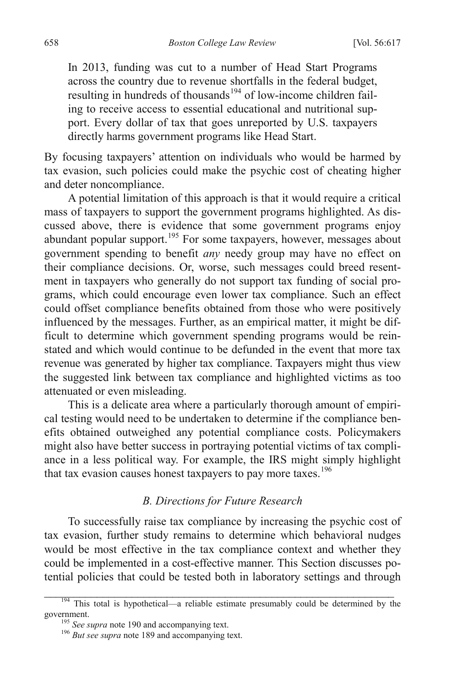In 2013, funding was cut to a number of Head Start Programs across the country due to revenue shortfalls in the federal budget, resulting in hundreds of thousands<sup>[194](#page-42-0)</sup> of low-income children failing to receive access to essential educational and nutritional support. Every dollar of tax that goes unreported by U.S. taxpayers directly harms government programs like Head Start.

By focusing taxpayers' attention on individuals who would be harmed by tax evasion, such policies could make the psychic cost of cheating higher and deter noncompliance.

A potential limitation of this approach is that it would require a critical mass of taxpayers to support the government programs highlighted. As discussed above, there is evidence that some government programs enjoy abundant popular support.<sup>[195](#page-42-1)</sup> For some taxpayers, however, messages about government spending to benefit *any* needy group may have no effect on their compliance decisions. Or, worse, such messages could breed resentment in taxpayers who generally do not support tax funding of social programs, which could encourage even lower tax compliance. Such an effect could offset compliance benefits obtained from those who were positively influenced by the messages. Further, as an empirical matter, it might be difficult to determine which government spending programs would be reinstated and which would continue to be defunded in the event that more tax revenue was generated by higher tax compliance. Taxpayers might thus view the suggested link between tax compliance and highlighted victims as too attenuated or even misleading.

This is a delicate area where a particularly thorough amount of empirical testing would need to be undertaken to determine if the compliance benefits obtained outweighed any potential compliance costs. Policymakers might also have better success in portraying potential victims of tax compliance in a less political way. For example, the IRS might simply highlight that tax evasion causes honest taxpayers to pay more taxes.<sup>[196](#page-42-2)</sup>

# *B. Directions for Future Research*

To successfully raise tax compliance by increasing the psychic cost of tax evasion, further study remains to determine which behavioral nudges would be most effective in the tax compliance context and whether they could be implemented in a cost-effective manner. This Section discusses potential policies that could be tested both in laboratory settings and through

<span id="page-42-2"></span><span id="page-42-1"></span><span id="page-42-0"></span>\_\_\_\_\_\_\_\_\_\_\_\_\_\_\_\_\_\_\_\_\_\_\_\_\_\_\_\_\_\_\_\_\_\_\_\_\_\_\_\_\_\_\_\_\_\_\_\_\_\_\_\_\_\_\_\_\_\_\_\_ <sup>194</sup> This total is hypothetical—a reliable estimate presumably could be determined by the government.<br><sup>195</sup> *See supra* not[e 190](#page-40-4) and accompanying text.<br><sup>196</sup> *But see supra* not[e 189](#page-40-5) and accompanying text.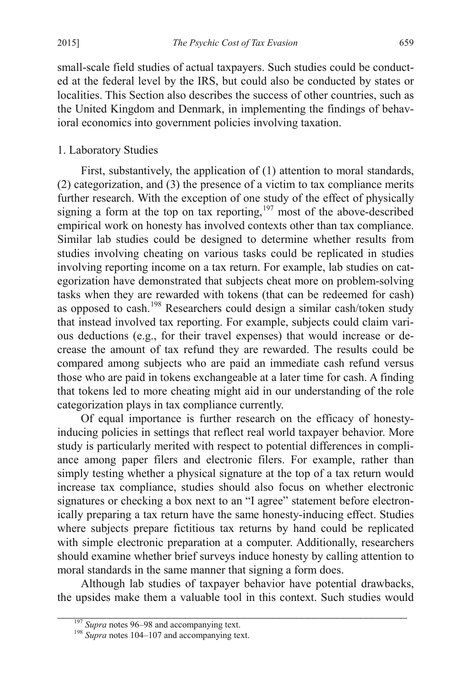small-scale field studies of actual taxpayers. Such studies could be conducted at the federal level by the IRS, but could also be conducted by states or localities. This Section also describes the success of other countries, such as the United Kingdom and Denmark, in implementing the findings of behavioral economics into government policies involving taxation.

# 1. Laboratory Studies

First, substantively, the application of (1) attention to moral standards, (2) categorization, and (3) the presence of a victim to tax compliance merits further research. With the exception of one study of the effect of physically signing a form at the top on tax reporting, $197$  most of the above-described empirical work on honesty has involved contexts other than tax compliance. Similar lab studies could be designed to determine whether results from studies involving cheating on various tasks could be replicated in studies involving reporting income on a tax return. For example, lab studies on categorization have demonstrated that subjects cheat more on problem-solving tasks when they are rewarded with tokens (that can be redeemed for cash) as opposed to cash.<sup>[198](#page-43-1)</sup> Researchers could design a similar cash/token study that instead involved tax reporting. For example, subjects could claim various deductions (e.g., for their travel expenses) that would increase or decrease the amount of tax refund they are rewarded. The results could be compared among subjects who are paid an immediate cash refund versus those who are paid in tokens exchangeable at a later time for cash. A finding that tokens led to more cheating might aid in our understanding of the role categorization plays in tax compliance currently.

Of equal importance is further research on the efficacy of honestyinducing policies in settings that reflect real world taxpayer behavior. More study is particularly merited with respect to potential differences in compliance among paper filers and electronic filers. For example, rather than simply testing whether a physical signature at the top of a tax return would increase tax compliance, studies should also focus on whether electronic signatures or checking a box next to an "I agree" statement before electronically preparing a tax return have the same honesty-inducing effect. Studies where subjects prepare fictitious tax returns by hand could be replicated with simple electronic preparation at a computer. Additionally, researchers should examine whether brief surveys induce honesty by calling attention to moral standards in the same manner that signing a form does.

<span id="page-43-0"></span>Although lab studies of taxpayer behavior have potential drawbacks, the upsides make them a valuable tool in this context. Such studies would

<span id="page-43-1"></span>

<sup>&</sup>lt;sup>197</sup> Supra note[s 96](#page-18-11)[–98](#page-19-0) and accompanying text.<br><sup>198</sup> *Supra* note[s 104](#page-20-8)[–107](#page-20-9) and accompanying text.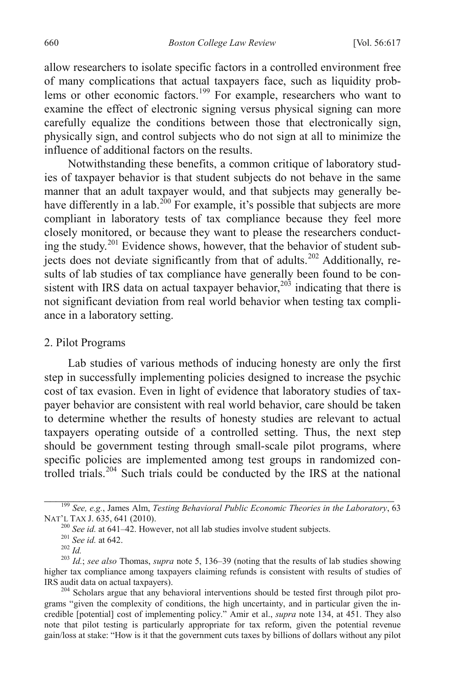<span id="page-44-6"></span>allow researchers to isolate specific factors in a controlled environment free of many complications that actual taxpayers face, such as liquidity prob-lems or other economic factors.<sup>[199](#page-44-0)</sup> For example, researchers who want to examine the effect of electronic signing versus physical signing can more carefully equalize the conditions between those that electronically sign, physically sign, and control subjects who do not sign at all to minimize the influence of additional factors on the results.

Notwithstanding these benefits, a common critique of laboratory studies of taxpayer behavior is that student subjects do not behave in the same manner that an adult taxpayer would, and that subjects may generally be-have differently in a lab.<sup>[200](#page-44-1)</sup> For example, it's possible that subjects are more compliant in laboratory tests of tax compliance because they feel more closely monitored, or because they want to please the researchers conducting the study.[201](#page-44-2) Evidence shows, however, that the behavior of student sub-jects does not deviate significantly from that of adults.<sup>[202](#page-44-3)</sup> Additionally, results of lab studies of tax compliance have generally been found to be con-sistent with IRS data on actual taxpayer behavior,<sup>[203](#page-44-4)</sup> indicating that there is not significant deviation from real world behavior when testing tax compliance in a laboratory setting.

#### <span id="page-44-7"></span>2. Pilot Programs

Lab studies of various methods of inducing honesty are only the first step in successfully implementing policies designed to increase the psychic cost of tax evasion. Even in light of evidence that laboratory studies of taxpayer behavior are consistent with real world behavior, care should be taken to determine whether the results of honesty studies are relevant to actual taxpayers operating outside of a controlled setting. Thus, the next step should be government testing through small-scale pilot programs, where specific policies are implemented among test groups in randomized controlled trials.[204](#page-44-5) Such trials could be conducted by the IRS at the national

<span id="page-44-1"></span><span id="page-44-0"></span>\_\_\_\_\_\_\_\_\_\_\_\_\_\_\_\_\_\_\_\_\_\_\_\_\_\_\_\_\_\_\_\_\_\_\_\_\_\_\_\_\_\_\_\_\_\_\_\_\_\_\_\_\_\_\_\_\_\_\_\_ <sup>199</sup> *See, e.g.*, James Alm, *Testing Behavioral Public Economic Theories in the Laboratory*, 63 NAT'L TAX J. 635, 641 (2010).<br>
<sup>200</sup> See id. at 641–42. However, not all lab studies involve student subjects.<br>
<sup>201</sup> See id. at 642.<br>
<sup>202</sup> Id.<br>
<sup>203</sup> Id.; *see also* Thomas, *supra* not[e 5,](#page-2-4) 136–39 (noting that the resul

<span id="page-44-4"></span><span id="page-44-3"></span><span id="page-44-2"></span>higher tax compliance among taxpayers claiming refunds is consistent with results of studies of IRS audit data on actual taxpayers).

<span id="page-44-5"></span> $204$  Scholars argue that any behavioral interventions should be tested first through pilot programs "given the complexity of conditions, the high uncertainty, and in particular given the incredible [potential] cost of implementing policy." Amir et al., *supra* note 134, at 451. They also note that pilot testing is particularly appropriate for tax reform, given the potential revenue gain/loss at stake: "How is it that the government cuts taxes by billions of dollars without any pilot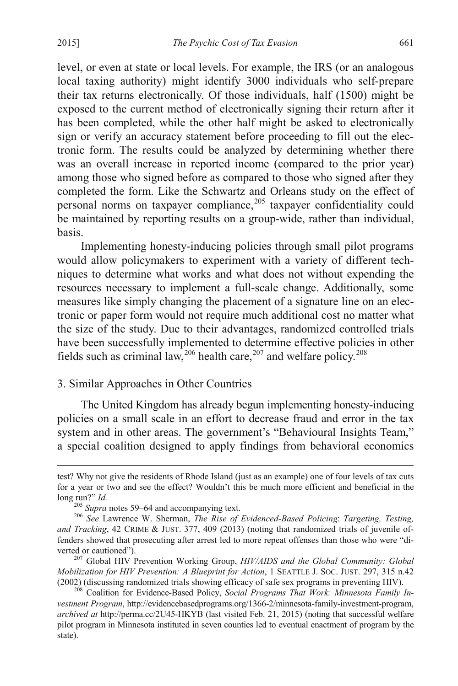level, or even at state or local levels. For example, the IRS (or an analogous local taxing authority) might identify 3000 individuals who self-prepare their tax returns electronically. Of those individuals, half (1500) might be exposed to the current method of electronically signing their return after it has been completed, while the other half might be asked to electronically sign or verify an accuracy statement before proceeding to fill out the electronic form. The results could be analyzed by determining whether there was an overall increase in reported income (compared to the prior year) among those who signed before as compared to those who signed after they completed the form. Like the Schwartz and Orleans study on the effect of personal norms on taxpayer compliance,<sup>[205](#page-45-0)</sup> taxpayer confidentiality could be maintained by reporting results on a group-wide, rather than individual, basis.

Implementing honesty-inducing policies through small pilot programs would allow policymakers to experiment with a variety of different techniques to determine what works and what does not without expending the resources necessary to implement a full-scale change. Additionally, some measures like simply changing the placement of a signature line on an electronic or paper form would not require much additional cost no matter what the size of the study. Due to their advantages, randomized controlled trials have been successfully implemented to determine effective policies in other fields such as criminal law,  $206$  health care,  $207$  and welfare policy.  $208$ 

# 3. Similar Approaches in Other Countries

The United Kingdom has already begun implementing honesty-inducing policies on a small scale in an effort to decrease fraud and error in the tax system and in other areas. The government's "Behavioural Insights Team," a special coalition designed to apply findings from behavioral economics

test? Why not give the residents of Rhode Island (just as an example) one of four levels of tax cuts for a year or two and see the effect? Wouldn't this be much more efficient and beneficial in the long run?" *Id.* <sup>205</sup> *Supra* note[s 59](#page-14-10)[–64](#page-14-1) and accompanying text. <sup>206</sup> *See* Lawrence W. Sherman, *The Rise of Evidenced-Based Policing*: *Targeting, Testing,* 

<span id="page-45-1"></span><span id="page-45-0"></span>*and Tracking*, 42 CRIME & JUST. 377, 409 (2013) (noting that randomized trials of juvenile offenders showed that prosecuting after arrest led to more repeat offenses than those who were "diverted or cautioned"). <sup>207</sup> Global HIV Prevention Working Group, *HIV/AIDS and the Global Community: Global* 

<span id="page-45-2"></span>*Mobilization for HIV Prevention: A Blueprint for Action*, 1 SEATTLE J. SOC. JUST. 297, 315 n.42 (2002) (discussing randomized trials showing efficacy of safe sex programs in preventing HIV). <sup>208</sup> Coalition for Evidence-Based Policy, *Social Programs That Work: Minnesota Family In-*

<span id="page-45-3"></span>*vestment Program*, http://evidencebasedprograms.org/1366-2/minnesota-family-investment-program, *archived at* http://perma.cc/2U45-HKYB (last visited Feb. 21, 2015) (noting that successful welfare pilot program in Minnesota instituted in seven counties led to eventual enactment of program by the state).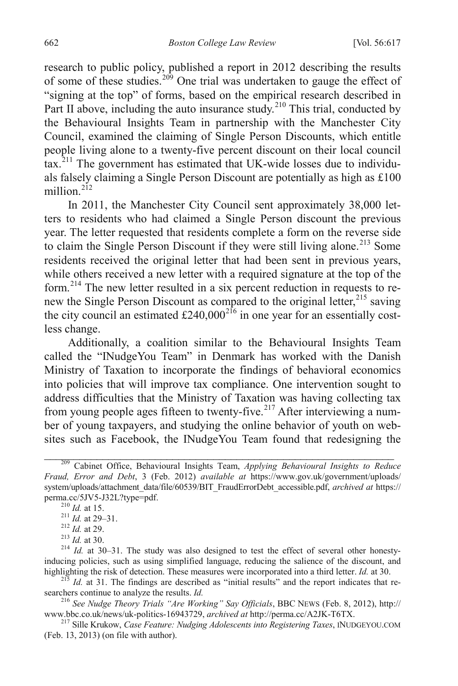research to public policy, published a report in 2012 describing the results of some of these studies.<sup>[209](#page-46-0)</sup> One trial was undertaken to gauge the effect of "signing at the top" of forms, based on the empirical research described in Part II above, including the auto insurance study.<sup>[210](#page-46-1)</sup> This trial, conducted by the Behavioural Insights Team in partnership with the Manchester City Council, examined the claiming of Single Person Discounts, which entitle people living alone to a twenty-five percent discount on their local council  $\text{tax.}^{211}$  $\text{tax.}^{211}$  $\text{tax.}^{211}$  The government has estimated that UK-wide losses due to individuals falsely claiming a Single Person Discount are potentially as high as £100 million $^{212}$  $^{212}$  $^{212}$ 

In 2011, the Manchester City Council sent approximately 38,000 letters to residents who had claimed a Single Person discount the previous year. The letter requested that residents complete a form on the reverse side to claim the Single Person Discount if they were still living alone.<sup>[213](#page-46-4)</sup> Some residents received the original letter that had been sent in previous years, while others received a new letter with a required signature at the top of the form.[214](#page-46-5) The new letter resulted in a six percent reduction in requests to re-new the Single Person Discount as compared to the original letter,<sup>[215](#page-46-6)</sup> saving the city council an estimated  $£240,000^{216}$  $£240,000^{216}$  $£240,000^{216}$  in one year for an essentially costless change.

Additionally, a coalition similar to the Behavioural Insights Team called the "INudgeYou Team" in Denmark has worked with the Danish Ministry of Taxation to incorporate the findings of behavioral economics into policies that will improve tax compliance. One intervention sought to address difficulties that the Ministry of Taxation was having collecting tax from young people ages fifteen to twenty-five.<sup>[217](#page-46-8)</sup> After interviewing a number of young taxpayers, and studying the online behavior of youth on websites such as Facebook, the INudgeYou Team found that redesigning the

<span id="page-46-0"></span>\_\_\_\_\_\_\_\_\_\_\_\_\_\_\_\_\_\_\_\_\_\_\_\_\_\_\_\_\_\_\_\_\_\_\_\_\_\_\_\_\_\_\_\_\_\_\_\_\_\_\_\_\_\_\_\_\_\_\_\_ <sup>209</sup> Cabinet Office, Behavioural Insights Team, *Applying Behavioural Insights to Reduce Fraud, Error and Debt*, 3 (Feb. 2012) *available at* https://www.gov.uk/government/uploads/ system/uploads/attachment\_data/file/60539/BIT\_FraudErrorDebt\_accessible.pdf, *archived at* https://

<span id="page-46-4"></span><span id="page-46-3"></span><span id="page-46-2"></span><span id="page-46-1"></span><sup>&</sup>lt;sup>210</sup> *Id.* at 15. <sup>211</sup> *Id.* at 29–31. <sup>212</sup> *Id.* at 29. <sup>213</sup> *Id.* at 30. 2<sup>14</sup> *Id.* at 30–31. The study was also designed to test the effect of several other honesty-<br><sup>214</sup> *Id.* at 30–31. The study was also design inducing policies, such as using simplified language, reducing the salience of the discount, and highlighting the risk of detection. These measures were incorporated into a third letter.  $Id$  at 30.

<span id="page-46-6"></span><span id="page-46-5"></span><sup>&</sup>lt;sup>215</sup> *Id.* at 31. The findings are described as "initial results" and the report indicates that researchers continue to analyze the results. *Id.* 

<span id="page-46-7"></span><sup>&</sup>lt;sup>216</sup> See Nudge Theory Trials "Are Working" Say Officials, BBC NEWS (Feb. 8, 2012), http://<br>www.bbc.co.uk/news/uk-politics-16943729, archived at http://perma.cc/A2JK-T6TX.

<span id="page-46-8"></span><sup>&</sup>lt;sup>217</sup> Sille Krukow, *Case Feature: Nudging Adolescents into Registering Taxes*, INUDGEYOU.COM (Feb. 13, 2013) (on file with author).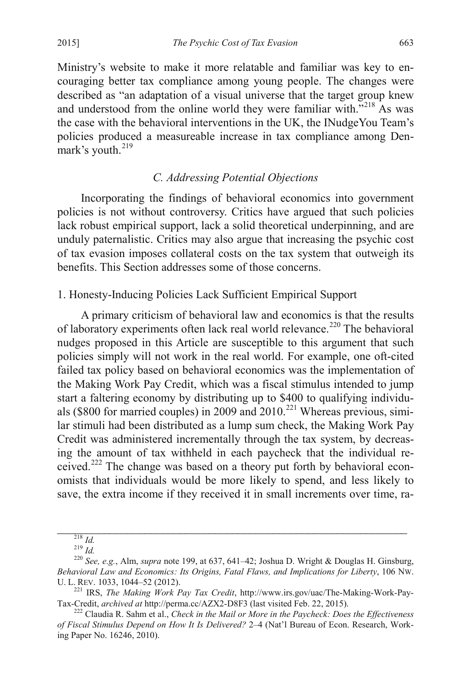2015] *The Psychic Cost of Tax Evasion* 663

Ministry's website to make it more relatable and familiar was key to encouraging better tax compliance among young people. The changes were described as "an adaptation of a visual universe that the target group knew and understood from the online world they were familiar with."<sup>[218](#page-47-0)</sup> As was the case with the behavioral interventions in the UK, the INudgeYou Team's policies produced a measureable increase in tax compliance among Denmark's youth. $^{219}$  $^{219}$  $^{219}$ 

# <span id="page-47-6"></span>*C. Addressing Potential Objections*

Incorporating the findings of behavioral economics into government policies is not without controversy. Critics have argued that such policies lack robust empirical support, lack a solid theoretical underpinning, and are unduly paternalistic. Critics may also argue that increasing the psychic cost of tax evasion imposes collateral costs on the tax system that outweigh its benefits. This Section addresses some of those concerns.

# 1. Honesty-Inducing Policies Lack Sufficient Empirical Support

A primary criticism of behavioral law and economics is that the results of laboratory experiments often lack real world relevance.<sup>[220](#page-47-2)</sup> The behavioral nudges proposed in this Article are susceptible to this argument that such policies simply will not work in the real world. For example, one oft-cited failed tax policy based on behavioral economics was the implementation of the Making Work Pay Credit, which was a fiscal stimulus intended to jump start a faltering economy by distributing up to \$400 to qualifying individuals (\$800 for married couples) in 2009 and  $2010$ <sup>[221](#page-47-3)</sup> Whereas previous, similar stimuli had been distributed as a lump sum check, the Making Work Pay Credit was administered incrementally through the tax system, by decreasing the amount of tax withheld in each paycheck that the individual received.[222](#page-47-4) The change was based on a theory put forth by behavioral economists that individuals would be more likely to spend, and less likely to save, the extra income if they received it in small increments over time, ra-

<span id="page-47-5"></span>\_\_\_\_\_\_\_\_\_\_\_\_\_\_\_\_\_\_\_\_\_\_\_\_\_\_\_\_\_\_\_\_\_\_\_\_\_\_\_\_\_\_\_\_\_\_\_\_\_\_\_\_\_\_\_\_\_\_\_\_

<span id="page-47-2"></span><span id="page-47-1"></span><span id="page-47-0"></span><sup>218</sup> *Id.* <sup>219</sup> *Id.* <sup>220</sup> *See, e.g.*, Alm, *supra* not[e 199,](#page-44-6) at 637, 641–42; Joshua D. Wright & Douglas H. Ginsburg, *Behavioral Law and Economics: Its Origins, Fatal Flaws, and Implications for Liberty*, 106 NW.

<span id="page-47-3"></span><sup>&</sup>lt;sup>221</sup> IRS, *The Making Work Pay Tax Credit*, http://www.irs.gov/uac/The-Making-Work-Pay-Tax-Credit, *archived at http://perma.cc/AZX2-D8F3* (last visited Feb. 22, 2015).

<span id="page-47-4"></span><sup>&</sup>lt;sup>222</sup> Claudia R. Sahm et al., *Check in the Mail or More in the Paycheck: Does the Effectiveness of Fiscal Stimulus Depend on How It Is Delivered?* 2–4 (Nat'l Bureau of Econ. Research, Working Paper No. 16246, 2010).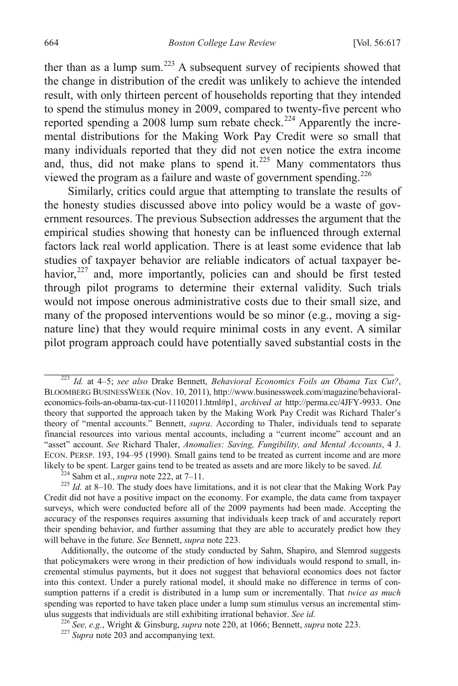<span id="page-48-0"></span>ther than as a lump sum.<sup>[223](#page-48-1)</sup> A subsequent survey of recipients showed that the change in distribution of the credit was unlikely to achieve the intended result, with only thirteen percent of households reporting that they intended to spend the stimulus money in 2009, compared to twenty-five percent who reported spending a 2008 lump sum rebate check.<sup>[224](#page-48-2)</sup> Apparently the incremental distributions for the Making Work Pay Credit were so small that many individuals reported that they did not even notice the extra income and, thus, did not make plans to spend it.<sup>[225](#page-48-3)</sup> Many commentators thus viewed the program as a failure and waste of government spending.[226](#page-48-4)

Similarly, critics could argue that attempting to translate the results of the honesty studies discussed above into policy would be a waste of government resources. The previous Subsection addresses the argument that the empirical studies showing that honesty can be influenced through external factors lack real world application. There is at least some evidence that lab studies of taxpayer behavior are reliable indicators of actual taxpayer behavior, $227$  and, more importantly, policies can and should be first tested through pilot programs to determine their external validity. Such trials would not impose onerous administrative costs due to their small size, and many of the proposed interventions would be so minor (e.g., moving a signature line) that they would require minimal costs in any event. A similar pilot program approach could have potentially saved substantial costs in the

\_\_\_\_\_\_\_\_\_\_\_\_\_\_\_\_\_\_\_\_\_\_\_\_\_\_\_\_\_\_\_\_\_\_\_\_\_\_\_\_\_\_\_\_\_\_\_\_\_\_\_\_\_\_\_\_\_\_\_\_

<span id="page-48-1"></span><sup>223</sup> *Id.* at 4–5; *see also* Drake Bennett, *Behavioral Economics Foils an Obama Tax Cut?*, BLOOMBERG BUSINESSWEEK (Nov. 10, 2011), http://www.businessweek.com/magazine/behavioraleconomics-foils-an-obama-tax-cut-11102011.html#p1, *archived at* http://perma.cc/4JFY-9933. One theory that supported the approach taken by the Making Work Pay Credit was Richard Thaler's theory of "mental accounts." Bennett, *supra*. According to Thaler, individuals tend to separate financial resources into various mental accounts, including a "current income" account and an "asset" account. *See* Richard Thaler, *Anomalies: Saving, Fungibility, and Mental Accounts*, 4 J. ECON. PERSP. 193, 194–95 (1990). Small gains tend to be treated as current income and are more

<span id="page-48-3"></span><span id="page-48-2"></span>likely to be spent. Larger gains tend to be treated as assets and are more likely to be saved. *Id.* <sup>224</sup> Sahm et al., *supra* not[e 222,](#page-47-5) at 7–11.<br><sup>225</sup> *Id.* at 8–10. The study does have limitations, and it is not clear Credit did not have a positive impact on the economy. For example, the data came from taxpayer surveys, which were conducted before all of the 2009 payments had been made. Accepting the accuracy of the responses requires assuming that individuals keep track of and accurately report their spending behavior, and further assuming that they are able to accurately predict how they will behave in the future. *See* Bennett, *supra* note [223.](#page-48-0)

Additionally, the outcome of the study conducted by Sahm, Shapiro, and Slemrod suggests that policymakers were wrong in their prediction of how individuals would respond to small, incremental stimulus payments, but it does not suggest that behavioral economics does not factor into this context. Under a purely rational model, it should make no difference in terms of consumption patterns if a credit is distributed in a lump sum or incrementally. That *twice as much* spending was reported to have taken place under a lump sum stimulus versus an incremental stimulus suggests that individuals are still exhibiting irrational behavior. See id.<br><sup>226</sup> See, e.g., Wright & Ginsburg, *supra* not[e 220,](#page-47-6) at 1066; Bennett, *supra* not[e 223.](#page-48-0)<br><sup>227</sup> Supra not[e 203](#page-44-7) and accompanying text.

<span id="page-48-5"></span><span id="page-48-4"></span>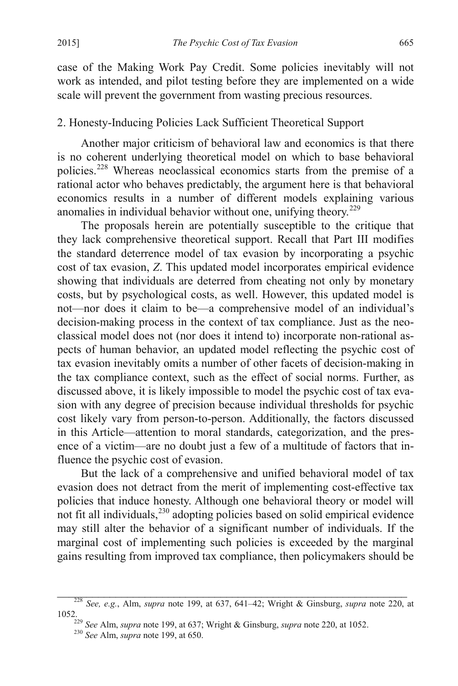case of the Making Work Pay Credit. Some policies inevitably will not work as intended, and pilot testing before they are implemented on a wide scale will prevent the government from wasting precious resources.

# 2. Honesty-Inducing Policies Lack Sufficient Theoretical Support

Another major criticism of behavioral law and economics is that there is no coherent underlying theoretical model on which to base behavioral policies.[228](#page-49-0) Whereas neoclassical economics starts from the premise of a rational actor who behaves predictably, the argument here is that behavioral economics results in a number of different models explaining various anomalies in individual behavior without one, unifying theory.<sup>[229](#page-49-1)</sup>

The proposals herein are potentially susceptible to the critique that they lack comprehensive theoretical support. Recall that Part III modifies the standard deterrence model of tax evasion by incorporating a psychic cost of tax evasion, *Z*. This updated model incorporates empirical evidence showing that individuals are deterred from cheating not only by monetary costs, but by psychological costs, as well. However, this updated model is not—nor does it claim to be—a comprehensive model of an individual's decision-making process in the context of tax compliance. Just as the neoclassical model does not (nor does it intend to) incorporate non-rational aspects of human behavior, an updated model reflecting the psychic cost of tax evasion inevitably omits a number of other facets of decision-making in the tax compliance context, such as the effect of social norms. Further, as discussed above, it is likely impossible to model the psychic cost of tax evasion with any degree of precision because individual thresholds for psychic cost likely vary from person-to-person. Additionally, the factors discussed in this Article—attention to moral standards, categorization, and the presence of a victim—are no doubt just a few of a multitude of factors that influence the psychic cost of evasion.

But the lack of a comprehensive and unified behavioral model of tax evasion does not detract from the merit of implementing cost-effective tax policies that induce honesty. Although one behavioral theory or model will not fit all individuals, $^{230}$  $^{230}$  $^{230}$  adopting policies based on solid empirical evidence may still alter the behavior of a significant number of individuals. If the marginal cost of implementing such policies is exceeded by the marginal gains resulting from improved tax compliance, then policymakers should be

<span id="page-49-2"></span><span id="page-49-1"></span><span id="page-49-0"></span>\_\_\_\_\_\_\_\_\_\_\_\_\_\_\_\_\_\_\_\_\_\_\_\_\_\_\_\_\_\_\_\_\_\_\_\_\_\_\_\_\_\_\_\_\_\_\_\_\_\_\_\_\_\_\_\_\_\_\_\_ <sup>228</sup> *See, e.g.*, Alm, *supra* note [199,](#page-44-6) at 637, 641–42; Wright & Ginsburg, *supra* note [220,](#page-47-6) at 1052.

<sup>229</sup> *See* Alm, *supra* note [199,](#page-44-6) at 637; Wright & Ginsburg, *supra* not[e 220,](#page-47-6) at 1052. <sup>230</sup> *See* Alm, *supra* note [199,](#page-44-6) at 650.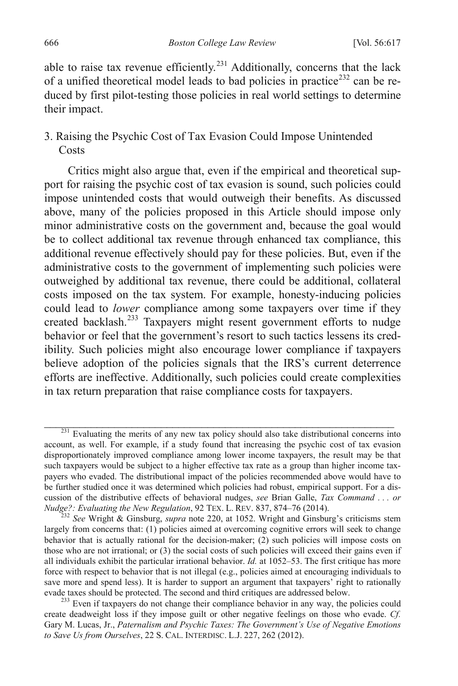<span id="page-50-3"></span>able to raise tax revenue efficiently.<sup>[231](#page-50-0)</sup> Additionally, concerns that the lack of a unified theoretical model leads to bad policies in practice<sup>[232](#page-50-1)</sup> can be reduced by first pilot-testing those policies in real world settings to determine their impact.

# 3. Raising the Psychic Cost of Tax Evasion Could Impose Unintended Costs

Critics might also argue that, even if the empirical and theoretical support for raising the psychic cost of tax evasion is sound, such policies could impose unintended costs that would outweigh their benefits. As discussed above, many of the policies proposed in this Article should impose only minor administrative costs on the government and, because the goal would be to collect additional tax revenue through enhanced tax compliance, this additional revenue effectively should pay for these policies. But, even if the administrative costs to the government of implementing such policies were outweighed by additional tax revenue, there could be additional, collateral costs imposed on the tax system. For example, honesty-inducing policies could lead to *lower* compliance among some taxpayers over time if they created backlash.[233](#page-50-2) Taxpayers might resent government efforts to nudge behavior or feel that the government's resort to such tactics lessens its credibility. Such policies might also encourage lower compliance if taxpayers believe adoption of the policies signals that the IRS's current deterrence efforts are ineffective. Additionally, such policies could create complexities in tax return preparation that raise compliance costs for taxpayers.

<span id="page-50-0"></span> $^{231}$  Evaluating the merits of any new tax policy should also take distributional concerns into account, as well. For example, if a study found that increasing the psychic cost of tax evasion disproportionately improved compliance among lower income taxpayers, the result may be that such taxpayers would be subject to a higher effective tax rate as a group than higher income taxpayers who evaded. The distributional impact of the policies recommended above would have to be further studied once it was determined which policies had robust, empirical support. For a discussion of the distributive effects of behavioral nudges, *see* Brian Galle, *Tax Command . . . or Nudge?: Evaluating the New Regulation*, 92 TEX. L. REV. 837, 874–76 (2014). <sup>232</sup> *See* Wright & Ginsburg, *supra* note [220,](#page-47-6) at 1052. Wright and Ginsburg's criticisms stem

<span id="page-50-1"></span>largely from concerns that: (1) policies aimed at overcoming cognitive errors will seek to change behavior that is actually rational for the decision-maker; (2) such policies will impose costs on those who are not irrational; or (3) the social costs of such policies will exceed their gains even if all individuals exhibit the particular irrational behavior. *Id.* at 1052–53. The first critique has more force with respect to behavior that is not illegal (e.g., policies aimed at encouraging individuals to save more and spend less). It is harder to support an argument that taxpayers' right to rationally evade taxes should be protected. The second and third critiques are addressed below.<br><sup>233</sup> Even if taxpayers do not change their compliance behavior in any way, the policies could

<span id="page-50-2"></span>create deadweight loss if they impose guilt or other negative feelings on those who evade. *Cf.*  Gary M. Lucas, Jr., *Paternalism and Psychic Taxes: The Government's Use of Negative Emotions to Save Us from Ourselves*, 22 S. CAL. INTERDISC. L.J. 227, 262 (2012).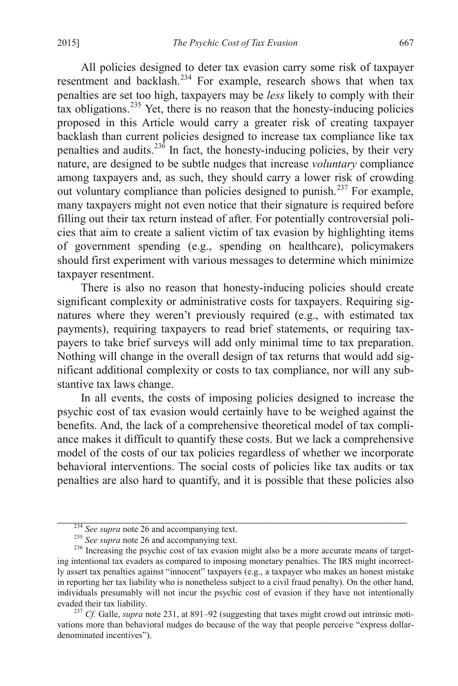All policies designed to deter tax evasion carry some risk of taxpayer resentment and backlash.<sup>[234](#page-51-0)</sup> For example, research shows that when tax penalties are set too high, taxpayers may be *less* likely to comply with their tax obligations.[235](#page-51-1) Yet, there is no reason that the honesty-inducing policies proposed in this Article would carry a greater risk of creating taxpayer backlash than current policies designed to increase tax compliance like tax penalties and audits.<sup>23 $\delta$ </sup> In fact, the honesty-inducing policies, by their very nature, are designed to be subtle nudges that increase *voluntary* compliance among taxpayers and, as such, they should carry a lower risk of crowding out voluntary compliance than policies designed to punish.[237](#page-51-3) For example, many taxpayers might not even notice that their signature is required before filling out their tax return instead of after. For potentially controversial policies that aim to create a salient victim of tax evasion by highlighting items of government spending (e.g., spending on healthcare), policymakers should first experiment with various messages to determine which minimize taxpayer resentment.

There is also no reason that honesty-inducing policies should create significant complexity or administrative costs for taxpayers. Requiring signatures where they weren't previously required (e.g., with estimated tax payments), requiring taxpayers to read brief statements, or requiring taxpayers to take brief surveys will add only minimal time to tax preparation. Nothing will change in the overall design of tax returns that would add significant additional complexity or costs to tax compliance, nor will any substantive tax laws change.

In all events, the costs of imposing policies designed to increase the psychic cost of tax evasion would certainly have to be weighed against the benefits. And, the lack of a comprehensive theoretical model of tax compliance makes it difficult to quantify these costs. But we lack a comprehensive model of the costs of our tax policies regardless of whether we incorporate behavioral interventions. The social costs of policies like tax audits or tax penalties are also hard to quantify, and it is possible that these policies also

<span id="page-51-2"></span><span id="page-51-1"></span><span id="page-51-0"></span><sup>&</sup>lt;sup>234</sup> See supra not[e 26](#page-9-8) and accompanying text.<br><sup>235</sup> See supra note 26 and accompanying text.<br><sup>236</sup> Increasing the psychic cost of tax evasion might also be a more accurate means of targeting intentional tax evaders as compared to imposing monetary penalties. The IRS might incorrectly assert tax penalties against "innocent" taxpayers (e.g., a taxpayer who makes an honest mistake in reporting her tax liability who is nonetheless subject to a civil fraud penalty). On the other hand, individuals presumably will not incur the psychic cost of evasion if they have not intentionally

<span id="page-51-3"></span><sup>&</sup>lt;sup>237</sup> *Cf.* Galle, *supra* note [231,](#page-50-3) at 891–92 (suggesting that taxes might crowd out intrinsic motivations more than behavioral nudges do because of the way that people perceive "express dollardenominated incentives").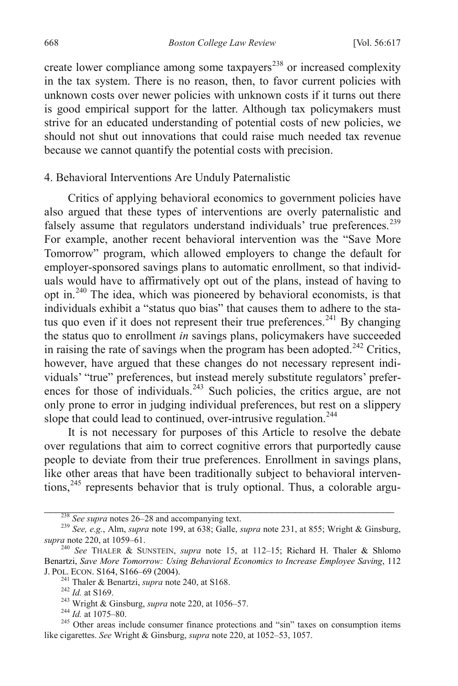create lower compliance among some taxpayers<sup> $^{238}$  $^{238}$  $^{238}$ </sup> or increased complexity in the tax system. There is no reason, then, to favor current policies with unknown costs over newer policies with unknown costs if it turns out there is good empirical support for the latter. Although tax policymakers must strive for an educated understanding of potential costs of new policies, we should not shut out innovations that could raise much needed tax revenue because we cannot quantify the potential costs with precision.

## 4. Behavioral Interventions Are Unduly Paternalistic

<span id="page-52-0"></span>Critics of applying behavioral economics to government policies have also argued that these types of interventions are overly paternalistic and falsely assume that regulators understand individuals' true preferences.<sup>[239](#page-52-2)</sup> For example, another recent behavioral intervention was the "Save More Tomorrow" program, which allowed employers to change the default for employer-sponsored savings plans to automatic enrollment, so that individuals would have to affirmatively opt out of the plans, instead of having to opt in.[240](#page-52-3) The idea, which was pioneered by behavioral economists, is that individuals exhibit a "status quo bias" that causes them to adhere to the sta-tus quo even if it does not represent their true preferences.<sup>[241](#page-52-4)</sup> By changing the status quo to enrollment *in* savings plans, policymakers have succeeded in raising the rate of savings when the program has been adopted.<sup>[242](#page-52-5)</sup> Critics, however, have argued that these changes do not necessary represent individuals' "true" preferences, but instead merely substitute regulators' prefer-ences for those of individuals.<sup>[243](#page-52-6)</sup> Such policies, the critics argue, are not only prone to error in judging individual preferences, but rest on a slippery slope that could lead to continued, over-intrusive regulation. $244$ 

It is not necessary for purposes of this Article to resolve the debate over regulations that aim to correct cognitive errors that purportedly cause people to deviate from their true preferences. Enrollment in savings plans, like other areas that have been traditionally subject to behavioral interventions,  $245$  represents behavior that is truly optional. Thus, a colorable argu-

<span id="page-52-2"></span><span id="page-52-1"></span><sup>&</sup>lt;sup>238</sup> See supra note[s 26](#page-9-8)[–28](#page-9-9) and accompanying text.<br><sup>239</sup> See, e.g., Alm, *supra* note [199,](#page-44-6) at 638; Galle, *supra* note [231,](#page-50-3) at 855; Wright & Ginsburg, *supra* note 220, at 1059–61.

<span id="page-52-3"></span><sup>&</sup>lt;sup>240</sup> See THALER & SUNSTEIN, *supra* note [15,](#page-5-3) at 112–15; Richard H. Thaler & Shlomo Benartzi, *Save More Tomorrow: Using Behavioral Economics to Increase Employee Saving*, 112

<span id="page-52-8"></span>

<span id="page-52-7"></span><span id="page-52-6"></span><span id="page-52-5"></span><span id="page-52-4"></span>J. POL. ECON. S164, S166–69 (2004).<br>
<sup>241</sup> Thaler & Benartzi, *supra* not[e 240,](#page-52-0) at S168.<br>
<sup>242</sup> Id. at S169.<br>
<sup>243</sup> Wright & Ginsburg, *supra* not[e 220,](#page-47-6) at 1056–57.<br>
<sup>244</sup> Id. at 1075–80.<br>
<sup>245</sup> Other areas include consum like cigarettes. *See* Wright & Ginsburg, *supra* not[e 220,](#page-47-6) at 1052–53, 1057.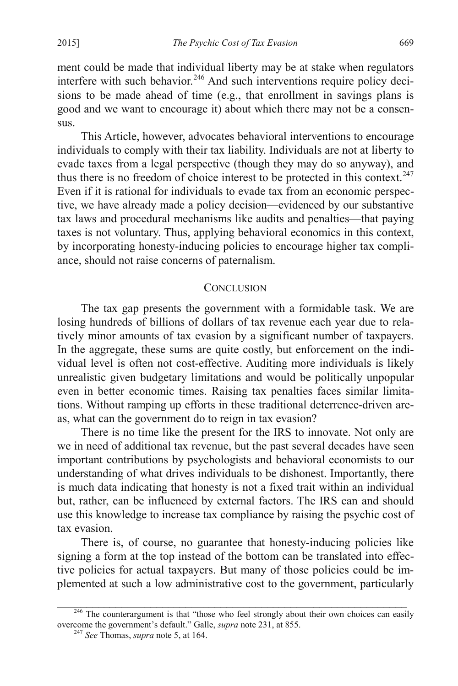ment could be made that individual liberty may be at stake when regulators interfere with such behavior.<sup>[246](#page-53-0)</sup> And such interventions require policy decisions to be made ahead of time (e.g., that enrollment in savings plans is good and we want to encourage it) about which there may not be a consensus.

This Article, however, advocates behavioral interventions to encourage individuals to comply with their tax liability. Individuals are not at liberty to evade taxes from a legal perspective (though they may do so anyway), and thus there is no freedom of choice interest to be protected in this context. $247$ Even if it is rational for individuals to evade tax from an economic perspective, we have already made a policy decision—evidenced by our substantive tax laws and procedural mechanisms like audits and penalties—that paying taxes is not voluntary. Thus, applying behavioral economics in this context, by incorporating honesty-inducing policies to encourage higher tax compliance, should not raise concerns of paternalism.

#### **CONCLUSION**

The tax gap presents the government with a formidable task. We are losing hundreds of billions of dollars of tax revenue each year due to relatively minor amounts of tax evasion by a significant number of taxpayers. In the aggregate, these sums are quite costly, but enforcement on the individual level is often not cost-effective. Auditing more individuals is likely unrealistic given budgetary limitations and would be politically unpopular even in better economic times. Raising tax penalties faces similar limitations. Without ramping up efforts in these traditional deterrence-driven areas, what can the government do to reign in tax evasion?

There is no time like the present for the IRS to innovate. Not only are we in need of additional tax revenue, but the past several decades have seen important contributions by psychologists and behavioral economists to our understanding of what drives individuals to be dishonest. Importantly, there is much data indicating that honesty is not a fixed trait within an individual but, rather, can be influenced by external factors. The IRS can and should use this knowledge to increase tax compliance by raising the psychic cost of tax evasion.

There is, of course, no guarantee that honesty-inducing policies like signing a form at the top instead of the bottom can be translated into effective policies for actual taxpayers. But many of those policies could be implemented at such a low administrative cost to the government, particularly

<span id="page-53-1"></span><span id="page-53-0"></span><sup>&</sup>lt;sup>246</sup> The counterargument is that "those who feel strongly about their own choices can easily overcome the government's default." Galle, *supra* note 231, at 855. <sup>247</sup> *See* Thomas, *supra* note [5,](#page-2-4) at 164.